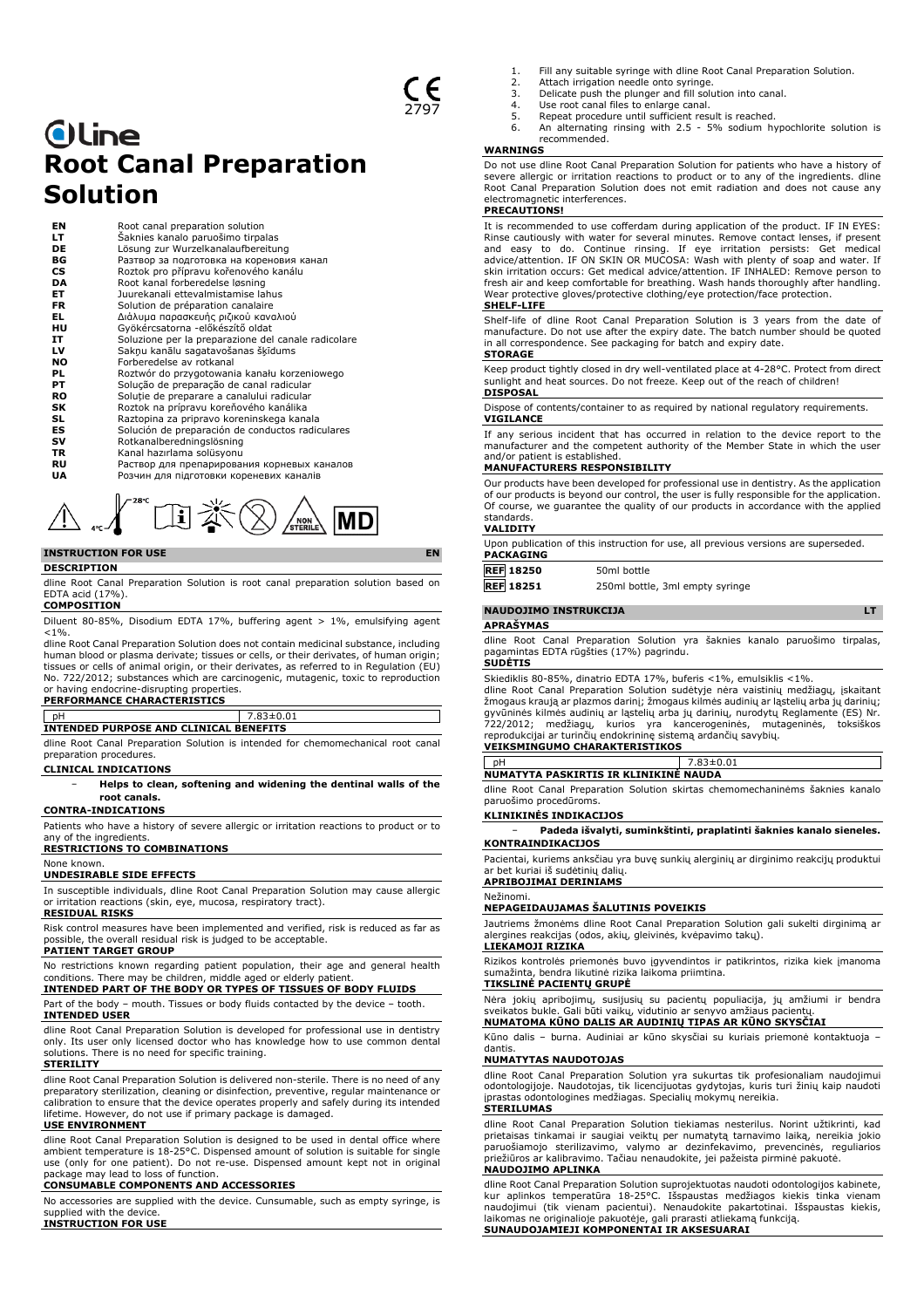# **Oline Root Canal Preparation Solution**

| ΕN        | Root canal preparation solution                     |
|-----------|-----------------------------------------------------|
| LT        | Šaknies kanalo paruošimo tirpalas                   |
| <b>DE</b> | Lösung zur Wurzelkanalaufbereitung                  |
| ВG        | Разтвор за подготовка на кореновия канал            |
| CS        | Roztok pro přípravu kořenového kanálu               |
| DA        | Root kanal forberedelse løsning                     |
| ET        | Juurekanali ettevalmistamise lahus                  |
| FR.       | Solution de préparation canalaire                   |
| EL.       | Διάλυμα παρασκευής ριζικού καναλιού                 |
| нu        | Gyökércsatorna -előkészítő oldat                    |
| IT        | Soluzione per la preparazione del canale radicolare |
| LV        | Sakņu kanālu sagatavošanas šķīdums                  |
| NO        | Forberedelse av rotkanal                            |
| PL        | Roztwór do przygotowania kanału korzeniowego        |
| PТ        | Solução de preparação de canal radicular            |
| RO        | Solutie de preparare a canalului radicular          |
| SK        | Roztok na prípravu koreňového kanálika              |
| SL        | Raztopina za pripravo koreninskega kanala           |
| ES        | Solución de preparación de conductos radiculares    |
| sv        | Rotkanalberedningslösning                           |
| <b>TR</b> | Kanal hazırlama solüsyonu                           |
| RU        | Раствор для препарирования корневых каналов         |
| UA        | Розчин для підготовки кореневих каналів             |



#### **INSTRUCTION FOR USE EN DESCRIPTION**

dline Root Canal Preparation Solution is root canal preparation solution based on EDTA acid (17%).

# **COMPOSITION**

Diluent 80-85%, Disodium EDTA 17%, buffering agent > 1%, emulsifying agent  $< 1\%$ .

dline Root Canal Preparation Solution does not contain medicinal substance, including human blood or plasma derivate; tissues or cells, or their derivates, of human origin; tissues or cells of animal origin, or their derivates, as referred to in Regulation (EU) No. 722/2012; substances which are carcinogenic, mutagenic, toxic to reproduction

# or having endocrine-disrupting properties. **PERFORMANCE CHARACTERISTICS**

|                                        | $83\pm0.01$ |
|----------------------------------------|-------------|
| INTENDED PURPOSE AND CLINICAL BENEFITS |             |
|                                        |             |

dline Root Canal Preparation Solution is intended for chemomechanical root canal preparation procedures.

## **CLINICAL INDICATIONS**

− **Helps to clean, softening and widening the dentinal walls of the root canals.**

# **CONTRA-INDICATIONS**

Patients who have a history of severe allergic or irritation reactions to product or to any of the ingredients

#### **RESTRICTIONS TO COMBINATIONS** None known.

# **UNDESIRABLE SIDE EFFECTS**

In susceptible individuals, dline Root Canal Preparation Solution may cause allergic or irritation reactions (skin, eye, mucosa, respiratory tract). **RESIDUAL RISKS**

Risk control measures have been implemented and verified, risk is reduced as far as possible, the overall residual risk is judged to be acceptable. **PATIENT TARGET GROUP**

No restrictions known regarding patient population, their age and general health conditions. There may be children, middle aged or elderly patient.

**INTENDED PART OF THE BODY OR TYPES OF TISSUES OF BODY FLUIDS** Part of the body – mouth. Tissues or body fluids contacted by the device – tooth. **INTENDED USER**

dline Root Canal Preparation Solution is developed for professional use in dentistry only. Its user only licensed doctor who has knowledge how to use common dental solutions. There is no need for specific training.

#### **STERILITY**

dline Root Canal Preparation Solution is delivered non-sterile. There is no need of any preparatory sterilization, cleaning or disinfection, preventive, regular maintenance or calibration to ensure that the device operates properly and safely during its intended lifetime. However, do not use if primary package is damaged.

### **USE ENVIRONMENT**

dline Root Canal Preparation Solution is designed to be used in dental office where ambient temperature is 18-25°C. Dispensed amount of solution is suitable for single use (only for one patient). Do not re-use. Dispensed amount kept not in original package may lead to loss of function.

# **CONSUMABLE COMPONENTS AND ACCESSORIES**

No accessories are supplied with the device. Cunsumable, such as empty syringe, is supplied with the device. **INSTRUCTION FOR USE**

- 1. Fill any suitable syringe with dline Root Canal Preparation Solution.
- 2. Attach irrigation needle onto syringe. 3. Delicate push the plunger and fill solution into canal.
- 
- 4. Use root canal files to enlarge canal.<br>5. Repeat procedure until sufficient results 5. Repeat procedure until sufficient result is reached.<br>6. An alternating rinsing with 2.5 - 5% sodium hy
- 6. An alternating rinsing with 2.5 5% sodium hypochlorite solution is recommended.

#### **WARNINGS**

Do not use dline Root Canal Preparation Solution for patients who have a history of severe allergic or irritation reactions to product or to any of the ingredients. dline Root Canal Preparation Solution does not emit radiation and does not cause any electromagnetic interferences.

# **PRECAUTIONS!**

It is recommended to use cofferdam during application of the product. IF IN EYES: Rinse cautiously with water for several minutes. Remove contact lenses, if present<br>and easy to do. Continue rinsing. If eye irritation persists: Get medical<br>advice/attention. IF ON SKIN OR MUCOSA: Wash with plenty of soap fresh air and keep comfortable for breathing. Wash hands thoroughly after handling. Wear protective gloves/protective clothing/eye protection/face protection.

# **SHELF-LIFE**

Shelf-life of dline Root Canal Preparation Solution is 3 years from the date of manufacture. Do not use after the expiry date. The batch number should be quoted in all correspondence. See packaging for batch and expiry date. **STORAGE**

Keep product tightly closed in dry well-ventilated place at 4-28°C. Protect from direct sunlight and heat sources. Do not freeze. Keep out of the reach of children! **DISPOSAL**

Dispose of contents/container to as required by national regulatory requirements. **VIGILANCE**

If any serious incident that has occurred in relation to the device report to the manufacturer and the competent authority of the Member State in which the user and/or patient is established.

#### **MANUFACTURERS RESPONSIBILITY**

Our products have been developed for professional use in dentistry. As the application of our products is beyond our control, the user is fully responsible for the application. Of course, we guarantee the quality of our products in accordance with the applied standards.

#### **VALIDITY**

Upon publication of this instruction for use, all previous versions are superseded. **PACKAGING**

**REF** 18250 50ml bottle<br> **REF** 18251 250ml bottl 250ml bottle, 3ml empty syringe

### **NAUDOJIMO INSTRUKCIJA LT**

**APRAŠYMAS**

dline Root Canal Preparation Solution yra šaknies kanalo paruošimo tirpalas, pagamintas EDTA rūgšties (17%) pagrindu.

#### **SUDĖTIS**

Skiediklis 80-85%, dinatrio EDTA 17%, buferis <1%, emulsiklis <1%. dline Root Canal Preparation Solution sudėtyje nėra vaistinių medžiagų, įskaitant

žmogaus kraują ar plazmos darinį; žmogaus kilmės audinių ar ląstelių arba jų darinių; gyvūninės kilmės audinių ar ląstelių arba jų darinių, nurodytų Reglamente (ES) Nr.<br>722/2012; medžiagų, kurios yra kancerogeninės, mutageninės, toksiškos<br>reprodukcijai ar turinčių endokrininę sistemą ardančių savybių.<br>**VEIK** 

pH 7.83±0.01 **NUMATYTA PASKIRTIS IR KLINIKINĖ NAUDA**

dline Root Canal Preparation Solution skirtas chemomechaninėms šaknies kanalo paruošimo procedūroms.

#### **KLINIKINĖS INDIKACIJOS**

− **Padeda išvalyti, suminkštinti, praplatinti šaknies kanalo sieneles. KONTRAINDIKACIJOS**

Pacientai, kuriems anksčiau yra buvę sunkių alerginių ar dirginimo reakcijų produktui ar bet kuriai iš sudėtinių dalių. **APRIBOJIMAI DERINIAMS**

# Nežinomi.

# **NEPAGEIDAUJAMAS ŠALUTINIS POVEIKIS**

Jautriems žmonėms dline Root Canal Preparation Solution gali sukelti dirginimą ar alergines reakcijas (odos, akių, gleivinės, kvėpavimo takų). **LIEKAMOJI RIZIKA**

Rizikos kontrolės priemonės buvo įgyvendintos ir patikrintos, rizika kiek įmanoma sumažinta, bendra likutinė rizika laikoma priimtina.

### **TIKSLINĖ PACIENTŲ GRUPĖ**

Nėra jokių apribojimų, susijusių su pacientų populiacija, jų amžiumi ir bendra sveikatos bukle. Gali būti vaikų, vidutinio ar senyvo amžiaus pacientų. **NUMATOMA KŪNO DALIS AR AUDINIŲ TIPAS AR KŪNO SKYSČIAI**

Kūno dalis – burna. Audiniai ar kūno skysčiai su kuriais priemonė kontaktuoja – dantis.

# **NUMATYTAS NAUDOTOJAS**

dline Root Canal Preparation Solution yra sukurtas tik profesionaliam naudojimui odontologijoje. Naudotojas, tik licencijuotas gydytojas, kuris turi žinių kaip naudoti įprastas odontologines medžiagas. Specialių mokymų nereikia.

# **STERILUMAS**

dline Root Canal Preparation Solution tiekiamas nesterilus. Norint užtikrinti, kad prietaisas tinkamai ir saugiai veiktų per numatytą tarnavimo laiką, nereikia jokio paruošiamojo sterilizavimo, valymo ar dezinfekavimo, prevencinės, reguliarios priežiūros ar kalibravimo. Tačiau nenaudokite, jei pažeista pirminė pakuotė.

### **NAUDOJIMO APLINKA**

dline Root Canal Preparation Solution suprojektuotas naudoti odontologijos kabinete, kur aplinkos temperatūra 18-25°C. Išspaustas medžiagos kiekis tinka vienam naudojimui (tik vienam pacientui). Nenaudokite pakartotinai. Išspaustas kiekis, laikomas ne originalioje pakuotėje, gali prarasti atliekamą funkciją. **SUNAUDOJAMIEJI KOMPONENTAI IR AKSESUARAI**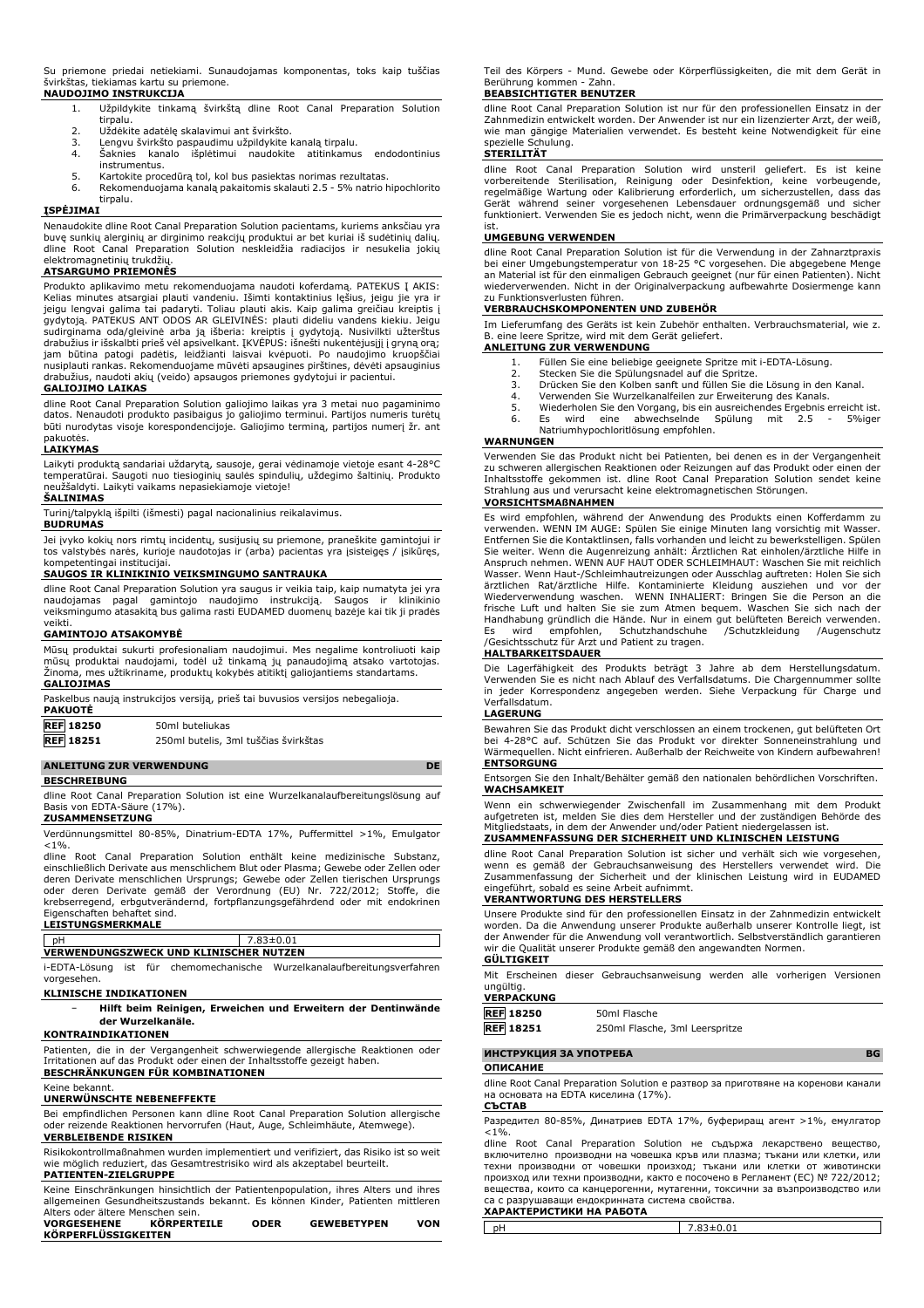Su priemone priedai netiekiami. Sunaudojamas komponentas, toks kaip tuščias švirkštas, tiekiamas kartu su priemone. **NAUDOJIMO INSTRUKCIJA**

- 1. Užpildykite tinkamą švirkštą dline Root Canal Preparation Solution tirnalu.
- 
- 2. Uždėkite adatėlę skalavimui ant švirkšto.<br>3. Lengvu švirkšto paspaudimu užpildykite ł<br>4. Šaknies kanalo išplėtimui naudokite 3. Lengvu švirkšto paspaudimu užpildykite kanalą tirpalu. 4. Šaknies kanalo išplėtimui naudokite atitinkamus endodontinius
- instrumentus.
- 5. Kartokite procedūrą tol, kol bus pasiektas norimas rezultatas. 6. Rekomenduojama kanalą pakaitomis skalauti 2.5 - 5% natrio hipochlorito tirpalu.

# **ĮSPĖJIMAI**

Nenaudokite dline Root Canal Preparation Solution pacientams, kuriems anksčiau yra buvę sunkių alerginių ar dirginimo reakcijų produktui ar bet kuriai iš sudėtinių dalių. dline Root Canal Preparation Solution neskleidžia radiacijos ir nesukelia jokių elektromagnetinių trukdžių.

## **ATSARGUMO PRIEMONĖS**

Produkto aplikavimo metu rekomenduojama naudoti koferdamą. PATEKUS Į AKIS: Kelias minutes atsargiai plauti vandeniu. Išimti kontaktinius lęšius, jeigu jie yra ir jeigu lengvai galima tai padaryti. Toliau plauti akis. Kaip galima greičiau kreiptis į<br>gydytoją. PATEKUS ANT ODOS AR GLEIVINĖS: plauti dideliu vandens kiekiu. Jeigu<br>sudirginama oda/gleivinė arba ją išberia: kreiptis į gydy nusiplauti rankas. Rekomenduojame mūvėti apsaugines pirštines, dėvėti apsauginius drabužius, naudoti akių (veido) apsaugos priemones gydytojui ir pacientui.

#### **GALIOJIMO LAIKAS**

dline Root Canal Preparation Solution galiojimo laikas yra 3 metai nuo pagaminimo datos. Nenaudoti produkto pasibaigus jo galiojimo terminui. Partijos numeris turėtų būti nurodytas visoje korespondencijoje. Galiojimo terminą, partijos numerį žr. ant pakuotės.

#### **LAIKYMAS**

Laikyti produktą sandariai uždarytą, sausoje, gerai vėdinamoje vietoje esant 4-28°C temperatūrai. Saugoti nuo tiesioginių saulės spindulių, uždegimo šaltinių. Produkto neužšaldyti. Laikyti vaikams nepasiekiamoje vietoje!

#### **ŠALINIMAS**

Turinį/talpyklą išpilti (išmesti) pagal nacionalinius reikalavimus. **BUDRUMAS**

Jei įvyko kokių nors rimtų incidentų, susijusių su priemone, praneškite gamintojui ir tos valstybės narės, kurioje naudotojas ir (arba) pacientas yra įsisteigęs / įsikūręs, kompetentingai institucijai.

#### **SAUGOS IR KLINIKINIO VEIKSMINGUMO SANTRAUKA**

dline Root Canal Preparation Solution yra saugus ir veikia taip, kaip numatyta jei yra<br>naudojamas – pagal – gamintojo – naudojimo – instrukciją. – Saugos – ir – klinikinio<br>veiksmingumo atasakitą bus galima rasti EUDAMED du veikti.

### **GAMINTOJO ATSAKOMYBĖ**

Mūsų produktai sukurti profesionaliam naudojimui. Mes negalime kontroliuoti kaip mūsų produktai naudojami, todėl už tinkamą jų panaudojimą atsako vartotojas. Žinoma, mes užtikriname, produktų kokybės atitiktį galiojantiems standartams. **GALIOJIMAS**

| <b>PAKUOTE</b>   | Paskelbus naują instrukcijos versiją, prieš tai buvusios versijos nebegalioja. |
|------------------|--------------------------------------------------------------------------------|
| <b>REF</b> 18250 | 50ml buteliukas                                                                |
| <b>REF</b> 18251 | 250ml butelis, 3ml tuščias švirkštas                                           |
|                  |                                                                                |

#### **ANLEITUNG ZUR VERWENDUNG DE BESCHREIBUNG**

dline Root Canal Preparation Solution ist eine Wurzelkanalaufbereitungslösung auf Basis von EDTA-Säure (17%).

#### **ZUSAMMENSETZUNG**

Verdünnungsmittel 80-85%, Dinatrium-EDTA 17%, Puffermittel >1%, Emulgator  $< 1\%$ .

dline Root Canal Preparation Solution enthält keine medizinische Substanz, einschließlich Derivate aus menschlichem Blut oder Plasma; Gewebe oder Zellen oder deren Derivate menschlichen Ursprungs; Gewebe oder Zellen tierischen Ursprungs oder deren Derivate gemäß der Verordnung (EU) Nr. 722/2012; Stoffe, die krebserregend, erbgutverändernd, fortpflanzungsgefährdend oder mit endokrinen Eigenschaften behaftet sind.

|  | LEISTUNGSMERKMALE |  |
|--|-------------------|--|

| $ $ pH      |  |                                               | 7.83±0.01                                                                |
|-------------|--|-----------------------------------------------|--------------------------------------------------------------------------|
|             |  | <b>VERWENDUNGSZWECK UND KLINISCHER NUTZEN</b> |                                                                          |
| vorgesehen. |  |                                               | i-EDTA-Lösung ist für chemomechanische Wurzelkanalaufbereitungsverfahren |

#### **KLINISCHE INDIKATIONEN**

− **Hilft beim Reinigen, Erweichen und Erweitern der Dentinwände der Wurzelkanäle.**

#### **KONTRAINDIKATIONEN**

Patienten, die in der Vergangenheit schwerwiegende allergische Reaktionen oder Irritationen auf das Produkt oder einen der Inhaltsstoffe gezeigt haben.

# **BESCHRÄNKUNGEN FÜR KOMBINATIONEN**

Keine bekannt.

# **UNERWÜNSCHTE NEBENEFFEKTE**

Bei empfindlichen Personen kann dline Root Canal Preparation Solution allergische oder reizende Reaktionen hervorrufen (Haut, Auge, Schleimhäute, Atemwege). **VERBLEIBENDE RISIKEN**

Risikokontrollmaßnahmen wurden implementiert und verifiziert, das Risiko ist so weit wie möglich reduziert, das Gesamtrestrisiko wird als akzeptabel beurteilt. **PATIENTEN-ZIELGRUPPE**

Keine Einschränkungen hinsichtlich der Patientenpopulation, ihres Alters und ihres allgemeinen Gesundheitszustands bekannt. Es können Kinder, Patienten mittleren Alters oder ältere Menschen sein.

| <b>VORGESEHENE</b>  | <b>KÖRPERTEILE</b> | <b>ODER</b> | <b>GEWEBETYPEN</b> | VON |
|---------------------|--------------------|-------------|--------------------|-----|
| KÖRPERFLÜSSIGKEITEN |                    |             |                    |     |

Teil des Körpers - Mund. Gewebe oder Körperflüssigkeiten, die mit dem Gerät in Berührung kommen - Zahn.

### **BEABSICHTIGTER BENUTZER**

dline Root Canal Preparation Solution ist nur für den professionellen Einsatz in der Zahnmedizin entwickelt worden. Der Anwender ist nur ein lizenzierter Arzt, der weiß, wie man gängige Materialien verwendet. Es besteht keine Notwendigkeit für eine spezielle Schulung.

#### **STERILITÄT**

dline Root Canal Preparation Solution wird unsteril geliefert. Es ist keine<br>vorbereitende Sterilisation, Reinigung oder Desinfektion, keine vorbeugende,<br>regelmäßige Wartung oder Kalibrierung erforderlich, um sicherzustelle ist.

#### **UMGEBUNG VERWENDEN**

dline Root Canal Preparation Solution ist für die Verwendung in der Zahnarztpraxis bei einer Umgebungstemperatur von 18-25 °C vorgesehen. Die abgegebene Menge an Material ist für den einmaligen Gebrauch geeignet (nur für einen Patienten). Nicht wiederverwenden. Nicht in der Originalverpackung aufbewahrte Dosiermenge kann zu Funktionsverlusten führen.

#### **VERBRAUCHSKOMPONENTEN UND ZUBEHÖR**

Im Lieferumfang des Geräts ist kein Zubehör enthalten. Verbrauchsmaterial, wie z. B. eine leere Spritze, wird mit dem Gerät geliefert.

# **ANLEITUNG ZUR VERWENDUNG**

- 1. Füllen Sie eine beliebige geeignete Spritze mit i-EDTA-Lösung.<br>2. Stecken Sie die Spülungsnadel auf die Spritze.
- 2. Stecken Sie die Spülungsnadel auf die Spritze. 3. Drücken Sie den Kolben sanft und füllen Sie die Lösung in den Kanal.
- 
- 4. Verwenden Sie Wurzelkanalfeilen zur Erweiterung des Kanals.<br>5. Wiederholen Sie den Vorgang, bis ein ausreichendes Ergebnis e
- 5. Wiederholen Sie den Vorgang, bis ein ausreichendes Ergebnis erreicht ist. 6. Es wird eine abwechselnde Spülung mit 2.5 5%iger Natriumhypochloritlösung empfohlen.<br>Natriumhypochloritlösung empfohlen.

## **WARNUNGEN**

Verwenden Sie das Produkt nicht bei Patienten, bei denen es in der Vergangenheit zu schweren allergischen Reaktionen oder Reizungen auf das Produkt oder einen der Inhaltsstoffe gekommen ist. dline Root Canal Preparation Solution sendet keine Strahlung aus und verursacht keine elektromagnetischen Störungen.

# **VORSICHTSMAßNAHMEN**

Es wird empfohlen, während der Anwendung des Produkts einen Kofferdamm zu verwenden. WENN IM AUGE: Spülen Sie einige Minuten lang vorsichtig mit Wasser. Entfernen Sie die Kontaktlinsen, falls vorhanden und leicht zu bewerkstelligen. Spülen Sie weiter. Wenn die Augenreizung anhält: Ärztlichen Rat einholen/ärztliche Hilfe in Anspruch nehmen. WENN AUF HAUT ODER SCHLEIMHAUT: Waschen Sie mit reichlich Wasser. Wenn Haut-/Schleimhautreizungen oder Ausschlag auftreten: Holen Sie sich ärztlichen Rat/ärztliche Hilfe. Kontaminierte Kleidung ausziehen und vor der<br>Wiederverwendung waschen. WENN INHALIERT: Bringen Sie die Person an die<br>frische Luft und halten Sie sie zum Atmen-bequem. Waschen Sie sich nach d Handhabung gründlich die Hände. Nur in einem gut belüfteten Bereich verwenden. Es wird empfohlen, Schutzhandschuhe /Schutzkleidung /Augenschutz /Gesichtsschutz für Arzt und Patient zu tragen.

# **HALTBARKEITSDAUER**

Die Lagerfähigkeit des Produkts beträgt 3 Jahre ab dem Herstellungsdatum. Verwenden Sie es nicht nach Ablauf des Verfallsdatums. Die Chargennummer sollte in jeder Korrespondenz angegeben werden. Siehe Verpackung für Charge und Verfallsdatum.

#### **LAGERUNG**

Bewahren Sie das Produkt dicht verschlossen an einem trockenen, gut belüfteten Ort bei 4-28°C auf. Schützen Sie das Produkt vor direkter Sonneneinstrahlung und Wärmequellen. Nicht einfrieren. Außerhalb der Reichweite von Kindern aufbewahren! **ENTSORGUNG**

Entsorgen Sie den Inhalt/Behälter gemäß den nationalen behördlichen Vorschriften. **WACHSAMKEIT**

Wenn ein schwerwiegender Zwischenfall im Zusammenhang mit dem Produkt aufgetreten ist, melden Sie dies dem Hersteller und der zuständigen Behörde des Mitgliedstaats, in dem der Anwender und/oder Patient niedergelassen ist.

# **ZUSAMMENFASSUNG DER SICHERHEIT UND KLINISCHEN LEISTUNG**

dline Root Canal Preparation Solution ist sicher und verhält sich wie vorgesehen, wenn es gemäß der Gebrauchsanweisung des Herstellers verwendet wird. Die Zusammenfassung der Sicherheit und der klinischen Leistung wird in EUDAMED eingeführt, sobald es seine Arbeit aufnimmt.

# **VERANTWORTUNG DES HERSTELLERS**

Unsere Produkte sind für den professionellen Einsatz in der Zahnmedizin entwickelt worden. Da die Anwendung unserer Produkte außerhalb unserer Kontrolle liegt, ist der Anwender für die Anwendung voll verantwortlich. Selbstverständlich garantieren wir die Qualität unserer Produkte gemäß den angewandten Normen. **GÜLTIGKEIT**

Mit Erscheinen dieser Gebrauchsanweisung werden alle vorherigen Versionen ungültig.

# **VERPACKUNG**

| REF 18250        | 50ml Flasche                   |
|------------------|--------------------------------|
| <b>REF 18251</b> | 250ml Flasche, 3ml Leerspritze |

#### **ИНСТРУКЦИЯ ЗА УПОТРЕБА BG**

#### **ОПИСАНИЕ**

dline Root Canal Preparation Solution е разтвор за приготвяне на коренови канали на основата на EDTA киселина (17%).

#### **СЪСТАВ**

Разредител 80-85%, Динатриев EDTA 17%, буфериращ агент >1%, емулгатор  $< 10/6$ 

dline Root Canal Preparation Solution не съдържа лекарствено вещество, включително производни на човешка кръв или плазма; тъкани или клетки, или техни производни от човешки произход; тъкани или клетки от животински произход или техни производни, както е посочено в Регламент (ЕС) № 722/2012; вещества, които са канцерогенни, мутагенни, токсични за възпроизводство или са с разрушаващи ендокринната система свойства. **ХАРАКТЕРИСТИКИ НА РАБОТА**

| $\sim$ $\sim$ $\sim$<br>$\sim$<br>-<br>$\sim$ |                   |
|-----------------------------------------------|-------------------|
|                                               | ·∪.∪⊥<br>$1.03 -$ |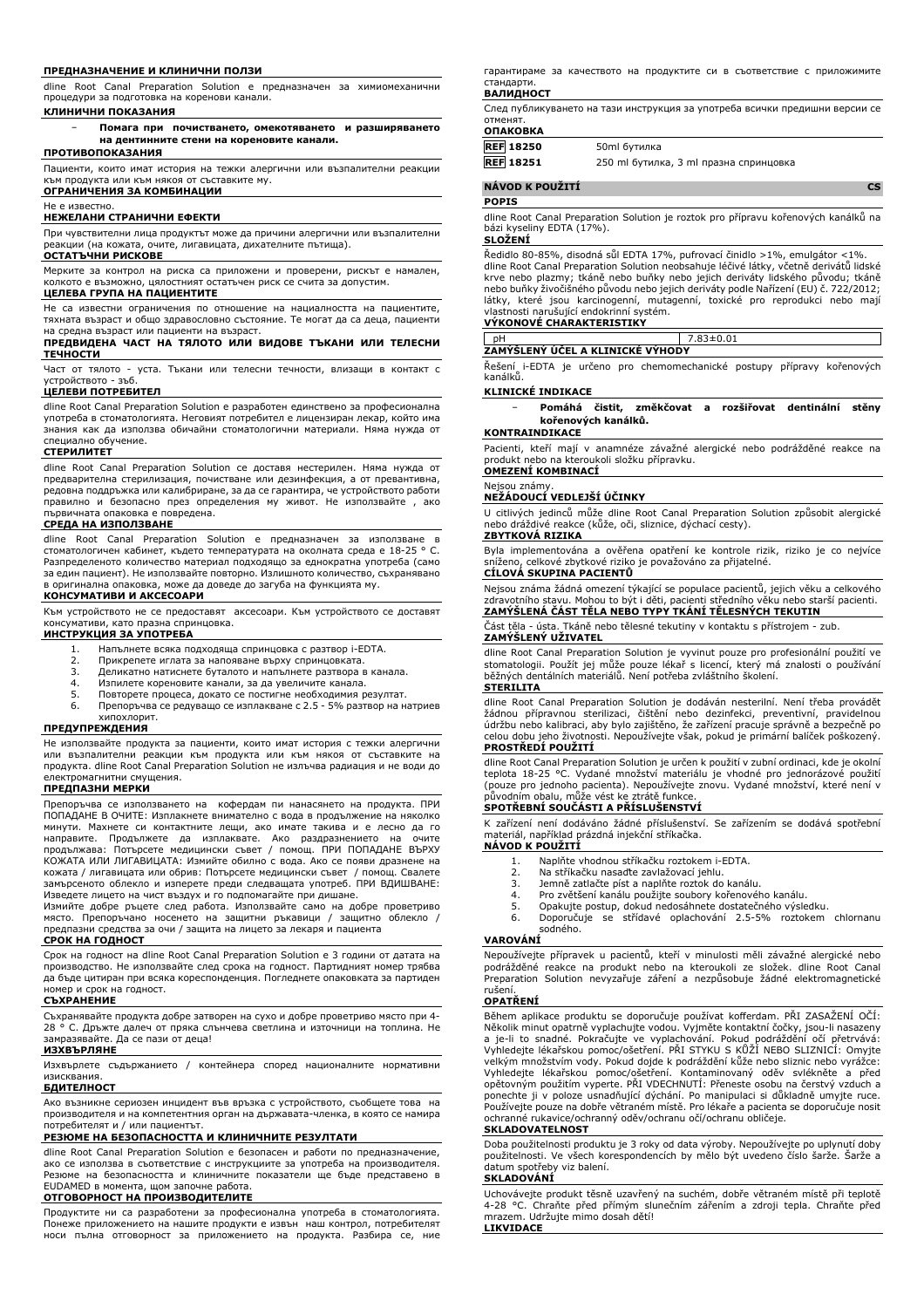#### **ПРЕДНАЗНАЧЕНИЕ И КЛИНИЧНИ ПОЛЗИ**

dline Root Canal Preparation Solution е предназначен за химиомеханични процедури за подготовка на коренови канали.

**КЛИНИЧНИ ПОКАЗАНИЯ**

− **Помага при почистването, омекотяването и разширяването на дентинните стени на кореновите канали.**

### **ПРОТИВОПОКАЗАНИЯ**

Пациенти, които имат история на тежки алергични или възпалителни реакции към продукта или към някоя от съставките му. **ОГРАНИЧЕНИЯ ЗА КОМБИНАЦИИ**

Не е известно.

#### **НЕЖЕЛАНИ СТРАНИЧНИ ЕФЕКТИ**

При чувствителни лица продуктът може да причини алергични или възпалителни реакции (на кожата, очите, лигавицата, дихателните пътища).

#### **ОСТАТЪЧНИ РИСКОВЕ**

Мерките за контрол на риска са приложени и проверени, рискът е намален, колкото е възможно, цялостният остатъчен риск се счита за допустим.

#### **ЦЕЛЕВА ГРУПА НА ПАЦИЕНТИТЕ**

Не са известни ограничения по отношение на нациалността на пациентите, тяхната възраст и общо здравословно състояние. Те могат да са деца, пациенти на средна възраст или пациенти на възраст.

#### **ПРЕДВИДЕНА ЧАСТ НА ТЯЛОТО ИЛИ ВИДОВЕ ТЪКАНИ ИЛИ ТЕЛЕСНИ ТЕЧНОСТИ**

Част от тялото - уста. Тъкани или телесни течности, влизащи в контакт с устройството - зъб.

#### **ЦЕЛЕВИ ПОТРЕБИТЕЛ**

dline Root Canal Preparation Solution е разработен единствено за професионална употреба в стоматологията. Неговият потребител е лицензиран лекар, който има знания как да използва обичайни стоматологични материали. Няма нужда от специално обучение.

#### **СТЕРИЛИТЕТ**

dline Root Canal Preparation Solution се доставя нестерилен. Няма нужда от предварителна стерилизация, почистване или дезинфекция, а от превантивна, редовна поддръжка или калибриране, за да се гарантира, че устройството работи правилно и безопасно през определения му живот. Не използвайте , ако първичната опаковка е повредена.

# **СРЕДА НА ИЗПОЛЗВАНЕ**

dline Root Canal Preparation Solution е предназначен за използване в стоматологичен кабинет, където температурата на околната среда е 18-25 ° C. Разпределеното количество материал подходящо за еднократна употреба (само за един пациент). Не използвайте повторно. Излишното количество, съхранявано в оригинална опаковка, може да доведе до загуба на функцията му.

### **КОНСУМАТИВИ И АКСЕСОАРИ**

Към устройството не се предоставят аксесоари. Към устройството се доставят сумативи, като празна спринцовка.

#### **ИНСТРУКЦИЯ ЗА УПОТРЕБА**

- 1. Напълнете всяка подходяща спринцовка с разтвор i-EDTA.<br>2. Прикрелете иглата за напояване върху спринцовката.
- 2. Прикрепете иглата за напояване върху спринцовката.<br>3. Деликатно натиснете буталото и напълнете разтвора в
- 3. Деликатно натиснете буталото и напълнете разтвора в канала.
- 4. Изпилете кореновите канали, за да увеличите канала. 5. Повторете процеса, докато се постигне необходимия резултат.
- 

6. Препоръчва се редуващо се изплакване с 2.5 - 5% разтвор на натриев хипохлорит.

#### **ПРЕДУПРЕЖДЕНИЯ**

Не използвайте продукта за пациенти, които имат история с тежки алергични или възпалителни реакции към продукта или към някоя от съставките на продукта. dline Root Canal Preparation Solution не излъчва радиация и не води до електромагнитни смущения.

# **ПРЕДПАЗНИ МЕРКИ**

Препоръчва се използването на кофердам пи нанасянето на продукта. ПРИ ПОПАДАНЕ В ОЧИТЕ: Изплакнете внимателно с вода в продължение на няколко минути. Махнете си контактните лещи, ако имате такива и е лесно да го направите. Продължете да изплаквате. Ако раздразнението на очите<br>продължава: Потърсете медицински съвет / помощ. ПРИ ПОПАДАНЕ ВЪРХУ<br>КОЖАТА ИЛИ ЛИГАВИЦАТА: Измийте обилно с вода. Ако се появи дразнене на кожата / лигавицата или обрив: Потърсете медицински съвет / помощ. Свалете замърсеното облекло и изперете преди следващата употреб. ПРИ ВДИШВАНЕ: Изведете лицето на чист въздух и го подпомагайте при дишане.

Измийте добре ръцете след работа. Използвайте само на добре проветриво място. Препоръчано носенето на защитни ръкавици / защитно облекло / предпазни средства за очи / защита на лицето за лекаря и пациента

# **СРОК НА ГОДНОСТ**

Срок на годност на dline Root Canal Preparation Solution е 3 години от датата на производство. Не използвайте след срока на годност. Партидният номер трябва да бъде цитиран при всяка кореспонденция. Погледнете опаковката за партиден номер и срок на годност.

#### **СЪХРАНЕНИЕ**

Съхранявайте продукта добре затворен на сухо и добре проветриво място при 4- 28 ° C. Дръжте далеч от пряка слънчева светлина и източници на топлина. Не замразявайте. Да се пази от деца!

# **ИЗХВЪРЛЯНЕ**

Изхвърлете съдържанието / контейнера според националните нормативни изисквания.

#### **БДИТЕЛНОСТ**

Ако възникне сериозен инцидент във връзка с устройството, съобщете това на производителя и на компетентния орган на държавата-членка, в която се намира потребителят и / или пациентът.

## **РЕЗЮМЕ НА БЕЗОПАСНОСТТА И КЛИНИЧНИТЕ РЕЗУЛТАТИ**

dline Root Canal Preparation Solution е безопасен и работи по предназначение, ако се използва в съответствие с инструкциите за употреба на производителя. Резюме на безопасността и клиничните показатели ще бъде представено в EUDAMED в момента, щом започне работа.

### **ОТГОВОРНОСТ НА ПРОИЗВОДИТЕЛИТЕ**

Продуктите ни са разработени за професионална употреба в стоматологията. Понеже приложението на нашите продукти е извън наш контрол, потребителят носи пълна отговорност за приложението на продукта. Разбира се, ние гарантираме за качеството на продуктите си в съответствие с приложимите стандарти.

### **ВАЛИДНОСТ**

След публикуването на тази инструкция за употреба всички предишни версии се отменят. **ОПАКОВКА**

| 50ml бутилка                           |
|----------------------------------------|
| 250 ml бутилка, 3 ml празна спринцовка |
|                                        |

## **NÁVOD K POUŽITÍ CS**

#### **POPIS**

dline Root Canal Preparation Solution je roztok pro přípravu kořenových kanálků na bázi kyseliny EDTA (17%).

# **SLOŽENÍ**

Ředidlo 80-85%, disodná sůl EDTA 17%, pufrovací činidlo >1%, emulgátor <1%. dline Root Canal Preparation Solution neobsahuje léčivé látky, včetně derivátů lidské krve nebo plazmy; tkáně nebo buňky nebo jejich deriváty lidského původu; tkáně nebo buňky živočišného původu nebo jejich deriváty podle Nařízení (EU) č. 722/2012; látky, které jsou karcinogenní, mutagenní, toxické pro reprodukci nebo mají vlastnosti narušující endokrinní systém.

### **VÝKONOVÉ CHARAKTERISTIKY**

# pH 7.83±0.01 **ZAMÝŠLENÝ ÚČEL A KLINICKÉ VÝHODY**

Řešení i-EDTA je určeno pro chemomechanické postupy přípravy kořenových kanálků.

#### **KLINICKÉ INDIKACE**

### − **Pomáhá čistit, změkčovat a rozšiřovat dentinální stěny kořenových kanálků.**

#### **KONTRAINDIKACE**

Pacienti, kteří mají v anamnéze závažné alergické nebo podrážděné reakce na produkt nebo na kteroukoli složku přípravku. **OMEZENÍ KOMBINACÍ**

#### Nejsou známy.

### **NEŽÁDOUCÍ VEDLEJŠÍ ÚČINKY**

U citlivých jedinců může dline Root Canal Preparation Solution způsobit alergické nebo dráždivé reakce (kůže, oči, sliznice, dýchací cesty). **ZBYTKOVÁ RIZIKA**

Byla implementována a ověřena opatření ke kontrole rizik, riziko je co nejvíce sníženo, celkové zbytkové riziko je považováno za přijatelné. **CÍLOVÁ SKUPINA PACIENTŮ**

Nejsou známa žádná omezení týkající se populace pacientů, jejich věku a celkového zdravotního stavu. Mohou to být i děti, pacienti středního věku nebo starší pacienti. **ZAMÝŠLENÁ ČÁST TĚLA NEBO TYPY TKÁNÍ TĚLESNÝCH TEKUTIN**

Část těla - ústa. Tkáně nebo tělesné tekutiny v kontaktu s přístrojem - zub. **ZAMÝŠLENÝ UŽIVATEL**

dline Root Canal Preparation Solution je vyvinut pouze pro profesionální použití ve stomatologii. Použít jej může pouze lékař s licencí, který má znalosti o používání běžných dentálních materiálů. Není potřeba zvláštního školení.

#### **STERILITA**

dline Root Canal Preparation Solution je dodáván nesterilní. Není třeba provádět žádnou přípravnou sterilizaci, čištění nebo dezinfekci, preventivní, pravidelnou údržbu nebo kalibraci, aby bylo zajištěno, že zařízení pracuje správně a bezpečně po celou dobu jeho životnosti. Nepoužívejte však, pokud je primární balíček poškozený. **PROSTŘEDÍ POUŽITÍ**

dline Root Canal Preparation Solution je určen k použití v zubní ordinaci, kde je okolní teplota 18-25 °C. Vydané množství materiálu je vhodné pro jednorázové použití (pouze pro jednoho pacienta). Nepoužívejte znovu. Vydané množství, které není v původním obalu, může vést ke ztrátě funkce.

#### **SPOTŘEBNÍ SOUČÁSTI A PŘÍSLUŠENSTVÍ**

K zařízení není dodáváno žádné příslušenství. Se zařízením se dodává spotřební materiál, například prázdná injekční stříkačka. **NÁVOD K POUŽITÍ**

- 1. Naplňte vhodnou stříkačku roztokem i-EDTA.<br>2. Na stříkačku nasaďte zavlažovací jehlu.
- 2. Na stříkačku nasaďte zavlažovací jehlu.
- 3. Jemně zatlačte píst a naplňte roztok do kanálu.
- 4. Pro zvětšení kanálu použijte soubory kořenového kanálu.<br>5. Opakujte postup, dokud nedosáhnete dostatečného výsle
- 5. Opakujte postup, dokud nedosáhnete dostatečného výsledku.<br>6. Doporučuje se střídavé oplachování 2.5-5% roztokem 6. Doporučuje se střídavé oplachování 2.5-5% roztokem chlornanu

# sodného.

#### **VAROVÁNÍ**

Nepoužívejte přípravek u pacientů, kteří v minulosti měli závažné alergické nebo podrážděné reakce na produkt nebo na kteroukoli ze složek. dline Root Canal Preparation Solution nevyzařuje záření a nezpůsobuje žádné elektromagnetické rušení.

## **OPATŘENÍ**

Během aplikace produktu se doporučuje používat kofferdam. PRI ZASAZENI OCI:<br>Několik minut opatrně vyplachujte vodou. Vyjměte kontaktní čočky, jsou-li nasazeny<br>a je-li to snadné. Pokračujte ve vyplachování. Pokud podráždění opětovným použitím vyperte. PRI VDECHNUTI: Přeneste osobu na čerstvý vzduch a<br>ponechte ji v poloze usnadňující dýchání. Po manipulaci si důkladně umyjte ruce.<br>Používejte pouze na dobře větraném místě. Pro lékaře a pacienta ochranné rukavice/ochranný oděv/ochranu očí/ochranu obličeje.

#### **SKLADOVATELNOST**

Doba použitelnosti produktu je 3 roky od data výroby. Nepoužívejte po uplynutí doby použitelnosti. Ve všech korespondencích by mělo být uvedeno číslo šarže. Šarže a datum spotřeby viz balení.

### **SKLADOVÁNÍ**

Uchovávejte produkt těsně uzavřený na suchém, dobře větraném místě při teplotě 4-28 °C. Chraňte před přímým slunečním zářením a zdroji tepla. Chraňte před mrazem. Udržujte mimo dosah dětí! **LIKVIDACE**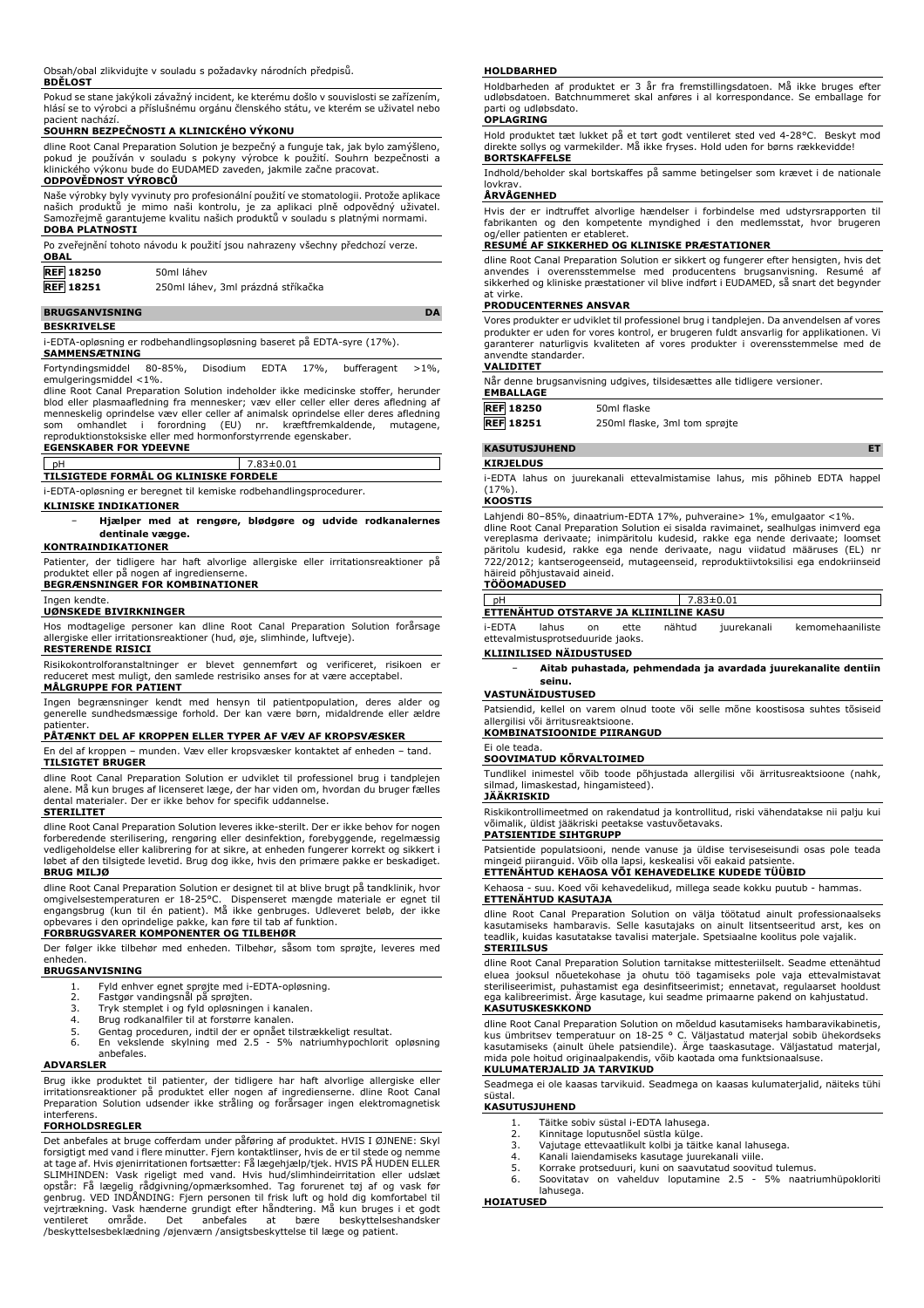Obsah/obal zlikvidujte v souladu s požadavky národních předpisů.

## **BDĚLOST**

Pokud se stane jakýkoli závažný incident, ke kterému došlo v souvislosti se zařízením, hlásí se to výrobci a příslušnému orgánu členského státu, ve kterém se uživatel nebo pacient nachází.

# **SOUHRN BEZPEČNOSTI A KLINICKÉHO VÝKONU**

dline Root Canal Preparation Solution je bezpečný a funguje tak, jak bylo zamýšleno, pokud je používán v souladu s pokyny výrobce k použití. Souhrn bezpečnosti a klinického výkonu bude do EUDAMED zaveden, jakmile začne pracovat. **ODPOVĚDNOST VÝROBCŮ**

# Naše výrobky byly vyvinuty pro profesionální použití ve stomatologii. Protože aplikace našich produktů je mimo naši kontrolu, je za aplikaci plně odpovědný uživatel. Samozřejmě garantujeme kvalitu našich produktů v souladu s platnými normami.

| <b>DOBA PLATNOSTI</b> |                                                                               |
|-----------------------|-------------------------------------------------------------------------------|
|                       | Po zveřejnění tohoto návodu k použití jsou nahrazeny všechny předchozí verze. |
| <b>OBAL</b>           |                                                                               |
| <b>REF 18250</b>      | 50ml láhev                                                                    |
| <b>REF</b> 18251      | 250ml láhev, 3ml prázdná stříkačka                                            |
|                       |                                                                               |

# **BRUGSANVISNING DA**

**BESKRIVELSE**

i-EDTA-opløsning er rodbehandlingsopløsning baseret på EDTA-syre (17%).

**SAMMENSÆTNING** Fortyndingsmiddel 80-85%, Disodium EDTA 17%, bufferagent >1%, emulgeringsmiddel <1%.

dline Root Canal Preparation Solution indeholder ikke medicinske stoffer, herunder blod eller plasmaafledning fra mennesker; væv eller celler eller deres afledning af menneskelig oprindelse væv eller celler af animalsk oprindelse eller deres afledning som omhandlet i forordning (EU) nr. kræftfremkaldende, mutagene, reproduktionstoksiske eller med hormonforstyrrende egenskaber.

# **EGENSKABER FOR YDEEVNE** pH 7.83±0.01

**TILSIGTEDE FORMÅL OG KLINISKE FORDELE**

i-EDTA-opløsning er beregnet til kemiske rodbehandlingsprocedurer.

**KLINISKE INDIKATIONER**

#### − **Hjælper med at rengøre, blødgøre og udvide rodkanalernes dentinale vægge.**

## **KONTRAINDIKATIONER**

Patienter, der tidligere har haft alvorlige allergiske eller irritationsreaktioner på produktet eller på nogen af ingredienserne. **BEGRÆNSNINGER FOR KOMBINATIONER**

Ingen kendte.

# **UØNSKEDE BIVIRKNINGER**

Hos modtagelige personer kan dline Root Canal Preparation Solution forårsage allergiske eller irritationsreaktioner (hud, øje, slimhinde, luftveje).

# **RESTERENDE RISICI**

Risikokontrolforanstaltninger er blevet gennemført og verificeret, risikoen er reduceret mest muligt, den samlede restrisiko anses for at være acceptabel.

# **MÅLGRUPPE FOR PATIENT**

Ingen begrænsninger kendt med hensyn til patientpopulation, deres alder og generelle sundhedsmæssige forhold. Der kan være børn, midaldrende eller ældre

# patienter. **PÅTÆNKT DEL AF KROPPEN ELLER TYPER AF VÆV AF KROPSVÆSKER**

En del af kroppen – munden. Væv eller kropsvæsker kontaktet af enheden – tand. **TILSIGTET BRUGER**

dline Root Canal Preparation Solution er udviklet til professionel brug i tandplejen alene. Må kun bruges af licenseret læge, der har viden om, hvordan du bruger fælles dental materialer. Der er ikke behov for specifik uddannelse.

#### **STERILITET**

dline Root Canal Preparation Solution leveres ikke-sterilt. Der er ikke behov for nogen forberedende sterilisering, rengøring eller desinfektion, forebyggende, regelmæssig vedligeholdelse eller kalibrering for at sikre, at enheden fungerer korrekt og sikkert i løbet af den tilsigtede levetid. Brug dog ikke, hvis den primære pakke er beskadiget. **BRUG MILJØ**

dline Root Canal Preparation Solution er designet til at blive brugt på tandklinik, hvor omgivelsestemperaturen er 18-25°C. Dispenseret mængde materiale er egnet til engangsbrug (kun til én patient). Må ikke genbruges. Udleveret beløb, der ikke opbevares i den oprindelige pakke, kan føre til tab af funktion.

# **FORBRUGSVARER KOMPONENTER OG TILBEHØR**

Der følger ikke tilbehør med enheden. Tilbehør, såsom tom sprøjte, leveres med enheden. **BRUGSANVISNING**

- -
	-
	- 1. Fyld enhver egnet sprøjte med i-EDTA-opløsning. 2. Fastgør vandingsnål på sprøjten. 3. Tryk stemplet i og fyld opløsningen i kanalen. 4. Brug rodkanalfiler til at forstørre kanalen.
	-
	- 5. Gentag proceduren, indtil der er opnået tilstrækkeligt resultat. 6. En vekslende skylning med 2.5 5% natriumhypochlorit opløsning anbefales.

#### **ADVARSLER**

Brug ikke produktet til patienter, der tidligere har haft alvorlige allergiske eller irritationsreaktioner på produktet eller nogen af ingredienserne. dline Root Canal Preparation Solution udsender ikke stråling og forårsager ingen elektromagnetisk interferens.

#### **FORHOLDSREGLER**

Det anbefales at bruge cofferdam under påføring af produktet. HVIS I ØJNENE: Skyl forsigtigt med vand i flere minutter. Fjern kontaktlinser, hvis de er til stede og nemme at tage af. Hvis øjenirritationen fortsætter: Få lægehjælp/tjek. HVIS PÅ HUDEN ELLER SLIMHINDEN: Vask rigeligt med vand. Hvis hud/slimhindeirritation eller udslæt<br>opstår: Få lægelig rådgivning/opmærksomhed. Tag forurenet tøj af og vask før<br>genbrug. VED INDÅNDING: Fjern personen til frisk luft og hold dig k ventilleret område. Det anbefales at bære beskyttelsesbeklædning /øjenværn /ansigtsbeskyttelse til læge og patient.<br>
Seskyttelsesbeklædning /øjenværn /ansigtsbeskyttelse til læge og patient.

#### **HOLDBARHED**

Holdbarheden af produktet er 3 år fra fremstillingsdatoen. Må ikke bruges efter udløbsdatoen. Batchnummeret skal anføres i al korrespondance. Se emballage for parti og udløbsdato.

# **OPLAGRING**

Hold produktet tæt lukket på et tørt godt ventileret sted ved 4-28°C. Beskyt mod direkte sollys og varmekilder. Må ikke fryses. Hold uden for børns rækkevidde! **BORTSKAFFELSE**

Indhold/beholder skal bortskaffes på samme betingelser som krævet i de nationale lovkrav.

# **ÅRVÅGENHED**

Hvis der er indtruffet alvorlige hændelser i forbindelse med udstyrsrapporten til fabrikanten og den kompetente myndighed i den medlemsstat, hvor brugeren og/eller patienten er etableret.

# **RESUMÉ AF SIKKERHED OG KLINISKE PRÆSTATIONER**

dline Root Canal Preparation Solution er sikkert og fungerer efter hensigten, hvis det anvendes i overensstemmelse med producentens brugsanvisning. Resumé af anvendes i overensstemmelse med producentens sikkerhed og kliniske præstationer vil blive indført i EUDAMED, så snart det begynder at virke.

#### **PRODUCENTERNES ANSVAR**

Vores produkter er udviklet til professionel brug i tandplejen. Da anvendelsen af vores produkter er uden for vores kontrol, er brugeren fuldt ansvarlig for applikationen. Vi garanterer naturligvis kvaliteten af vores produkter i overensstemmelse med de anvendte standarder.

# **VALIDITET**

| Når denne brugsanvisning udgives, tilsidesættes alle tidligere versioner. |  |
|---------------------------------------------------------------------------|--|
| EMBALLAGE                                                                 |  |

| <b>REF 18250</b> | 50ml flaske                   |
|------------------|-------------------------------|
| <b>REF</b> 18251 | 250ml flaske, 3ml tom sprøjte |

# **KASUTUSJUHEND ET**

**KIRJELDUS**

i-EDTA lahus on juurekanali ettevalmistamise lahus, mis põhineb EDTA happel

# (17%). **KOOSTIS**

Lahiendi 80–85%, dinaatrium-EDTA 17%, puhveraine> 1%, emulgaator <1%. dline Root Canal Preparation Solution ei sisalda ravimainet, sealhulgas inimverd ega vereplasma derivaate; inimpäritolu kudesid, rakke ega nende derivaate; loomset päritolu kudesid, rakke ega nende derivaate, nagu viidatud määruses (EL) nr 722/2012; kantserogeenseid, mutageenseid, reproduktiivtoksilisi ega endokriinseid häireid põhjustavaid aineid.

# **TÖÖOMADUSED**

| nH                               |       |   |      |                                        | $7.83 \pm 0.01$ |                  |  |
|----------------------------------|-------|---|------|----------------------------------------|-----------------|------------------|--|
|                                  |       |   |      | ETTENÄHTUD OTSTARVE JA KLIINILINE KASU |                 |                  |  |
| i-FDTA                           | lahus | n | ette | nähtud                                 | juurekanali     | kemomehaaniliste |  |
| attevalmictusnrotseduuride jaoks |       |   |      |                                        |                 |                  |  |

ettevalmistusprotseduuride **KLIINILISED NÄIDUSTUSED**

#### − **Aitab puhastada, pehmendada ja avardada juurekanalite dentiin seinu.**

#### **VASTUNÄIDUSTUSED**

Patsiendid, kellel on varem olnud toote või selle mõne koostisosa suhtes tõsiseid allergilisi või ärritusreaktsioone.

# **KOMBINATSIOONIDE PIIRANGUD**

#### Ei ole teada. **SOOVIMATUD KÕRVALTOIMED**

Tundlikel inimestel võib toode põhjustada allergilisi või ärritusreaktsioone (nahk, silmad, limaskestad, hingamisteed). **JÄÄKRISKID**

Riskikontrollimeetmed on rakendatud ja kontrollitud, riski vähendatakse nii palju kui võimalik, üldist jääkriski peetakse vastuvõetavaks.

#### **PATSIENTIDE SIHTGRUPP**

Patsientide populatsiooni, nende vanuse ja üldise terviseseisundi osas pole teada mingeid piiranguid. Võib olla lapsi, keskealisi või eakaid patsiente.

# **ETTENÄHTUD KEHAOSA VÕI KEHAVEDELIKE KUDEDE TÜÜBID**

Kehaosa - suu. Koed või kehavedelikud, millega seade kokku puutub - hammas. **ETTENÄHTUD KASUTAJA**

# dline Root Canal Preparation Solution on välja töötatud ainult professionaalseks kasutamiseks hambaravis. Selle kasutajaks on ainult litsentseeritud arst, kes on teadlik, kuidas kasutatakse tavalisi materjale. Spetsiaalne koolitus pole vajalik.

### **STERIILSUS**

dline Root Canal Preparation Solution tarnitakse mittesteriilselt. Seadme ettenähtud eluea jooksul nõuetekohase ja ohutu töö tagamiseks pole vaja ettevalmistavat steriliseerimist, puhastamist ega desinfitseerimist; ennetavat, regulaarset hooldust ega kalibreerimist. Ärge kasutage, kui seadme primaarne pakend on kahjustatud. **KASUTUSKESKKOND**

dline Root Canal Preparation Solution on mõeldud kasutamiseks hambaravikabinetis,<br>kus ümbritsev temperatuur on 18-25 ° C. Väljastatud materjal sobib ühekordseks<br>kasutamiseks (ainult ühele patsiendile). Ärge taaskasutage. V **KULUMATERJALID JA TARVIKUD**

Seadmega ei ole kaasas tarvikuid. Seadmega on kaasas kulumaterjalid, näiteks tühi süstal.

#### **KASUTUSJUHEND**

- 1. Täitke sobiv süstal i-EDTA lahusega.<br>2. Kinnitage loputusnõel süstla külge.
- 2. Kinnitage loputusnõel süstla külge.<br>2. Kinnitage loputusnõel süstla külge.<br>3. Vaiutage ettevaatlikult kolbi ja täit
- 3. Vajutage ettevaatlikult kolbi ja täitke kanal lahusega.
- 4. Kanali laiendamiseks kasutage juurekanali viile.
- 5. Korrake protseduuri, kuni on saavutatud soovitud tulemus.<br>6. Soovitatav on vahelduv loputamine 2.5 5% naatri 6. Soovitatav on vahelduv loputamine 2.5 - 5% naatriumhüpokloriti lahusega.

## **HOIATUSED**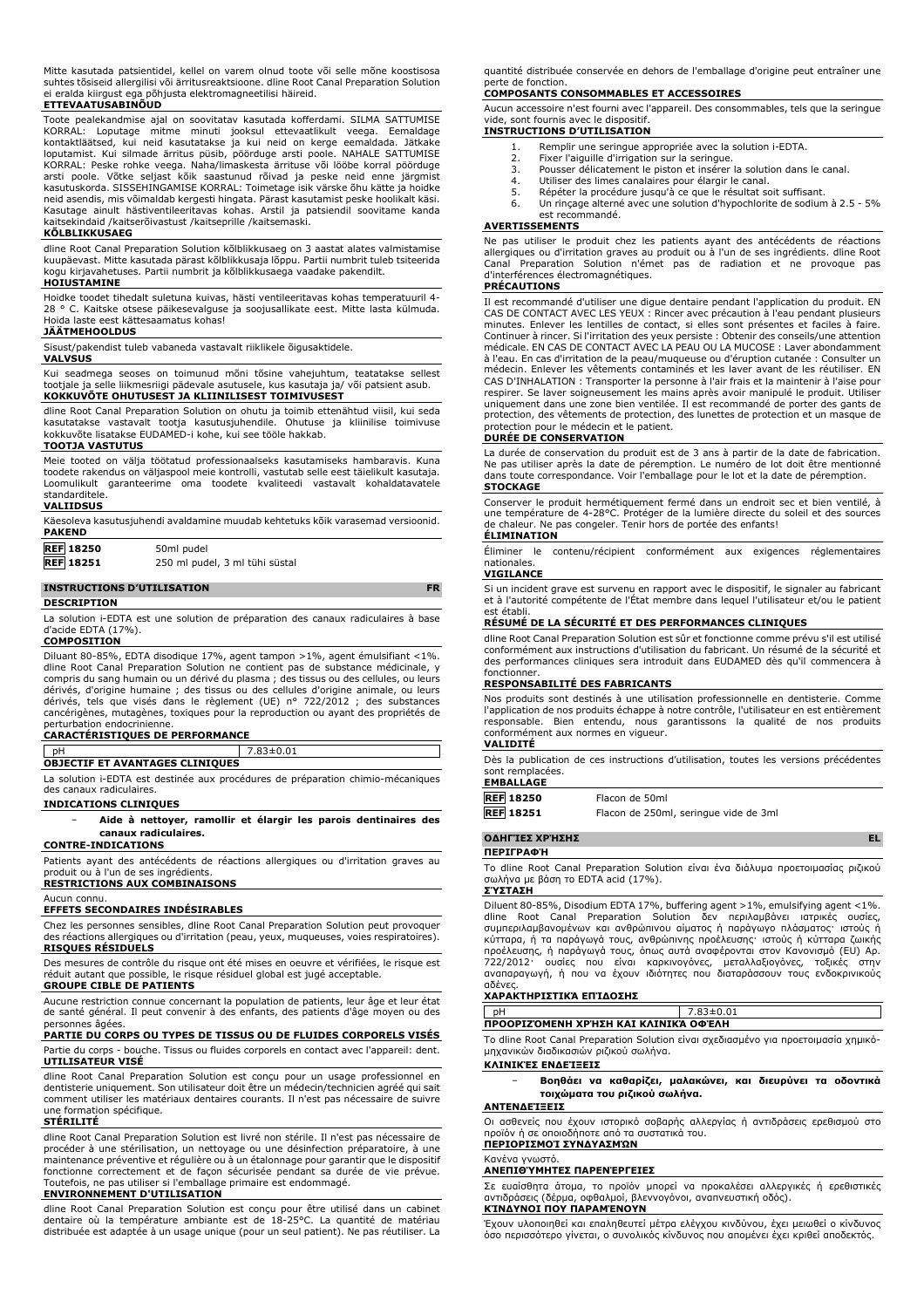|  | Mitte kasutada patsientidel, kellel on varem olnud toote või selle mõne koostisosa        |  |  |  |  |  |
|--|-------------------------------------------------------------------------------------------|--|--|--|--|--|
|  | suhtes tõsiseid allergilisi või ärritusreaktsioone. dline Root Canal Preparation Solution |  |  |  |  |  |
|  | ei eralda kiirgust ega põhjusta elektromagneetilisi häireid.                              |  |  |  |  |  |
|  |                                                                                           |  |  |  |  |  |

#### **ETTEVAATUSABINÕUD**

Toote pealekandmise ajal on soovitatav kasutada kofferdami. SILMA SATTUMISE KORRAL: Loputage mitme minuti jooksul ettevaatlikult veega. Eemaldage<br>kontaktläätsed, kui neid kasutatakse ja kui neid on kerge eemaldada. Jätkake<br>loputamist. Kui silmade ärritus püsib, pöörduge arsti poole. NAHALE SATTUMI KORRAL: Peske rohke veega. Naha/limaskesta ärrituse või lööbe korral pöörduge arsti poole. Võtke seljast kõik saastunud rõivad ja peske neid enne järgmist kasutuskorda. SISSEHINGAMISE KORRAL: Toimetage isik värske õhu kätte ja hoidke neid asendis, mis võimaldab kergesti hingata. Pärast kasutamist peske hoolikalt käsi. Kasutage ainult hästiventileeritavas kohas. Arstil ja patsiendil soovitame kanda kaitsekindaid /kaitserõivastust /kaitseprille /kaitsemaski.

#### **KÕLBLIKKUSAEG**

dline Root Canal Preparation Solution kõlblikkusaeg on 3 aastat alates valmistamise kuupäevast. Mitte kasutada pärast kõlblikkusaja lõppu. Partii numbrit tuleb tsiteerida kogu kirjavahetuses. Partii numbrit ja kõlblikkusaega vaadake pakendilt.

#### **HOIUSTAMINE**

Hoidke toodet tihedalt suletuna kuivas, hästi ventileeritavas kohas temperatuuril 4- 28 ° C. Kaitske otsese päikesevalguse ja soojusallikate eest. Mitte lasta külmuda. Hoida laste eest kättesaamatus kohas! **JÄÄTMEHOOLDUS**

Sisust/pakendist tuleb vabaneda vastavalt riiklikele õigusaktidele.

# **VALVSUS**

Kui seadmega seoses on toimunud mõni tõsine vahejuhtum, teatatakse sellest tootjale ja selle liikmesriigi pädevale asutusele, kus kasutaja ja/ või patsient asub. **KOKKUVÕTE OHUTUSEST JA KLIINILISEST TOIMIVUSEST**

dline Root Canal Preparation Solution on ohutu ja toimib ettenähtud viisil, kui seda kasutatakse vastavalt tootja kasutusjuhendile. Ohutuse ja kliinilise toimivuse kokkuvõte lisatakse EUDAMED-i kohe, kui see tööle hakkab.

#### **TOOTJA VASTUTUS**

Meie tooted on välja töötatud professionaalseks kasutamiseks hambaravis. Kuna toodete rakendus on väljaspool meie kontrolli, vastutab selle eest täielikult kasutaja. Loomulikult garanteerime oma toodete kvaliteedi vastavalt kohaldatavatele standarditele.

# **VALIIDSUS**

| <b>PAKEND</b>    | Käesoleva kasutusjuhendi avaldamine muudab kehtetuks kõik varasemad versioonid. |
|------------------|---------------------------------------------------------------------------------|
| <b>REF</b> 18250 | 50ml pudel                                                                      |

**REF 18251** 250 ml pudel, 3 ml tühi süstal

### **INSTRUCTIONS D'UTILISATION FR**

#### **DESCRIPTION**

La solution i-EDTA est une solution de préparation des canaux radiculaires à base d'acide EDTA (17%).

# **COMPOSITION**

Diluant 80-85%, EDTA disodique 17%, agent tampon >1%, agent émulsifiant <1%. dline Root Canal Preparation Solution ne contient pas de substance médicinale, y compris du sang humain ou un dérivé du plasma ; des tissus ou des cellules, ou leurs dérivés, d'origine humaine ; des tissus ou des cellules d'origine animale, ou leurs dérivés, tels que visés dans le règlement (UE) n° 722/2012 ; des substances cancérigènes, mutagènes, toxiques pour la reproduction ou ayant des propriétés de perturbation endocrinienne.

# **CARACTÉRISTIQUES DE PERFORMANCE**

pH 7.83±0.01 **OBJECTIF ET AVANTAGES CLINIQUES**

La solution i-EDTA est destinée aux procédures de préparation chimio-mécaniques des canaux radiculaires.

### **INDICATIONS CLINIQUES**

− **Aide à nettoyer, ramollir et élargir les parois dentinaires des canaux radiculaires.**

## **CONTRE-INDICATIONS**

Patients ayant des antécédents de réactions allergiques ou d'irritation graves au produit ou à l'un de ses ingrédients. **RESTRICTIONS AUX COMBINAISONS**

#### Aucun connu. **EFFETS SECONDAIRES INDÉSIRABLES**

Chez les personnes sensibles, dline Root Canal Preparation Solution peut provoquer des réactions allergiques ou d'irritation (peau, yeux, muqueuses, voies respiratoires). **RISQUES RÉSIDUELS**

Des mesures de contrôle du risque ont été mises en oeuvre et vérifiées, le risque est réduit autant que possible, le risque résiduel global est jugé acceptable. **GROUPE CIBLE DE PATIENTS**

Aucune restriction connue concernant la population de patients, leur âge et leur état de santé général. Il peut convenir à des enfants, des patients d'âge moyen ou des personnes âgées.

#### **PARTIE DU CORPS OU TYPES DE TISSUS OU DE FLUIDES CORPORELS VISÉS** Partie du corps - bouche. Tissus ou fluides corporels en contact avec l'appareil: dent. **UTILISATEUR VISÉ**

dline Root Canal Preparation Solution est conçu pour un usage professionnel en dentisterie uniquement. Son utilisateur doit être un médecin/technicien agréé qui sait comment utiliser les matériaux dentaires courants. Il n'est pas nécessaire de suivre une formation spécifique.

#### **STÉRILITÉ**

dline Root Canal Preparation Solution est livré non stérile. Il n'est pas nécessaire de procéder à une stérilisation, un nettoyage ou une désinfection préparatoire, à une maintenance préventive et régulière ou à un étalonnage pour garantir que le dispositif fonctionne correctement et de façon sécurisée pendant sa durée de vie prévue. Toutefois, ne pas utiliser si l'emballage primaire est endommagé.

### **ENVIRONNEMENT D'UTILISATION**

dline Root Canal Preparation Solution est conçu pour être utilisé dans un cabinet dentaire où la température ambiante est de 18-25°C. La quantité de matériau distribuée est adaptée à un usage unique (pour un seul patient). Ne pas réutiliser. La quantité distribuée conservée en dehors de l'emballage d'origine peut entraîner une perte de fonction.

### **COMPOSANTS CONSOMMABLES ET ACCESSOIRES**

Aucun accessoire n'est fourni avec l'appareil. Des consommables, tels que la seringue vide, sont fournis avec le dispositif.

# **INSTRUCTIONS D'UTILISATION**

- 1. Remplir une seringue appropriée avec la solution i-EDTA.<br>2. Fixer l'aiguille d'irrigation sur la seringue.
- 2. Fixer l'aiguille d'irrigation sur la seringue.<br>3. Pousser délicatement le piston et insérer<br>4. Utiliser des limes canalaires pour élargir l Pousser délicatement le piston et insérer la solution dans le canal.
- 
- 4. Utiliser des limes canalaires pour élargir le canal. 5. Répéter la procédure jusqu'à ce que le résultat soit suffisant.
- 6. Un rinçage alterné avec une solution d'hypochlorite de sodium à 2.5 5% est recommandé.

#### **AVERTISSEMENTS**

Ne pas utiliser le produit chez les patients ayant des antécédents de réactions allergiques ou d'irritation graves au produit ou à l'un de ses ingrédients. dline Root Canal Preparation Solution n'émet pas de radiation et ne provoque pas d'interférences électromagnétiques.

## **PRÉCAUTIONS**

Il est recommandé d'utiliser une digue dentaire pendant l'application du produit. EN CAS DE CONTACT AVEC LES YEUX : Rincer avec précaution à l'eau pendant plusieurs minutes. Enlever les lentilles de contact, si elles sont présentes et faciles à faire. Continuer à rincer. Si l'irritation des yeux persiste : Obtenir des conseils/une attention médicale. EN CAS DE CONTACT AVEC LA PEAU OU LA MUCOSE : Laver abondamment à l'eau. En cas d'irritation de la peau/muqueuse ou d'éruption cutanée : Consulter un médecin. Enlever les vêtements contaminés et les laver avant de les réutiliser. EN CAS D'INHALATION : Transporter la personne à l'air frais et la maintenir à l'aise pour respirer. Se laver soigneusement les mains après avoir manipulé le produit. Utiliser uniquement dans une zone bien ventilée. Il est recommandé de porter des gants de protection, des vêtements de protection, des lunettes de protection et un masque de protection pour le médecin et le patient.

#### **DURÉE DE CONSERVATION**

La durée de conservation du produit est de 3 ans à partir de la date de fabrication. Ne pas utiliser après la date de péremption. Le numéro de lot doit être mentionné dans toute correspondance. Voir l'emballage pour le lot et la date de péremption. **STOCKAGE**

Conserver le produit hermétiquement fermé dans un endroit sec et bien ventilé, à une température de 4-28°C. Protéger de la lumière directe du soleil et des sources de chaleur. Ne pas congeler. Tenir hors de portée des enfants!

# **ÉLIMINATION**

Éliminer le contenu/récipient conformément aux exigences réglementaires nationales.

### **VIGILANCE**

Si un incident grave est survenu en rapport avec le dispositif, le signaler au fabricant et à l'autorité compétente de l'État membre dans lequel l'utilisateur et/ou le patient est établi.

## **RÉSUMÉ DE LA SÉCURITÉ ET DES PERFORMANCES CLINIQUES**

dline Root Canal Preparation Solution est sûr et fonctionne comme prévu s'il est utilisé conformément aux instructions d'utilisation du fabricant. Un résumé de la sécurité et des performances cliniques sera introduit dans EUDAMED dès qu'il commencera à fonctionner.

### **RESPONSABILITÉ DES FABRICANTS**

Nos produits sont destinés à une utilisation professionnelle en dentisterie. Comme l'application de nos produits échappe à notre contrôle, l'utilisateur en est entièrement responsable. Bien entendu, nous garantissons la qualité de nos produits conformément aux normes en vigueur.

# **VALIDITÉ**

Dès la publication de ces instructions d'utilisation, toutes les versions précédentes sont remplacées. **EMBALLAGE**

| ----------       |                                       |
|------------------|---------------------------------------|
| <b>REF 18250</b> | Flacon de 50ml                        |
| <b>REF</b> 18251 | Flacon de 250ml, seringue vide de 3ml |

#### **ΟΔΗΓΊΕΣ ΧΡΉΣΗΣ EL**

#### **ΠΕΡΙΓΡΑΦΉ**

Το dline Root Canal Preparation Solution είναι ένα διάλυμα προετοιμασίας ριζικού σωλήνα με βάση το EDTA acid (17%). **ΣΎΣΤΑΣΗ**

# Diluent 80-85%, Disodium EDTA 17%, buffering agent >1%, emulsifying agent <1%.<br>dline Root Canal Preparation Solution δεν пεριλαμβάνει αστρικές ουσίες,<br>συμπεριλαμβανομένων και ανθρώπινου αίματος κύτταρα, ή τα παράγωγά τους, ανθρώπινης προέλευσης· ιστούς ή κύτταρα ζωικής προέλευσης, ή παράγωγά τους, όπως αυτά αναφέρονται στον Κανονισμό (EU) Αρ. 722/2012· ουσίες που είναι καρκινογόνες, μεταλλαξιογόνες, τοξικές στην αναπαραγωγή, ή που να έχουν ιδιότητες που διαταράσσουν τους ενδοκρινικούς

# αδένες. **ΧΑΡΑΚΤΗΡΙΣΤΙΚΆ ΕΠΊΔΟΣΗΣ**

pH 7.83±0.01

# **ΠΡΟΟΡΙΖΌΜΕΝΗ ΧΡΉΣΗ ΚΑΙ ΚΛΙΝΙΚΆ ΟΦΈΛΗ**

Το dline Root Canal Preparation Solution είναι σχεδιασμένο για προετοιμασία χημικόμηχανικών διαδικασιών ριζικού σωλήνα.

# **ΚΛΙΝΙΚΈΣ ΕΝΔΕΊΞΕΙΣ**

− **Βοηθάει να καθαρίζει, μαλακώνει, και διευρύνει τα οδοντικά τοιχώματα του ριζικού σωλήνα.**

# **ΑΝΤΕΝΔΕΊΞΕΙΣ**

Οι ασθενείς που έχουν ιστορικό σοβαρής αλλεργίας ή αντιδράσεις ερεθισμού στο προϊόν ή σε οποιοδήποτε από τα συστατικά του. **ΠΕΡΙΟΡΙΣΜΟΊ ΣΥΝΔΥΑΣΜΏΝ**

# Κανένα γνωστό. **ΑΝΕΠΙΘΎΜΗΤΕΣ ΠΑΡΕΝΈΡΓΕΙΕΣ**

Σε ευαίσθητα άτομα, το προϊόν μπορεί να προκαλέσει αλλεργικές ή ερεθιστικές αντιδράσεις (δέρμα, οφθαλμοί, βλεννογόνοι, αναπνευστική οδός). **ΚΊΝΔΥΝΟΙ ΠΟΥ ΠΑΡΑΜΈΝΟΥΝ**

Έχουν υλοποιηθεί και επαληθευτεί μέτρα ελέγχου κινδύνου, έχει μειωθεί ο κίνδυνος όσο περισσότερο γίνεται, ο συνολικός κίνδυνος που απομένει έχει κριθεί αποδεκτός.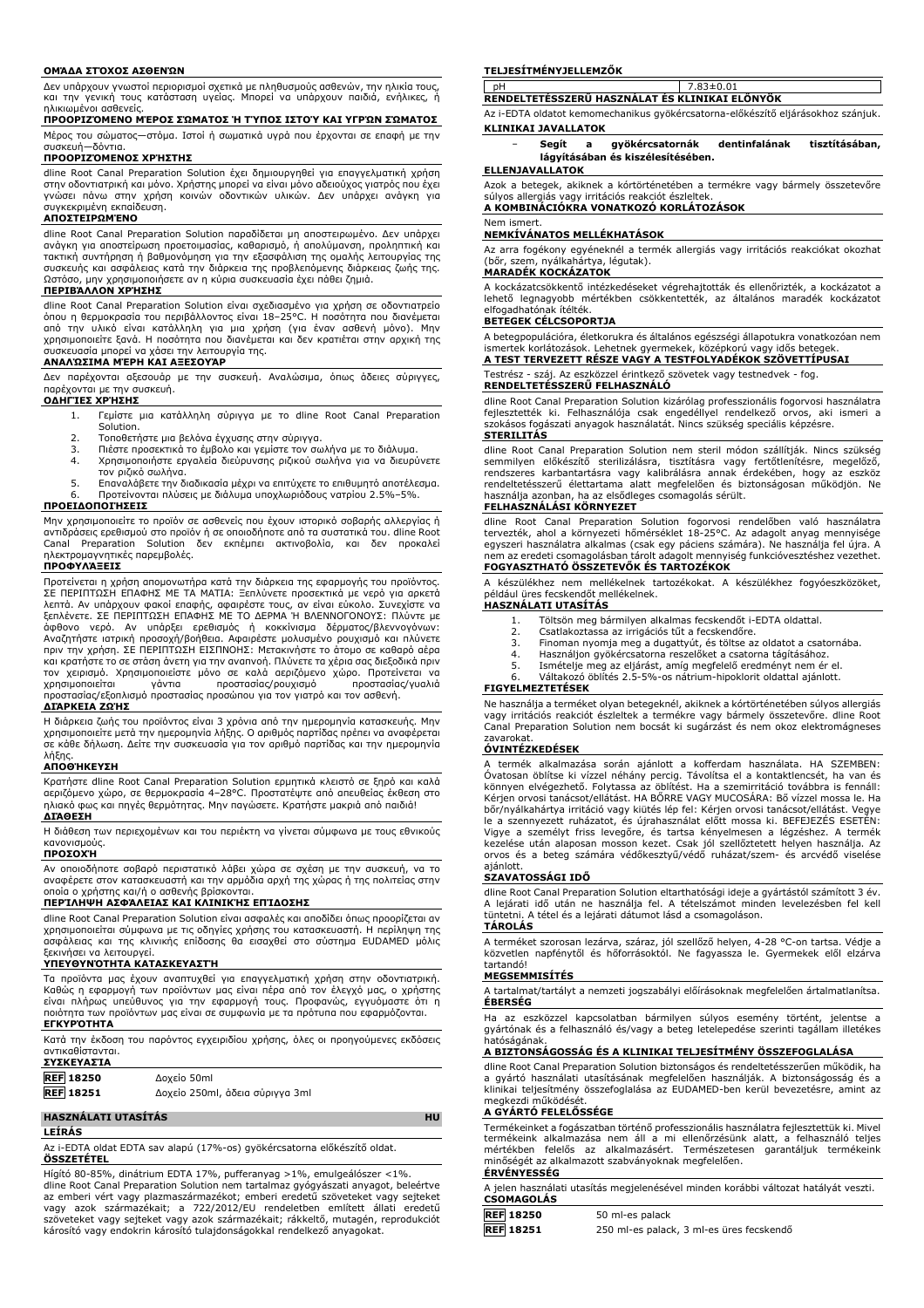#### **ΟΜΆΔΑ ΣΤΌΧΟΣ ΑΣΘΕΝΏΝ**

Δεν υπάρχουν γνωστοί περιορισμοί σχετικά με πληθυσμούς ασθενών, την ηλικία τους, και την γενική τους κατάσταση υγείας. Μπορεί να υπάρχουν παιδιά, ενήλικες, ή ηλικιωμένοι ασθενείς.

#### **ΠΡΟΟΡΙΖΌΜΕΝΟ ΜΈΡΟΣ ΣΏΜΑΤΟΣ Ή ΤΎΠΟΣ ΙΣΤΟΎ ΚΑΙ ΥΓΡΏΝ ΣΏΜΑΤΟΣ**

Μέρος του σώματος—στόμα. Ιστοί ή σωματικά υγρά που έρχονται σε επαφή με την συσκευή—δόντια.

# **ΠΡΟΟΡΙΖΌΜΕΝΟΣ ΧΡΉΣΤΗΣ**

dline Root Canal Preparation Solution έχει δημιουργηθεί για επαγγελματική χρήση στην οδοντιατρική και μόνο. Χρήστης μπορεί να είναι μόνο αδειούχος γιατρός που έχει γνώσει πάνω στην χρήση κοινών οδοντικών υλικών. Δεν υπάρχει ανάγκη για συγκεκριμένη εκπαίδευση.

# **ΑΠΟΣΤΕΙΡΩΜΈΝΟ**

dline Root Canal Preparation Solution παραδίδεται μη αποστειρωμένο. Δεν υπάρχει ανάγκη για αποστείρωση προετοιμασίας, καθαρισμό, ή απολύμανση, προληπτική και τακτική συντήρηση ή βαθμονόμηση για την εξασφάλιση της ομαλής λειτουργίας της συσκευής και ασφάλειας κατά την διάρκεια της προβλεπόμενης διάρκειας ζωής της. Ωστόσο, μην χρησιμοποιήσετε αν η κύρια συσκευασία έχει πάθει ζημιά.

#### **ΠΕΡΙΒΆΛΛΟΝ ΧΡΉΣΗΣ**

dline Root Canal Preparation Solution είναι σχεδιασμένο για χρήση σε οδοντιατρείο όπου η θερμοκρασία του περιβάλλοντος είναι 18–25°C. Η ποσότητα που διανέμεται από την υλικό είναι κατάλληλη για μια χρήση (για έναν ασθενή μόνο). Μην χρησιμοποιείτε ξανά. Η ποσότητα που διανέμεται και δεν κρατιέται στην αρχική της συσκευασία μπορεί να χάσει την λειτουργία της.

# **ΑΝΑΛΏΣΙΜΑ ΜΈΡΗ ΚΑΙ ΑΞΕΣΟΥΆΡ**

Δεν παρέχονται αξεσουάρ με την συσκευή. Αναλώσιμα, όπως άδειες σύριγγες, παρέχονται με την συσκευή.

# **ΟΔΗΓΊΕΣ ΧΡΉΣΗΣ**

- 1. Γεμίστε μια κατάλληλη σύριγγα με το dline Root Canal Preparation **Solution**
- 
- 2. Τοποθετήστε μια βελόνα έγχυσης στην σύριγγα. 3. Πιέστε προσεκτικά το έμβολο και γεμίστε τον σωλήνα με το διάλυμα.
- 4. Χρησιμοποιήστε εργαλεία διεύρυνσης ριζικού σωλήνα για να διευρύνετε τον ριζικό σωλήνα.
- 5. Επαναλάβετε την διαδικασία μέχρι να επιτύχετε το επιθυμητό αποτέλεσμα. 6. Προτείνονται πλύσεις με διάλυμα υποχλωριόδους νατρίου 2.5%–5%.

#### **ΠΡΟΕΙΔΟΠΟΙΉΣΕΙΣ**

Μην χρησιμοποιείτε το προϊόν σε ασθενείς που έχουν ιστορικό σοβαρής αλλεργίας ή αντιδράσεις ερεθισμού στο προϊόν ή σε οποιοδήποτε από τα συστατικά του. dline Root Canal Preparation Solution δεν εκπέμπει ακτινοβολία, και δεν προκαλεί ηλεκτρομαγνητικές παρεμβολές.

# **ΠΡΟΦΥΛΆΞΕΙΣ**

Προτείνεται η χρήση απομονωτήρα κατά την διάρκεια της εφαρμογής του προϊόντος. ΣΕ ΠΕΡΙΠΤΩΣΗ ΕΠΑΦΗΣ ΜΕ ΤΑ ΜΑΤΙΑ: Ξεπλύνετε προσεκτικά με νερό για αρκετά λεπτά. Αν υπάρχουν φακοί επαφής, αφαιρέστε τους, αν είναι εύκολο. Συνεχίστε να ξεπλένετε. ΣΕ ΠΕΡΙΠΤΩΣΗ ΕΠΑΦΗΣ ΜΕ ΤΟ ΔΕΡΜΑ Ή ΒΛΕΝΝΟΓΟΝΟΥΣ: Πλύντε με άφθονο νερό. Αν υπάρξει ερεθισμός ή κοκκίνισμα δέρματος/βλεννογόνων:<br>Αναζητήστε ιατρική προσοχή/βοήθεια. Αφαιρέστε μολυσμένο ρουχισμό και πλύνετε<br>πριν την χρήση. ΣΕ ΠΕΡΙΠΤΩΣΗ ΕΙΣΠΝΟΗΣ: Μετακινήστε το άτομο σε καθαρό αέρα και κρατήστε το σε στάση άνετη για την αναπνοή. Πλύνετε τα χέρια σας διεξοδικά πριν τον χειρισμό. Χρησιμοποιείστε μόνο σε καλά αεριζόμενο χώρο. Προτείνεται να χρησιμοποιείται γάντια προστασίας/ρουχισμό προστασίας/γυαλιά προστασίας/εξοπλισμό προστασίας προσώπου για τον γιατρό και τον ασθενή.

#### **ΔΙΆΡΚΕΙΑ ΖΩΉΣ**

Η διάρκεια ζωής του προϊόντος είναι 3 χρόνια από την ημερομηνία κατασκευής. Μην χρησιμοποιείτε μετά την ημερομηνία λήξης. Ο αριθμός παρτίδας πρέπει να αναφέρεται σε κάθε δήλωση. Δείτε την συσκευασία για τον αριθμό παρτίδας και την ημερομηνία λήξης.

## **ΑΠΟΘΉΚΕΥΣΗ**

Κρατήστε dline Root Canal Preparation Solution ερμητικά κλειστό σε ξηρό και καλά αεριζόμενο χώρο, σε θερμοκρασία 4–28°C. Προστατέψτε από απευθείας έκθεση στο ηλιακό φως και πηγές θερμότητας. Μην παγώσετε. Κρατήστε μακριά από παιδιά! **ΔΙΆΘΕΣΗ**

Η διάθεση των περιεχομένων και του περιέκτη να γίνεται σύμφωνα με τους εθνικούς κανονισμούς.

# **ΠΡΟΣΟΧΉ**

Αν οποιοδήποτε σοβαρό περιστατικό λάβει χώρα σε σχέση με την συσκευή, να το αναφέρετε στον κατασκευαστή και την αρμόδια αρχή της χώρας ή της πολιτείας στην οποία ο χρήστης και/ή ο ασθενής βρίσκονται.

# **ΠΕΡΊΛΗΨΗ ΑΣΦΆΛΕΙΑΣ ΚΑΙ ΚΛΙΝΙΚΉΣ ΕΠΊΔΟΣΗΣ**

dline Root Canal Preparation Solution είναι ασφαλές και αποδίδει όπως προορίζεται αν χρησιμοποιείται σύμφωνα με τις οδηγίες χρήσης του κατασκευαστή. Η περίληψη της ασφάλειας και της κλινικής επίδοσης θα εισαχθεί στο σύστημα EUDAMED μόλις ξεκινήσει να λειτουργεί.

#### **ΥΠΕΥΘΥΝΌΤΗΤΑ ΚΑΤΑΣΚΕΥΑΣΤΉ**

Τα προϊόντα μας έχουν αναπτυχθεί για επαγγελματική χρήση στην οδοντιατρική. Καθώς η εφαρμογή των προϊόντων μας είναι πέρα από τον έλεγχό μας, ο χρήστης είναι πλήρως υπεύθυνος για την εφαρμογή τους. Προφανώς, εγγυόμαστε ότι η ποιότητα των προϊόντων μας είναι σε συμφωνία με τα πρότυπα που εφαρμόζονται.

# **ΕΓΚΥΡΌΤΗΤΑ**

Κατά την έκδοση του παρόντος εγχειριδίου χρήσης, όλες οι προηγούμενες εκδόσεις αντικαθίστανται.

| <b>ΣΥΣΚΕΥΑΣΊΑ</b> |                                 |
|-------------------|---------------------------------|
| <b>REF 18250</b>  | Δοχείο 50ml                     |
| <b>REF</b> 18251  | Δοχείο 250ml, άδεια σύριγγα 3ml |

#### **HASZNÁLATI UTASÍTÁS HU**

**LEÍRÁS**

Az i-EDTA oldat EDTA sav alapú (17%-os) gyökércsatorna előkészítő oldat. **ÖSSZETÉTEL**

Hígító 80-85%, dinátrium EDTA 17%, pufferanyag >1%, emulgeálószer <1%. dline Root Canal Preparation Solution nem tartalmaz gyógyászati anyagot, beleértve az emberi vért vagy plazmaszármazékot; emberi eredetű szöveteket vagy sejteket vagy azok származékait; a 722/2012/EU rendeletben említett állati eredetű szöveteket vagy sejteket vagy azok származékait; rákkeltő, mutagén, reprodukciót károsító vagy endokrin károsító tulajdonságokkal rendelkező anyagokat.

#### **TELJESÍTMÉNYJELLEMZŐK**

pH 7.83±0.01 **RENDELTETÉSSZERŰ HASZNÁLAT ÉS KLINIKAI ELŐNYÖK**

Az i-EDTA oldatot kemomechanikus gyökércsatorna-előkészítő eljárásokhoz szánjuk. **KLINIKAI JAVALLATOK**

− **Segít a gyökércsatornák dentinfalának tisztításában, lágyításában és kiszélesítésében.**

#### **ELLENJAVALLATOK**

Azok a betegek, akiknek a kórtörténetében a termékre vagy bármely összetevőre súlyos allergiás vagy irritációs reakciót észleltek. **A KOMBINÁCIÓKRA VONATKOZÓ KORLÁTOZÁSOK**

#### Nem ismert.

#### **NEMKÍVÁNATOS MELLÉKHATÁSOK**

Az arra fogékony egyéneknél a termék allergiás vagy irritációs reakciókat okozhat (bőr, szem, nyálkahártya, légutak).

#### **MARADÉK KOCKÁZATOK**

A kockázatcsökkentő intézkedéseket végrehajtották és ellenőrizték, a kockázatot a lehető legnagyobb mértékben csökkentették, az általános maradék kockázatot elfogadhatónak ítélték.

#### **BETEGEK CÉLCSOPORTJA**

A betegpopulációra, életkorukra és általános egészségi állapotukra vonatkozóan nem ismertek korlátozások. Lehetnek gyermekek, középkorú vagy idős betegel **A TEST TERVEZETT RÉSZE VAGY A TESTFOLYADÉKOK SZÖVETTÍPUSAI**

# Testrész - száj. Az eszközzel érintkező szövetek vagy testnedvek - fog. **RENDELTETÉSSZERŰ FELHASZNÁLÓ**

dline Root Canal Preparation Solution kizárólag professzionális fogorvosi használatra fejlesztették ki. Felhasználója csak engedéllyel rendelkező orvos, aki ismeri a szokásos fogászati anyagok használatát. Nincs szükség speciális képzésre.

# **STERILITÁS**

dline Root Canal Preparation Solution nem steril módon szállítják. Nincs szükség<br>semmilyen előkészítő sterilizálásra, tisztításra vagy fertőtlenítésre, megelőző,<br>rendszeres karbantartásra vagy kalibrálásra annak érdekében, használja azonban, ha az elsődleges csomagolás sérült. **FELHASZNÁLÁSI KÖRNYEZET**

dline Root Canal Preparation Solution fogorvosi rendelőben való használatra tervezték, ahol a környezeti hőmérséklet 18-25°C. Az adagolt anyag mennyisége egyszeri használatra alkalmas (csak egy páciens számára). Ne használja fel újra. A nem az eredeti csomagolásban tárolt adagolt mennyiség funkcióvesztéshez vezethet. **FOGYASZTHATÓ ÖSSZETEVŐK ÉS TARTOZÉKOK**

A készülékhez nem mellékelnek tartozékokat. A készülékhez fogyóeszközöket, például üres fecskendőt mellékelnek.

# **HASZNÁLATI UTASÍTÁS**

- 1. Töltsön meg bármilyen alkalmas fecskendőt i-EDTA oldattal.
- 2. Csatlakoztassa az irrigációs tűt a fecskendőre.<br>3. Finoman nyomia meg a dugattvút, és töltse az
- 3. Finoman nyomja meg a dugattyút, és töltse az oldatot a csatornába. 4. Használjon gyökércsatorna reszelőket a csatorna tágításához.
- 5. Ismételje meg az eljárást, amíg megfelelő eredményt nem ér el.
- 6. Váltakozó öblítés 2.5-5%-os nátrium-hipoklorit oldattal ajánlott.

#### **FIGYELMEZTETÉSEK**

Ne használja a terméket olyan betegeknél, akiknek a kórtörténetében súlyos allergiás vagy irritációs reakciót észleltek a termékre vagy bármely összetevőre. dline Root Canal Preparation Solution nem bocsát ki sugárzást és nem okoz elektromágneses zavarokat.

#### **ÓVINTÉZKEDÉSEK**

A termék alkalmazása során ajánlott a kofferdam használata. HA SZEMBEN: Óvatosan öblítse ki vízzel néhány percig. Távolítsa el a kontaktlencsét, ha van és könnyen elvégezhető. Folytassa az öblítést. Ha a szemirritáció továbbra is fennáll: Kérjen orvosi tanácsot/ellátást. HA BŐRRE VAGY MUCOSÁRA: Bő vízzel mossa le. Ha bőr/nyálkahártya irritáció vagy kiütés lép fel: Kérjen orvosi tanácsot/ellátást. Vegye le a szennyezett ruházatot, és újrahasználat előtt mossa ki. BEFEJEZÉS ESETÉN: Vigye a személyt friss levegőre, és tartsa kényelmesen a légzéshez. A termék kezelése után alaposan mosson kezet. Csak jól szellőztetett helyen használja. Az orvos és a beteg számára védőkesztyű/védő ruházat/szem- és arcvédő viselése ajánlott.

# **SZAVATOSSÁGI IDŐ**

dline Root Canal Preparation Solution eltarthatósági ideje a gyártástól számított 3 év. A lejárati idő után ne használja fel. A tételszámot minden levelezésben fel kell tüntetni. A tétel és a lejárati dátumot lásd a csomagoláson. **TÁROLÁS**

A terméket szorosan lezárva, száraz, jól szellőző helyen, 4-28 °C-on tartsa. Védje a közvetlen napfénytől és hőforrásoktól. Ne fagyassza le. Gyermekek elől elzárva tartandó!

#### **MEGSEMMISÍTÉS**

A tartalmat/tartályt a nemzeti jogszabályi előírásoknak megfelelően ártalmatlanítsa. **ÉBERSÉG**

Ha az eszközzel kapcsolatban bármilyen súlyos esemény történt, jelentse a gyártónak és a felhasználó és/vagy a beteg letelepedése szerinti tagállam illetékes hatóságának.

## **A BIZTONSÁGOSSÁG ÉS A KLINIKAI TELJESÍTMÉNY ÖSSZEFOGLALÁSA**

dline Root Canal Preparation Solution biztonságos és rendeltetésszerűen működik, ha a gyártó használati utasításának megfelelően használják. A biztonságosság és a klinikai teljesítmény összefoglalása az EUDAMED-ben kerül bevezetésre, amint az megkezdi működését.

# **A GYÁRTÓ FELELŐSSÉGE**

Termékeinket a fogászatban történő professzionális használatra fejlesztettük ki. Mivel termékeink alkalmazása nem áll a mi ellenőrzésünk alatt, a felhasználó teljes mértékben felelős az alkalmazásért. Természetesen garantáljuk termékeink minőségét az alkalmazott szabványoknak megfelelően.

#### **ÉRVÉNYESSÉG**

A jelen használati utasítás megjelenésével minden korábbi változat hatályát veszti. **CSOMAGOLÁS**

| <b>LSUMAGULAS</b> |                                          |
|-------------------|------------------------------------------|
| <b>REF 18250</b>  | 50 ml-es palack                          |
| <b>REF</b> 18251  | 250 ml-es palack, 3 ml-es üres fecskendő |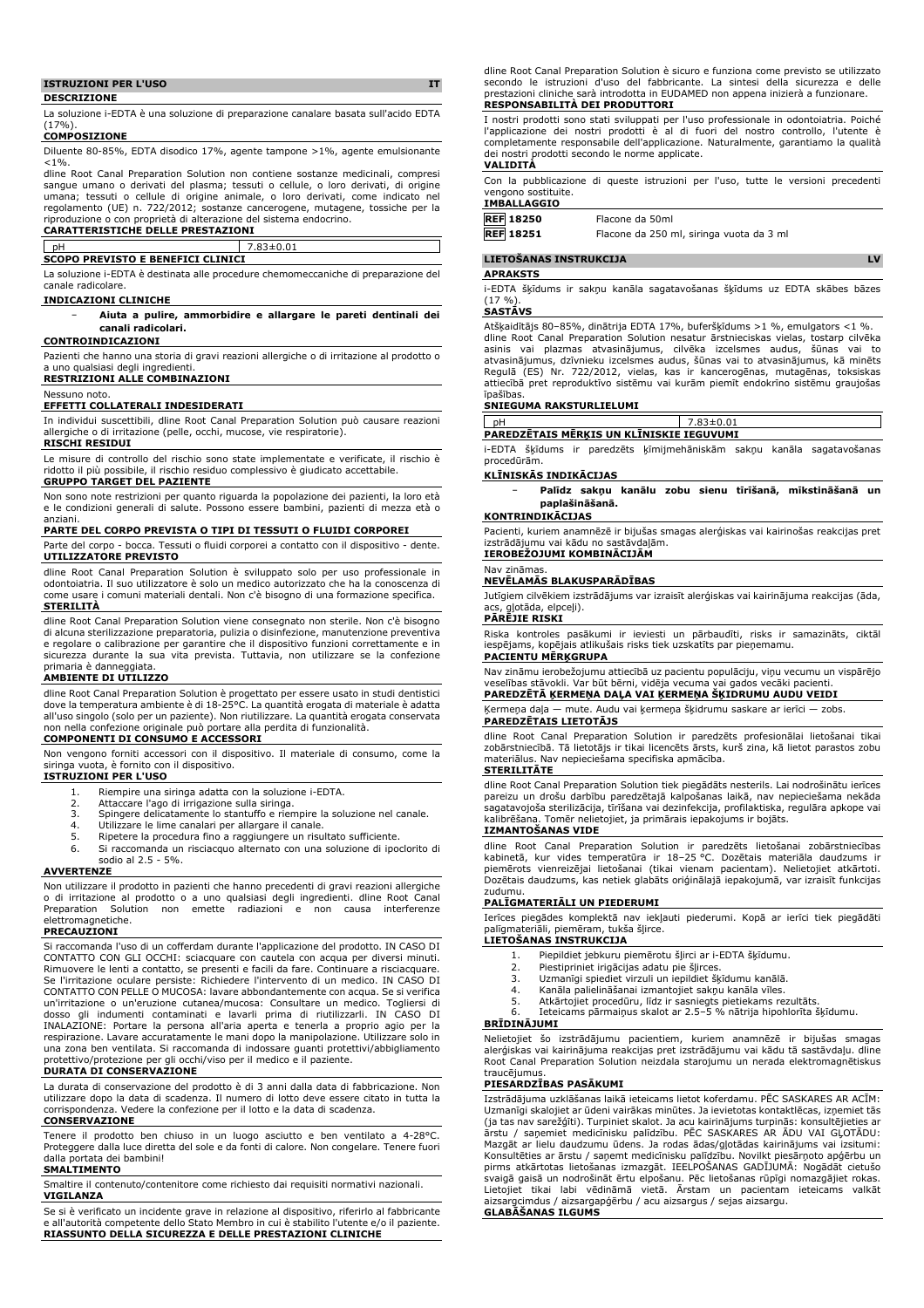# **ISTRUZIONI PER L'USO IT**

**DESCRIZIONE**

La soluzione i-EDTA è una soluzione di preparazione canalare basata sull'acido EDTA  $(17%$ 

#### **COMPOSIZIONE**

Diluente 80-85%, EDTA disodico 17%, agente tampone >1%, agente emulsionante  $< 1\%$ .

dline Root Canal Preparation Solution non contiene sostanze medicinali, compresi sangue umano o derivati del plasma; tessuti o cellule, o loro derivati, di origine umana; tessuti o cellule di origine animale, o loro derivati, come indicato nel regolamento (UE) n. 722/2012; sostanze cancerogene, mutagene, tossiche per la riproduzione o con proprietà di alterazione del sistema endocrino.

# **CARATTERISTICHE DELLE PRESTAZIONI**

# pH 7.83±0.01 **SCOPO PREVISTO E BENEFICI CLINICI**

La soluzione i-EDTA è destinata alle procedure chemomeccaniche di preparazione del canale radicolare.

### **INDICAZIONI CLINICHE**

− **Aiuta a pulire, ammorbidire e allargare le pareti dentinali dei canali radicolari.**

#### **CONTROINDICAZIONI**

Pazienti che hanno una storia di gravi reazioni allergiche o di irritazione al prodotto o a uno qualsiasi degli ingredienti.

### **RESTRIZIONI ALLE COMBINAZIONI**

Nessuno noto

# **EFFETTI COLLATERALI INDESIDERATI**

In individui suscettibili, dline Root Canal Preparation Solution può causare reazioni allergiche o di irritazione (pelle, occhi, mucose, vie respiratorie).

#### **RISCHI RESIDUI**

Le misure di controllo del rischio sono state implementate e verificate, il rischio è ridotto il più possibile, il rischio residuo complessivo è giudicato accettabile.

**GRUPPO TARGET DEL PAZIENTE** Non sono note restrizioni per quanto riguarda la popolazione dei pazienti, la loro età e le condizioni generali di salute. Possono essere bambini, pazienti di mezza età o anziani.

### **PARTE DEL CORPO PREVISTA O TIPI DI TESSUTI O FLUIDI CORPOREI**

Parte del corpo - bocca. Tessuti o fluidi corporei a contatto con il dispositivo - dente. **UTILIZZATORE PREVISTO**

dline Root Canal Preparation Solution è sviluppato solo per uso professionale in odontoiatria. Il suo utilizzatore è solo un medico autorizzato che ha la conoscenza di come usare i comuni materiali dentali. Non c'è bisogno di una formazione specifica. **STERILITÀ**

dline Root Canal Preparation Solution viene consegnato non sterile. Non c'è bisogno di alcuna sterilizzazione preparatoria, pulizia o disinfezione, manutenzione preventiva e regolare o calibrazione per garantire che il dispositivo funzioni correttamente e in sicurezza durante la sua vita prevista. Tuttavia, non utilizzare se la confezione

# primaria è danneggiata. **AMBIENTE DI UTILIZZO**

dline Root Canal Preparation Solution è progettato per essere usato in studi dentistici dove la temperatura ambiente è di 18-25°C. La quantità erogata di materiale è adatta all'uso singolo (solo per un paziente). Non riutilizzare. La quantità erogata conservata non nella confezione originale può portare alla perdita di funzionalità. **COMPONENTI DI CONSUMO E ACCESSORI**

Non vengono forniti accessori con il dispositivo. Il materiale di consumo, come la siringa vuota, è fornito con il dispositivo.

# **ISTRUZIONI PER L'USO**

- 1. Riempire una siringa adatta con la soluzione i-EDTA.
- 2. Attaccare l'ago di irrigazione sulla siringa.
- 3. Spingere delicatamente lo stantuffo e riempire la soluzione nel canale.
- Utilizzare le lime canalari per allargare il canale.
- 5. Ripetere la procedura fino a raggiungere un risultato sufficiente.
- Si raccomanda un risciacquo alternato con una soluzione di ipoclorito di sodio al 2.5 - 5%.

#### **AVVERTENZE**

Non utilizzare il prodotto in pazienti che hanno precedenti di gravi reazioni allergiche o di irritazione al prodotto o a uno qualsiasi degli ingredienti. dline Root Canal Preparation Solution non emette radiazioni e non causa elettromagnetiche.

#### **PRECAUZIONI**

Si raccomanda l'uso di un cofferdam durante l'applicazione del prodotto. IN CASO DI CONTATTO CON GLI OCCHI: sciacquare con cautela con acqua per diversi minuti. Rimuovere le lenti a contatto, se presenti e facili da fare. Continuare a risciacquare. Se l'irritazione oculare persiste: Richiedere l'intervento di un medico. IN CASO DI CONTATTO CON PELLE O MUCOSA: lavare abbondantemente con acqua. Se si verifica un'irritazione o un'eruzione cutanea/mucosa: Consultare un medico. Togliersi di dosso gli indumenti contaminati e lavarli prima di riutilizzarli. IN CASO DI INALAZIONE: Portare la persona all'aria aperta e tenerla a proprio agio per la respirazione. Lavare accuratamente le mani dopo la manipolazione. Utilizzare solo in una zona ben ventilata. Si raccomanda di indossare guanti protettivi/abbigliamento protettivo/protezione per gli occhi/viso per il medico e il paziente.

#### **DURATA DI CONSERVAZIONE**

La durata di conservazione del prodotto è di 3 anni dalla data di fabbricazione. Non utilizzare dopo la data di scadenza. Il numero di lotto deve essere citato in tutta la corrispondenza. Vedere la confezione per il lotto e la data di scadenza.

# **CONSERVAZIONE**

Tenere il prodotto ben chiuso in un luogo asciutto e ben ventilato a 4-28°C. Proteggere dalla luce diretta del sole e da fonti di calore. Non congelare. Tenere fuori portata dei bambini! **SMALTIMENTO**

Smaltire il contenuto/contenitore come richiesto dai requisiti normativi nazionali. **VIGILANZA**

Se si è verificato un incidente grave in relazione al dispositivo, riferirlo al fabbricante e all'autorità competente dello Stato Membro in cui è stabilito l'utente e/o il paziente. **RIASSUNTO DELLA SICUREZZA E DELLE PRESTAZIONI CLINICHE**

dline Root Canal Preparation Solution e sicuro e funziona come previsto se utilizzato<br>secondo le istruzioni d'uso del fabbricante. La sintesi della sicurezza e delle<br>prestazioni cliniche sarà introdotta in EUDAM

#### **RESPONSABILITÀ DEI PRODUTTORI**

I nostri prodotti sono stati sviluppati per l'uso professionale in odontoiatria. Poiché l'applicazione dei nostri prodotti è al di fuori del nostro controllo, l'utente è completamente responsabile dell'applicazione. Naturalmente, garantiamo la qualità dei nostri prodotti secondo le norme applicate. **VALIDITÀ**

Con la pubblicazione di queste istruzioni per l'uso, tutte le versioni precedenti vengono sostituite.

#### **IMBALLAGGIO**

| <b>REF 18250</b> | Flacone da 50ml                          |
|------------------|------------------------------------------|
| <b>REF</b> 18251 | Flacone da 250 ml, siringa vuota da 3 ml |

#### **LIETOŠANAS INSTRUKCIJA LV**

#### **APRAKSTS**

i-EDTA šķīdums ir sakņu kanāla sagatavošanas šķīdums uz EDTA skābes bāzes (17 %).

## **SASTĀVS**

Atšķaidītājs 80–85%, dinātrija EDTA 17%, buferšķīdums >1 %, emulgators <1 %. dline Root Canal Preparation Solution nesatur ārstnieciskas vielas, tostarp cilvēka asinis vai plazmas atvasinājumus, cilvēka izcelsmes audus, šūnas vai to atvasinājumus, dzīvnieku izcelsmes audus, šūnas vai to atvasinājumus, kā minēts Regulā (ES) Nr. 722/2012, vielas, kas ir kancerogēnas, mutagēnas, toksiskas attiecībā pret reproduktīvo sistēmu vai kurām piemīt endokrīno sistēmu graujošas īpašības.

### **SNIEGUMA RAKSTURLIELUMI**

pH 7.83±0.01

**PAREDZĒTAIS MĒRĶIS UN KLĪNISKIE IEGUVUMI** i-EDTA šķīdums ir paredzēts ķīmijmehāniskām sakņu kanāla sagatavošanas procedūrām.

# **KLĪNISKĀS INDIKĀCIJAS**

− **Palīdz sakņu kanālu zobu sienu tīrīšanā, mīkstināšanā un paplašināšanā.**

### **KONTRINDIKĀCIJAS**

Pacienti, kuriem anamnēzē ir bijušas smagas alerģiskas vai kairinošas reakcijas pret izstrādājumu vai kādu no sastāvdaļām. **IEROBEŽOJUMI KOMBINĀCIJĀM**

#### Nav zināmas.

#### **NEVĒLAMĀS BLAKUSPARĀDĪBAS**

Jutīgiem cilvēkiem izstrādājums var izraisīt alerģiskas vai kairinājuma reakcijas (āda, gļotāda, elpceļi).

### **PĀRĒJIE RISKI**

Riska kontroles pasākumi ir ieviesti un pārbaudīti, risks ir samazināts, ciktāl iespējams, kopējais atlikušais risks tiek uzskatīts par pieņemamu.

# **PACIENTU MĒRĶGRUPA**

Nav zināmu ierobežojumu attiecībā uz pacientu populāciju, viņu vecumu un vispārējo veselības stāvokli. Var būt bērni, vidēja vecuma vai gados vecāki pacienti. **PAREDZĒTĀ ĶERMEŅA DAĻA VAI ĶERMEŅA ŠĶIDRUMU AUDU VEIDI**

# Ķermeņa daļa — mute. Audu vai ķermeņa šķidrumu saskare ar ierīci — zobs.

**PAREDZĒTAIS LIETOTĀJS**

dline Root Canal Preparation Solution ir paredzēts profesionālai lietošanai tikai zobārstniecībā. Tā lietotājs ir tikai licencēts ārsts, kurš zina, kā lietot parastos zobu materiālus. Nav nepieciešama specifiska apmācība. Nav nepieciešama specifiska apmācība.

# **STERILITĀTE**

dline Root Canal Preparation Solution tiek piegādāts nesterils. Lai nodrošinātu ierīces pareizu un drošu darbību paredzētajā kalpošanas laikā, nav nepieciešama nekāda sagatavojoša sterilizācija, tīrīšana vai dezinfekcija, profilaktiska, regulāra apkope vai Tomēr nelietojiet, ja primārais iepakojums ir bojāts. **IZMANTOŠANAS VIDE**

# dline Root Canal Preparation Solution ir paredzēts lietošanai zobārstniecības<br>kabinetā, kur vides temperatūra ir 18–25 °C. Dozētais materiāla daudzums ir<br>piemērots vienreizējai lietošanai (tikai vienam pacientam). Nelietoj Dozētais daudzums, kas netiek glabāts oriģinālajā iepakojumā, var izraisīt funkcijas zudumu.

#### **PALĪGMATERIĀLI UN PIEDERUMI**

Ierīces piegādes komplektā nav iekļauti piederumi. Kopā ar ierīci tiek piegādāti palīgmateriāli, piemēram, tukša šļirce.

- **LIETOŠANAS INSTRUKCIJA**
	- 1. Piepildiet jebkuru piemērotu šļirci ar i-EDTA šķīdumu.<br>2. Piestipriniet irigācijas adatu pie šļirces. Piestipriniet irigācijas adatu pie šļirces.
	-
	- 3. Uzmanīgi spiediet virzuli un iepildiet šķīdumu kanālā.
	- 4. Kanāla palielināšanai izmantojiet sakņu kanāla vīles.<br>5. Atkārtojiet procedūru. līdz ir sasniegts pietiekams rei
	- 5. Atkārtojiet procedūru, līdz ir sasniegts pietiekams rezultāts. 6. Ieteicams pārmaiņus skalot ar 2.5–5 % nātrija hipohlorīta šķīdumu.

# **BRĪDINĀJUMI**

Nelietojiet šo izstrādājumu pacientiem, kuriem anamnēzē ir bijušas smagas alerģiskas vai kairinājuma reakcijas pret izstrādājumu vai kādu tā sastāvdaļu. dline Root Canal Preparation Solution neizdala starojumu un nerada elektromagnētiskus traucējumus

### **PIESARDZĪBAS PASĀKUMI**

Izstrādājuma uzklāšanas laikā ieteicams lietot koferdamu. PĒC SASKARES AR ACĪM: Uzmanīgi skalojiet ar ūdeni vairākas minūtes. Ja ievietotas kontaktlēcas, izņemiet tās (ja tas nav sarežģīti). Turpiniet skalot. Ja acu kairinājums turpinās: konsultējieties ar ārstu / saņemiet medicīnisku palīdzību. PĒC SASKARES AR ĀDU VAI GĻOTĀDU: Mazgāt ar lielu daudzumu ūdens. Ja rodas ādas/gļotādas kairinājums vai izsitumi: Konsultēties ar ārstu / saņemt medicīnisku palīdzību. Novilkt piesārņoto apģērbu un pirms atkārtotas lietošanas izmazgāt. IEELPOŠANAS GADĪJUMĀ: Nogādāt cietušo svaigā gaisā un nodrošināt ērtu elpošanu. Pēc lietošanas rūpīgi nomazgājiet rokas. Lietojiet tikai labi vēdināmā vietā. Ārstam un pacientam ieteicams valkāt aizsargcimdus / aizsargapģērbu / acu aizsargus / sejas aizsargu. **GLABĀŠANAS ILGUMS**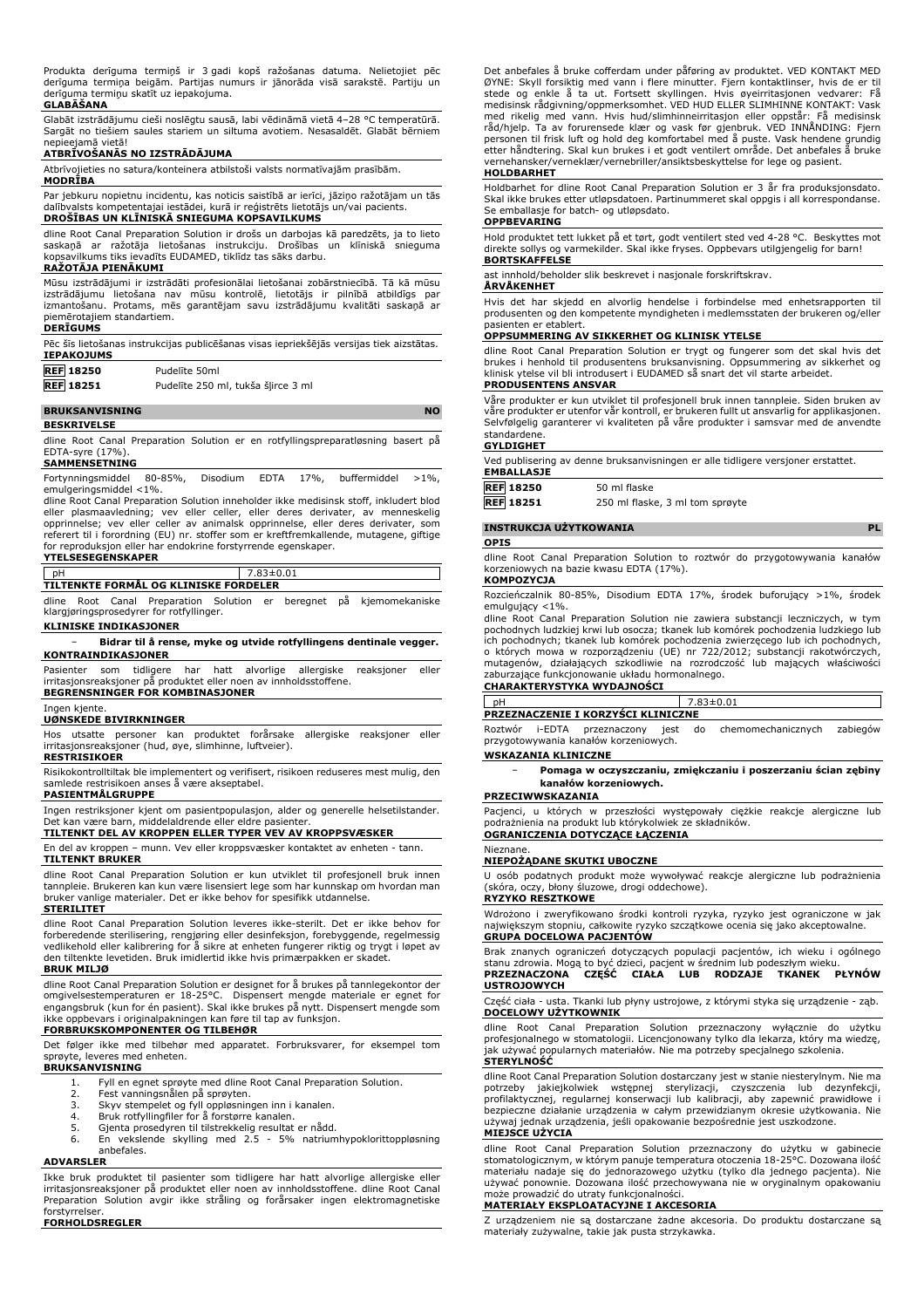Produkta derīguma termiņš ir 3 gadi kopš ražošanas datuma. Nelietojiet pēc derīguma termiņa beigām. Partijas numurs ir jānorāda visā sarakstē. Partiju un derīguma termiņu skatīt uz iepakojuma.

### **GLABĀŠANA**

Glabāt izstrādājumu cieši noslēgtu sausā, labi vēdināmā vietā 4–28 °C temperatūrā. Sargāt no tiešiem saules stariem un siltuma avotiem. Nesasaldēt. Glabāt bērniem nepieejamā vietā!

# **ATBRĪVOŠANĀS NO IZSTRĀDĀJUMA**

Atbrīvojieties no satura/konteinera atbilstoši valsts normatīvajām prasībām.

# **MODRĪBA**

Par jebkuru nopietnu incidentu, kas noticis saistībā ar ierīci, jāziņo ražotājam un tās dalībvalsts kompetentajai iestādei, kurā ir reģistrēts lietotājs un/vai pacients. **DROŠĪBAS UN KLĪNISKĀ SNIEGUMA KOPSAVILKUMS**

dline Root Canal Preparation Solution ir drošs un darbojas kā paredzēts, ja to lieto saskaņā ar ražotāja lietošanas instrukciju. Drošības un klīniskā snieguma kopsavilkums tiks ievadīts EUDAMED, tiklīdz tas sāks darbu.

#### **RAŽOTĀJA PIENĀKUMI**

Mūsu izstrādājumi ir izstrādāti profesionālai lietošanai zobārstniecībā. Tā kā mūsu izstrādājumu lietošana nav mūsu kontrolē, lietotājs ir pilnībā atbildīgs par izmantošanu. Protams, mēs garantējam savu izstrādājumu kvalitāti saskaņā ar piemērotajiem standartiem.

# **DERĪGUMS**

Pēc šīs lietošanas instrukcijas publicēšanas visas iepriekšējās versijas tiek aizstātas. **IEPAKOJUMS**

| <b>REF 18250</b> | Pudelite 50ml |
|------------------|---------------|
| EE               |               |

**REF 18251** Pudelīte 250 ml, tukša šļirce 3 ml

#### **BRUKSANVISNING NO**

**BESKRIVELSE**

dline Root Canal Preparation Solution er en rotfyllingspreparatløsning basert på EDTA-syre (17%).

#### **SAMMENSETNING**

Fortynningsmiddel 80-85%, Disodium EDTA 17%, buffermiddel >1%, emulgeringsmiddel <1%.

dline Root Canal Preparation Solution inneholder ikke medisinsk stoff, inkludert blod eller plasmaavledning; vev eller celler, eller deres derivater, av menneskelig opprinnelse; vev eller celler av animalsk opprinnelse, eller deres derivater, som referert til i forordning (EU) nr. stoffer som er kreftfremkallende, mutagene, giftige for reproduksjon eller har endokrine forstyrrende egenskaper. **YTELSESEGENSKAPER**

# pH 7.83±0.01

**TILTENKTE FORMÅL OG KLINISKE FORDELER**

dline Root Canal Preparation Solution er beregnet på kjemomekaniske

klargjøringsprosedyrer for rotfyllinger.

# **KLINISKE INDIKASJONER**

− **Bidrar til å rense, myke og utvide rotfyllingens dentinale vegger. KONTRAINDIKASJONER**

Pasienter som tidligere har hatt alvorlige allergiske reaksjoner eller irritasjonsreaksjoner på produktet eller noen av innholdsstoffene.

#### **BEGRENSNINGER FOR KOMBINASJONER** Ingen kjente.

### **UØNSKEDE BIVIRKNINGER**

Hos utsatte personer kan produktet forårsake allergiske reaksjoner eller irritasjonsreaksjoner (hud, øye, slimhinne, luftveier).

# **RESTRISIKOER**

Risikokontrolltiltak ble implementert og verifisert, risikoen reduseres mest mulig, den samlede restrisikoen anses å være akseptabel.

#### **PASIENTMÅLGRUPPE**

Ingen restriksjoner kjent om pasientpopulasjon, alder og generelle helsetilstander. Det kan være barn, middelaldrende eller eldre pasienter.

## **TILTENKT DEL AV KROPPEN ELLER TYPER VEV AV KROPPSVÆSKER**

En del av kroppen – munn. Vev eller kroppsvæsker kontaktet av enheten - tann. **TILTENKT BRUKER**

#### dline Root Canal Preparation Solution er kun utviklet til profesjonell bruk innen tannpleie. Brukeren kan kun være lisensiert lege som har kunnskap om hvordan man er vanlige materialer. Det er ikke behov for spesifikk utdannelse.

**STERILITET**

dline Root Canal Preparation Solution leveres ikke-sterilt. Det er ikke behov for forberedende sterilisering, rengjøring eller desinfeksjon, forebyggende, regelmessig vedlikehold eller kalibrering for å sikre at enheten fungerer riktig og trygt i løpet av den tiltenkte levetiden. Bruk imidlertid ikke hvis primærpakken er skadet. **BRUK MILJØ**

dline Root Canal Preparation Solution er designet for å brukes på tannlegekontor der omgivelsestemperaturen er 18-25°C. Dispensert mengde materiale er egnet for engangsbruk (kun for én pasient). Skal ikke brukes på nytt. Dispensert mengde som ikke oppbevars i originalpakningen kan føre til tap av funksjon.

# **FORBRUKSKOMPONENTER OG TILBEHØR**

Det følger ikke med tilbehør med apparatet. Forbruksvarer, for eksempel tom sprøyte, leveres med enheten.

# **BRUKSANVISNING**

- 1. Fyll en egnet sprøyte med dline Root Canal Preparation Solution. 2. Fest vanningsnålen på sprøyten.
	-
	- 3. Skyv stempelet og fyll oppløsningen inn i kanalen. 4. Bruk rotfyllingfiler for å forstørre kanalen.
	-
	-

5. Gjenta prosedyren til tilstrekkelig resultat er nådd. 6. En vekslende skylling med 2.5 - 5% natriumhypoklorittoppløsning anbefales.

#### **ADVARSLER**

Ikke bruk produktet til pasienter som tidligere har hatt alvorlige allergiske eller irritasjonsreaksjoner på produktet eller noen av innholdsstoffene. dline Root Canal Preparation Solution avgir ikke stråling og forårsaker ingen elektromagnetiske forstyrrelser.

**FORHOLDSREGLER**

Det anbefales å bruke cofferdam under påføring av produktet. VED KONTAKT MED ØYNE: Skyll forsiktig med vann i flere minutter. Fjern kontaktlinser, hvis de er til stede og enkle å ta ut. Fortsett skyllingen. Hvis øyeirritasjonen vedvarer: Få medisinsk rådgivning/oppmerksomhet. VED HUD ELLER SLIMHINNE KONTAKT: Vask med rikelig med vann. Hvis hud/slimhinneirritasjon eller oppstär: Få medisinsk<br>råd/hjelp. Ta av forurensede klær og vask før gjenbruk. VED INNÅNDING: Fjern<br>personen til frisk luft og hold deg komfortabel med å puste. Vask vernehansker/verneklær/vernebriller/ansiktsbeskyttelse for lege og pasient.

#### **HOLDBARHET**

Holdbarhet for dline Root Canal Preparation Solution er 3 år fra produksjonsdato. Skal ikke brukes etter utløpsdatoen. Partinummeret skal oppgis i all korrespondanse. Se emballasje for batch- og utløpsdato.

## **OPPBEVARING**

Hold produktet tett lukket på et tørt, godt ventilert sted ved 4-28 °C. Beskyttes mot direkte sollys og varmekilder. Skal ikke fryses. Oppbevars utilgjengelig for barn! **BORTSKAFFELSE**

#### ast innhold/beholder slik beskrevet i nasjonale forskriftskrav.

### **ÅRVÅKENHET**

Hvis det har skjedd en alvorlig hendelse i forbindelse med enhetsrapporten til produsenten og den kompetente myndigheten i medlemsstaten der brukeren og/eller

# pasienten er etablert. **OPPSUMMERING AV SIKKERHET OG KLINISK YTELSE**

dline Root Canal Preparation Solution er trygt og fungerer som det skal hvis det brukes i henhold til produsentens bruksanvisning. Oppsummering av sikkerhet og klinisk ytelse vil bli introdusert i EUDAMED så snart det vil starte arbeidet. **PRODUSENTENS ANSVAR**

Våre produkter er kun utviklet til profesjonell bruk innen tannpleie. Siden bruken av våre produkter er utenfor vår kontroll, er brukeren fullt ut ansvarlig for applikasjonen. Selvfølgelig garanterer vi kvaliteten på våre produkter i samsvar med de anvendte standardene.

#### **GYLDIGHET**

Ved publisering av denne bruksanvisningen er alle tidligere versjoner erstattet. **EMBALLASJE**

| <b>REF 18250</b> | 50 ml flaske                    |
|------------------|---------------------------------|
| <b>REF</b> 18251 | 250 ml flaske, 3 ml tom sprøyte |

| 51 |  | 250 mi flaske, 3 mi tom sprøyte |  |  |  |
|----|--|---------------------------------|--|--|--|
|    |  |                                 |  |  |  |

### **INSTRUKCJA UŻYTKOWANIA PL**

#### **OPIS**

dline Root Canal Preparation Solution to roztwór do przygotowywania kanałów korzeniowych na bazie kwasu EDTA (17%). **KOMPOZYCJA**

Rozcieńczalnik 80-85%, Disodium EDTA 17%, środek buforujący >1%, środek emulgujący <1%.

dline Root Canal Preparation Solution nie zawiera substancji leczniczych, w tym pochodnych ludzkiej krwi lub osocza; tkanek lub komórek pochodzenia ludzkiego lub ich pochodnych; tkanek lub komórek pochodzenia zwierzęcego lub ich pochodnych, o których mowa w rozporządzeniu (UE) nr 722/2012; substancji rakotwórczych, mutagenów, działających szkodliwie na rozrodczość lub mających właściwości zaburzające funkcjonowanie układu hormonalnego.

# **CHARAKTERYSTYKA WYDAJNOŚCI**

pH 7.83±0.01 **PRZEZNACZENIE I KORZYŚCI KLINICZNE**

Roztwór i-EDTA przeznaczony jest do chemomechanicznych zabiegów przygotowywania kanałów korzeniowych.

#### **WSKAZANIA KLINICZNE**

− **Pomaga w oczyszczaniu, zmiękczaniu i poszerzaniu ścian zębiny kanałów korzeniowych.**

#### **PRZECIWWSKAZANIA**

Pacjenci, u których w przeszłości występowały ciężkie reakcje alergiczne lub podrażnienia na produkt lub którykolwiek ze składników. **OGRANICZENIA DOTYCZĄCE ŁĄCZENIA**

#### Nieznane.

#### **NIEPOŻĄDANE SKUTKI UBOCZNE**

U osób podatnych produkt może wywoływać reakcje alergiczne lub podrażnienia (skóra, oczy, błony śluzowe, drogi oddechowe).

#### **RYZYKO RESZTKOWE**

Wdrożono i zweryfikowano środki kontroli ryzyka, ryzyko jest ograniczone w jak największym stopniu, całkowite ryzyko szczątkowe ocenia się jako akceptowalne. **GRUPA DOCELOWA PACJENTÓW**

Brak znanych ograniczeń dotyczących populacji pacjentów, ich wieku i ogólnego stanu zdrowia. Mogą to być dzieci, pacjent w średnim lub podeszłym wieku.<br>**PRZEZNACZONA CZEŚĆ CIAŁA LUB RODZAJE TKANEK PRZEZNACZONA CZĘŚĆ CIAŁA LUB RODZAJE TKANEK PŁYNÓW USTROJOWYCH**

Część ciała - usta. Tkanki lub płyny ustrojowe, z którymi styka się urządzenie - ząb. **DOCELOWY UŻYTKOWNIK**

dline Root Canal Preparation Solution przeznaczony wyłącznie do użytku profesjonalnego w stomatologii. Licencjonowany tylko dla lekarza, który ma wiedzę, jak używać popularnych materiałów. Nie ma potrzeby specjalnego szkolenia. **STERYLNOŚĆ**

dline Root Canal Preparation Solution dostarczany jest w stanie niesterylnym. Nie ma potrzeby jakiejkolwiek wstępnej sterylizacji, czyszczenia lub dezynfekcji, profilaktycznej, regularnej konserwacji lub kalibracji, aby zapewnić prawidłowe i bezpieczne działanie urządzenia w całym przewidzianym okresie użytkowania. Nie używaj jednak urządzenia, jeśli opakowanie bezpośrednie jest uszkodzone.

#### **MIEJSCE UŻYCIA**

dline Root Canal Preparation Solution przeznaczony do użytku w gabinecie stomatologicznym, w którym panuje temperatura otoczenia 18-25°C. Dozowana ilość materiału nadaje się do jednorazowego użytku (tylko dla jednego pacjenta). Nie używać ponownie. Dozowana ilość przechowywana nie w oryginalnym opakowaniu może prowadzić do utraty funkcjonalności.

# **MATERIAŁY EKSPLOATACYJNE I AKCESORIA**

Z urządzeniem nie są dostarczane żadne akcesoria. Do produktu dostarczane są materiały zużywalne, takie jak pusta strzykawka.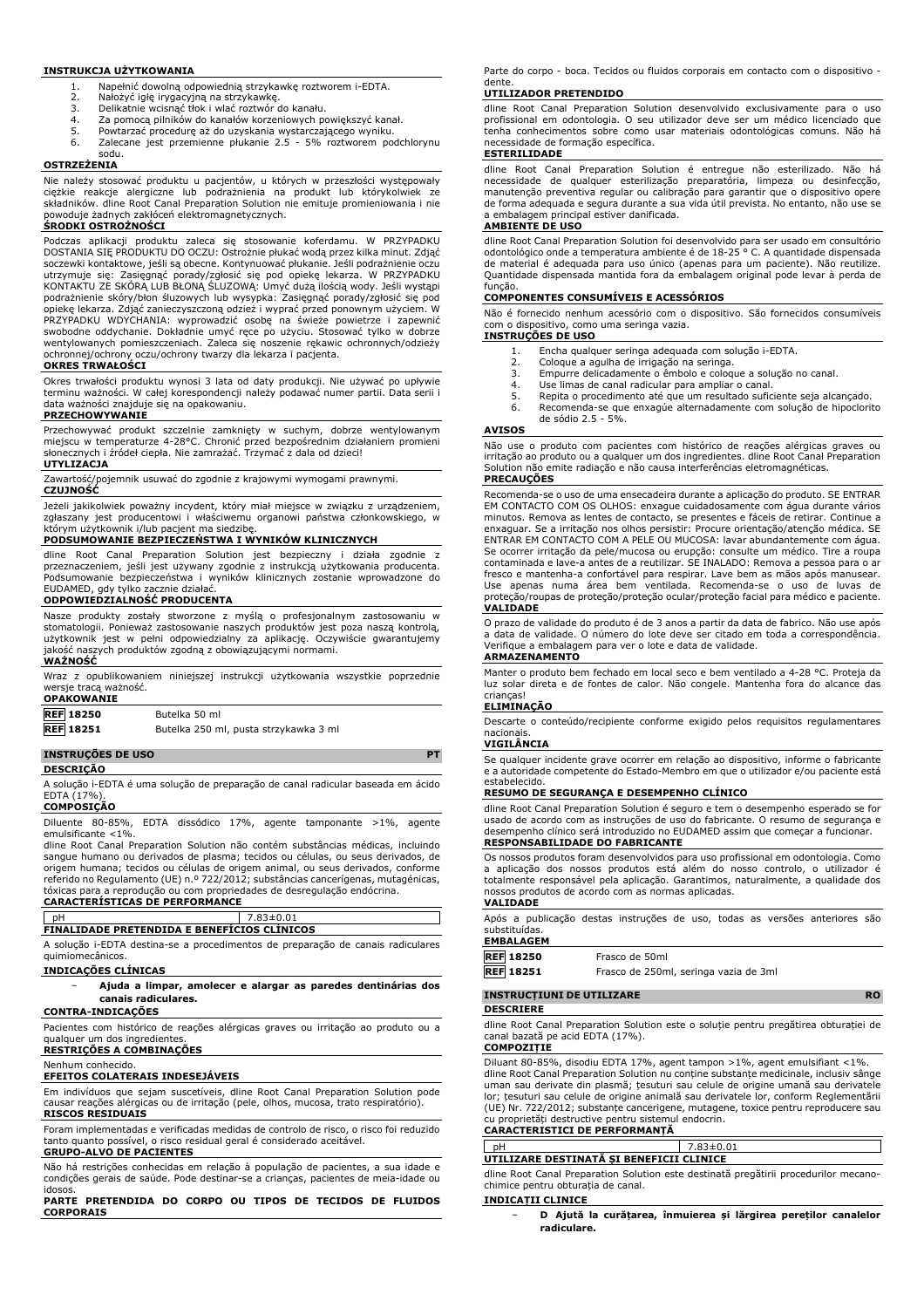#### **INSTRUKCJA UŻYTKOWANIA**

- 1. Napełnić dowolną odpowiednią strzykawkę roztworem i-EDTA.
- 2. Nałożyć igłę irygacyjną na strzykawkę. 3. Delikatnie wcisnąć tłok i wlać roztwór do kanału.
- 
- 4. Za pomocą pilników do kanałów korzeniowych powiększyć kanał.<br>5. Powtarzać procedure aż do uzyskania wystarczającego wyniku.
- 5. Powtarzać procedurę aż do uzyskania wystarczającego wyniku. Zalecane jest przemienne płukanie 2.5 - 5% roztworem podchlorynu sodu.

#### **OSTRZEŻENIA**

Nie należy stosować produktu u pacjentów, u których w przeszłości występowały ciężkie reakcje alergiczne lub podrażnienia na produkt lub którykolwiek ze składników. dline Root Canal Preparation Solution nie emituje promieniowania i nie<br>powoduje żadnych zakłóceń elektromagnetycznych.<br>**ŚRODKI OSTROŻNOŚCI** 

Podczas aplikacji produktu zaleca się stosowanie koferdamu. W PRZYPADKU DOSTANIA SIĘ PRODUKTU DO OCZU: Ostrożnie płukać wodą przez kilka minut. Zdjąć soczewki kontaktowe, jeśli są obecne. Kontynuować płukanie. Jeśli podrażnienie oczu utrzymuje się: Zasięgnąć porady/zgłosić się pod opiekę lekarza. W PRZYPADKU KONTAKTU ZE SKÓRĄ LUB BŁONĄ ŚLUZOWĄ: Umyć dużą ilością wody. Jeśli wystąpi podrażnienie skóry/błon śluzowych lub wysypka: Zasięgnąć porady/zgłosić się pod opiekę lekarza. Zdjąć zanieczyszczoną odzież i wyprać przed ponownym użyciem. W<br>PRZYPADKU WDYCHANIA: wyprowadzić osobę na świeże powietrze i zapewnić<br>swobodne oddychanie. Dokładnie umyć ręce po użyciu. Stoso wentylowanych pomieszczeniach. Zaleca się noszenie rękawic ochronnych/odzieży ochronnej/ochrony oczu/ochrony twarzy dla lekarza i pacjenta.

### **OKRES TRWAŁOŚCI**

Okres trwałości produktu wynosi 3 lata od daty produkcji. Nie używać po upływie terminu ważności. W całej korespondencji należy podawać numer partii. Data serii i data ważności znajduje się na opakowaniu.

#### **PRZECHOWYWANIE**

Przechowywać produkt szczelnie zamknięty w suchym, dobrze wentylowanym miejscu w temperaturze 4-28°C. Chronić przed bezpośrednim działaniem promieni słonecznych i źródeł ciepła. Nie zamrażać. Trzymać z dala od dzieci!

#### **UTYLIZACJA**

Zawartość/pojemnik usuwać do zgodnie z krajowymi wymogami prawnymi. **CZUJNOŚĆ**

Jeżeli jakikolwiek poważny incydent, który miał miejsce w związku z urządzeniem, zgłaszany jest producentowi i właściwemu organowi państwa członkowskiego, w którym użytkownik i/lub pacjent ma siedzibę.

### **PODSUMOWANIE BEZPIECZEŃSTWA I WYNIKÓW KLINICZNYCH**

dline Root Canal Preparation Solution jest bezpieczny i działa zgodnie z przeznaczeniem, jeśli jest używany zgodnie z instrukcją użytkowania producenta. Podsumowanie bezpieczeństwa i wyników klinicznych zostanie wprowadzone do EUDAMED, gdy tylko zacznie działać.

### **ODPOWIEDZIALNOŚĆ PRODUCENTA**

Nasze produkty zostały stworzone z myślą o profesjonalnym zastosowaniu w stomatologii. Ponieważ zastosowanie naszych produktów jest poza naszą kontrolą,<br>użytkownik jest w pełni odpowiedzialny za aplikację. Oczywiście gwarantujemy<br>jakość naszych produktów zgodną z obowiązującymi normami. **WAŻNOŚĆ**

Wraz z opublikowaniem niniejszej instrukcji użytkowania wszystkie poprzednie wersje tracą ważność. **OPAKOWANIE**

| <b>UFARUWARLE</b> |                                       |
|-------------------|---------------------------------------|
| <b>REF</b> 18250  | Butelka 50 ml                         |
| <b>REF</b> 18251  | Butelka 250 ml, pusta strzykawka 3 ml |

# **INSTRUÇÕES DE USO PT**

#### **DESCRIÇÃO**

A solução i-EDTA é uma solução de preparação de canal radicular baseada em ácido EDTA (17%). **COMPOSIÇÃO**

Diluente 80-85%, EDTA dissódico 17%, agente tamponante >1%, agente emulsificante <1%.

dline Root Canal Preparation Solution não contém substâncias médicas, incluindo sangue humano ou derivados de plasma; tecidos ou células, ou seus derivados, de origem humana; tecidos ou células de origem animal, ou seus derivados, conforme referido no Regulamento (UE) n.º 722/2012; substâncias cancerígenas, mutagénicas, tóxicas para a reprodução ou com propriedades de desregulação endócrina. **CARACTERÍSTICAS DE PERFORMANCE**

# pH 7.83±0.01 **FINALIDADE PRETENDIDA E BENEFÍCIOS CLÍNICOS**

A solução i-EDTA destina-se a procedimentos de preparação de canais radiculares quimiomecânicos.

### **INDICAÇÕES CLÍNICAS**

## − **Ajuda a limpar, amolecer e alargar as paredes dentinárias dos canais radiculares.**

# **CONTRA-INDICAÇÕES**

Pacientes com histórico de reações alérgicas graves ou irritação ao produto ou a qualquer um dos ingredientes

# **RESTRIÇÕES A COMBINAÇÕES**

# Nenhum conhecido.

**EFEITOS COLATERAIS INDESEJÁVEIS**

Em indivíduos que sejam suscetíveis, dline Root Canal Preparation Solution pode causar reações alérgicas ou de irritação (pele, olhos, mucosa, trato respiratório). **RISCOS RESIDUAIS**

Foram implementadas e verificadas medidas de controlo de risco, o risco foi reduzido tanto quanto possível, o risco residual geral é considerado aceitável. **GRUPO-ALVO DE PACIENTES**

Não há restrições conhecidas em relação à população de pacientes, a sua idade e condições gerais de saúde. Pode destinar-se a crianças, pacientes de meia-idade ou

idosos. **PARTE PRETENDIDA DO CORPO OU TIPOS DE TECIDOS DE FLUIDOS CORPORAIS**

Parte do corpo - boca. Tecidos ou fluidos corporais em contacto com o dispositivo dente.

### **UTILIZADOR PRETENDIDO**

dline Root Canal Preparation Solution desenvolvido exclusivamente para o uso profissional em odontologia. O seu utilizador deve ser um médico licenciado que tenha conhecimentos sobre como usar materiais odontológicas comuns. Não há necessidade de formação específica.

#### **ESTERILIDADE**

dline Root Canal Preparation Solution é entregue não esterilizado. Não há necessidade de qualquer esterilização preparatória, limpeza ou desinfecção, manutenção preventiva regular ou calibração para garantir que o dispositivo opere de forma adequada e segura durante a sua vida útil prevista. No entanto, não use se a embalagem principal estiver danificada.

# **AMBIENTE DE USO**

dline Root Canal Preparation Solution foi desenvolvido para ser usado em consultório odontológico onde a temperatura ambiente é de 18-25 ° C. A quantidade dispensada de material é adequada para uso único (apenas para um paciente). Não reutilize. Quantidade dispensada mantida fora da embalagem original pode levar à perda de função.

### **COMPONENTES CONSUMÍVEIS E ACESSÓRIOS**

Não é fornecido nenhum acessório com o dispositivo. São fornecidos consumíveis com o dispositivo, como uma seringa vazia. **INSTRUÇÕES DE USO**

- 1. Encha qualquer seringa adequada com solução i-EDTA.<br>2. Cologue a agulha de irrigação na seringa.
- 2. Coloque a agulha de irrigação na seringa.<br>3. Empurre delicadamente o êmbolo e cologi
- 3. Empurre delicadamente o êmbolo e coloque a solução no canal.<br>4. Use limas de canal radicular para ampliar o canal.
- 
- 4. Use limas de canal radicular para ampliar o canal. 5. Repita o procedimento até que um resultado suficiente seja alcançado.
- 6. Recomenda-se que enxagúe alternadamente com solução de hipoclorito de sódio 2.5 - 5%.

# **AVISOS**

Não use o produto com pacientes com histórico de reações alérgicas graves ou irritação ao produto ou a qualquer um dos ingredientes. dline Root Canal Preparation Solution não emite radiação e não causa interferências eletromagnéticas.

#### **PRECAUÇÕES**

Recomenda-se o uso de uma ensecadeira durante a aplicação do produto. SE ENTRAR EM CONTACTO COM OS OLHOS: enxague cuidadosamente com água durante vários minutos. Remova as lentes de contacto, se presentes e fáceis de retirar. Continue a enxaguar. Se a irritação nos olhos persistir: Procure orientação/atenção médica. SE ENTRAR EM CONTACTO COM A PELE OU MUCOSA: lavar abundantemente com água. Se ocorrer irritação da pele/mucosa ou erupção: consulte um médico. Tire a roupa contaminada e lave-a antes de a reutilizar. SE INALADO: Remova a pessoa para o ar fresco e mantenha-a confortável para respirar. Lave bem as mãos após manusear.<br>Use apenas numa área bem ventilada. Recomenda-se o uso de luvas de<br>proteção/roupas de proteção/proteção ocular/proteção facial para **VALIDADE**

O prazo de validade do produto é de 3 anos a partir da data de fabrico. Não use após a data de validade. O número do lote deve ser citado em toda a correspondência. Verifique a embalagem para ver o lote e data de validade.

# **ARMAZENAMENTO**

Manter o produto bem fechado em local seco e bem ventilado a 4-28 °C. Proteja da luz solar direta e de fontes de calor. Não congele. Mantenha fora do alcance das crianças!

# **ELIMINAÇÃO**

Descarte o conteúdo/recipiente conforme exigido pelos requisitos regulamentares nacionais.

#### **VIGILÂNCIA**

Se qualquer incidente grave ocorrer em relação ao dispositivo, informe o fabricante e a autoridade competente do Estado-Membro em que o utilizador e/ou paciente está estabelecido.

# **RESUMO DE SEGURANÇA E DESEMPENHO CLÍNICO**

dline Root Canal Preparation Solution é seguro e tem o desempenho esperado se for usado de acordo com as instruções de uso do fabricante. O resumo de segurança e desempenho clínico será introduzido no EUDAMED assim que começar a funcionar. **RESPONSABILIDADE DO FABRICANTE**

## Os nossos produtos foram desenvolvidos para uso profissional em odontologia. Como a aplicação dos nossos produtos está além do nosso controlo, o utilizador é

totalmente responsável pela aplicação. Garantimos, naturalmente, a qualidade dos nossos produtos de acordo com as normas aplicadas. **VALIDADE**

# Após a publicação destas instruções de uso, todas as versões anteriores são substituídas.

# **EMBALAGEM**

| REF 18250        | Frasco de 50ml                        |
|------------------|---------------------------------------|
| <b>REF</b> 18251 | Frasco de 250ml, seringa vazia de 3ml |

# **INSTRUCȚIUNI DE UTILIZARE RO**

## **DESCRIERE**

dline Root Canal Preparation Solution este o soluție pentru pregătirea obturației de canal bazată pe acid EDTA (17%).

# **COMPOZIȚIE**

Diluant 80-85%, disodiu EDTA 17%, agent tampon >1%, agent emulsifiant <1%. dline Root Canal Preparation Solution nu conține substanțe medicinale, inclusiv sânge uman sau derivate din plasmă; țesuturi sau celule de origine umană sau derivatele lor; țesuturi sau celule de origine animală sau derivatele lor, conform Reglementării (UE) Nr. 722/2012; substanțe cancerigene, mutagene, toxice pentru reproducere sau cu proprietăți destructive pentru sistemul endocrin.

### **CARACTERISTICI DE PERFORMANȚĂ**

| n                                        |  |  |
|------------------------------------------|--|--|
| UTILIZARE DESTINATĂ SI BENEFICII CLINICE |  |  |
|                                          |  |  |

dline Root Canal Preparation Solution este destinată pregătirii procedurilor mecanochimice pentru obturația de canal.

# **INDICAȚII CLINICE**

− **D Ajută la curățarea, înmuierea și lărgirea pereților canalelor radiculare.**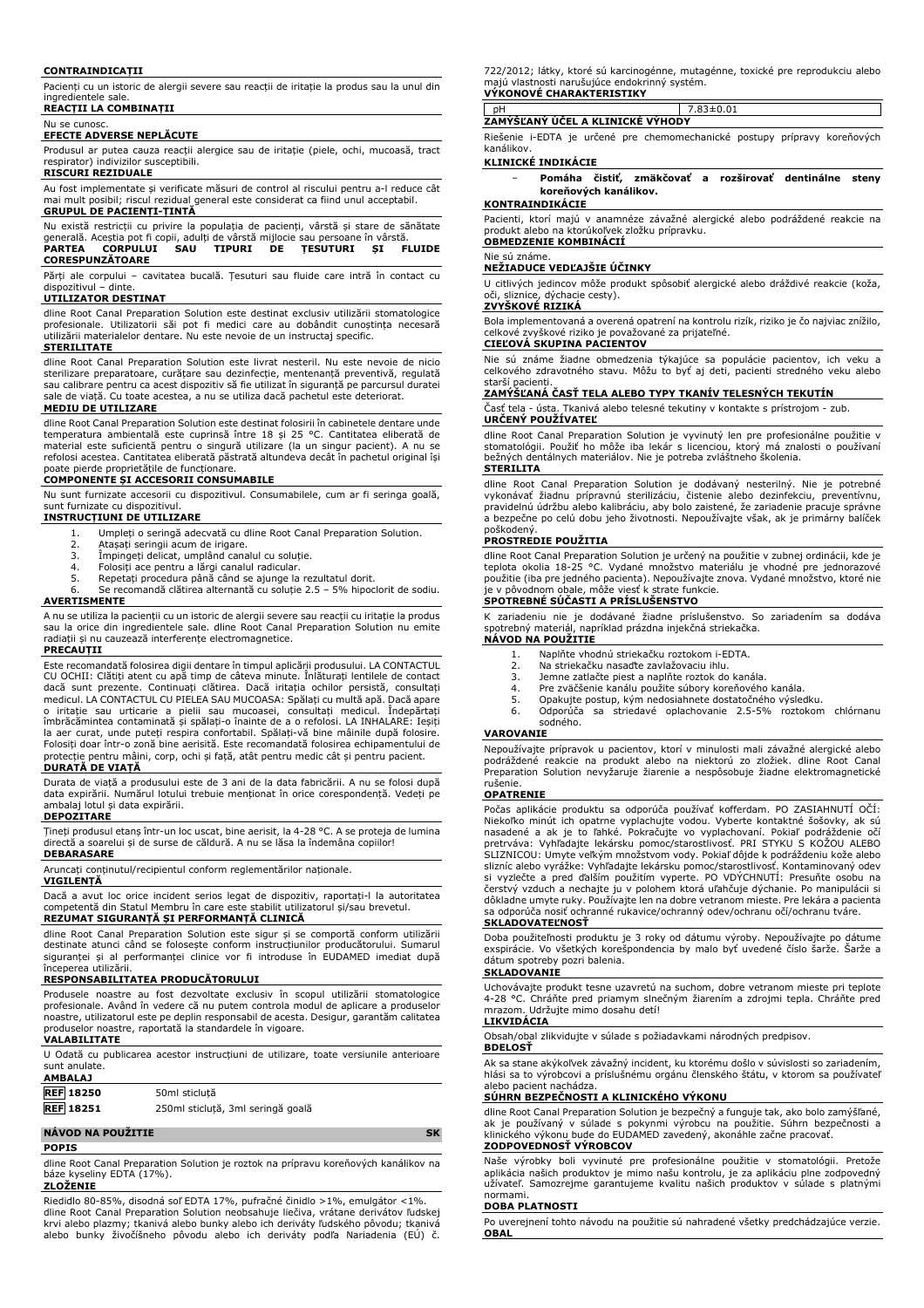#### **CONTRAINDICAȚII**

Pacienți cu un istoric de alergii severe sau reacții de iritație la produs sau la unul din ingredientele sale. **REACȚII LA COMBINAȚII**

# Nu se cunosc.

# **EFECTE ADVERSE NEPLĂCUTE**

Produsul ar putea cauza reacții alergice sau de iritație (piele, ochi, mucoasă, tract respirator) indivizilor susceptibili.

### **RISCURI REZIDUALE**

Au fost implementate și verificate măsuri de control al riscului pentru a-l reduce cât mult posibil; riscul rezidual general este considerat ca fiind unul acceptabil. **GRUPUL DE PACIENȚI-ȚINTĂ**

Nu există restricții cu privire la populația de pacienți, vârstă și stare de sănătate generală. Aceștia pot fi copii, adulți de vârstă mijlocie sau persoane în vârstă. **PARTEA CORPULUI SAU TIPURI DE ȚESUTURI ȘI FLUIDE CORESPUNZĂTOARE**

Părți ale corpului – cavitatea bucală. Țesuturi sau fluide care intră în contact cu dispozitivul – dinte.

### **UTILIZATOR DESTINAT**

dline Root Canal Preparation Solution este destinat exclusiv utilizării stomatologice profesionale. Utilizatorii săi pot fi medici care au dobândit cunoștința necesară utilizării materialelor dentare. Nu este nevoie de un instructaj specific.

# **STERILITATE**

dline Root Canal Preparation Solution este livrat nesteril. Nu este nevoie de nicio sterilizare preparatoare, curățare sau dezinfecție, mentenanță preventivă, regulată sau calibrare pentru ca acest dispozitiv să fie utilizat în siguranță pe parcursul duratei sale de viață. Cu toate acestea, a nu se utiliza dacă pachetul este deteriorat. **MEDIU DE UTILIZARE**

# dline Root Canal Preparation Solution este destinat folosirii în cabinetele dentare unde temperatura ambientală este cuprinsă între 18 și 25 °C. Cantitatea eliberată de material este suficientă pentru o singură utilizare (la un singur pacient). A nu se refolosi acestea. Cantitatea eliberată păstrată altundeva decât în pachetul original își poate pierde proprietățile de funcționare.

#### **COMPONENTE ȘI ACCESORII CONSUMABILE**

Nu sunt furnizate accesorii cu dispozitivul. Consumabilele, cum ar fi seringa goală, sunt furnizate cu dispozitivul.

# **INSTRUCȚIUNI DE UTILIZARE**

- 1. Umpleți o seringă adecvată cu dline Root Canal Preparation Solution.
- 2. Atașați seringii acum de irigare.<br>3. Împingeti delicat, umplând cana
- 3. Împingeți delicat, umplând canalul cu soluție.
- Folosiți ace pentru a lărgi canalul radicular.
- 5. Repetați procedura până când se ajunge la rezultatul dorit. 6. Se recomandă clătirea alternantă cu soluție 2.5 5% hipoclorit de sodiu.

#### **AVERTISMENTE**

A nu se utiliza la pacienții cu un istoric de alergii severe sau reacții cu iritație la produs sau la orice din ingredientele sale. dline Root Canal Preparation Solution nu emite radiații și nu cauzează interferențe electromagnetice.

#### **PRECAUȚII**

Este recomandată folosirea digii dentare în timpul aplicării produsului. LA CONTACTUL CU OCHII: Clătiți atent cu apă timp de câteva minute. Înlăturați lentilele de contact dacă sunt prezente. Continuați clătirea. Dacă iritația ochilor persistă, consultați medicul. LA CONTACTUL CU PIELEA SAU MUCOASA: Spălați cu multă apă. Dacă apare o iritație sau urticarie a pielii sau mucoasei, consultați medicul. Îndepărtați îmbrăcămintea contaminată și spălați-o înainte de a o refolosi. LA INHALARE: Ieșiți la aer curat, unde puteți respira confortabil. Spălați-vă bine mâinile după folosire. Folosiți doar într-o zonă bine aerisită. Este recomandată folosirea echipamentului de protecție pentru mâini, corp, ochi și față, atât pentru medic cât și pentru pacient. **DURATĂ DE VIAȚĂ**

Durata de viață a produsului este de 3 ani de la data fabricării. A nu se folosi după data expirării. Numărul lotului trebuie menționat în orice corespondență. Vedeți pe ambalaj lotul și data expirării. **DEPOZITARE**

Țineți produsul etanș într-un loc uscat, bine aerisit, la 4-28 °C. A se proteja de lumina directă a soarelui și de surse de căldură. A nu se lăsa la îndemâna copiilor!

#### **DEBARASARE**

# Aruncați conținutul/recipientul conform reglementărilor naționale. **VIGILENȚĂ**

Dacă a avut loc orice incident serios legat de dispozitiv, raportați-l la autoritatea competentă din Statul Membru în care este stabilit utilizatorul și/sau brevetul. **REZUMAT SIGURANȚĂ ȘI PERFORMANȚĂ CLINICĂ**

dline Root Canal Preparation Solution este sigur și se comportă conform utilizării destinate atunci când se folosește conform instrucțiunilor producătorului. Sumarul siguranței și al performanței clinice vor fi introduse în EUDAMED imediat după începerea utilizării.

#### **RESPONSABILITATEA PRODUCĂTORULUI**

Produsele noastre au fost dezvoltate exclusiv în scopul utilizării stomatologice profesionale. Având în vedere că nu putem controla modul de aplicare a produselor noastre, utilizatorul este pe deplin responsabil de acesta. Desigur, garantăm calitatea produselor noastre, raportată la standardele în vigoare.

## **VALABILITATE**

U Odată cu publicarea acestor instrucțiuni de utilizare, toate versiunile anterioare sunt anulate. **AMBALAJ**

# **REF 18250** 50ml sticluță **REF 18251** 250ml sticluță, 3ml seringă goală

### **NÁVOD NA POUŽITIE SK**

#### **POPIS**

dline Root Canal Preparation Solution je roztok na prípravu koreňových kanálikov na báze kyseliny EDTA (17%). **ZLOŽENIE**

Riedidlo 80-85%, disodná soľ EDTA 17%, pufračné činidlo >1%, emulgátor <1%. dline Root Canal Preparation Solution neobsahuje liečiva, vrátane derivátov ľudskej krvi alebo plazmy; tkanivá alebo bunky alebo ich deriváty ľudského pôvodu; tkanivá alebo bunky živočíšneho pôvodu alebo ich deriváty podľa Nariadenia (EÚ) č.

722/2012; látky, ktoré sú karcinogénne, mutagénne, toxické pre reprodukciu alebo majú vlastnosti narušujúce endokrinný systém. **VÝKONOVÉ CHARAKTERISTIKY**

## pH 7.83±0.01 **ZAMÝŠĽANÝ ÚČEL A KLINICKÉ VÝHODY**

Riešenie i-EDTA je určené pre chemomechanické postupy prípravy koreňových kanálikov.

# **KLINICKÉ INDIKÁCIE**

− **Pomáha čistiť, zmäkčovať a rozširovať dentinálne steny koreňových kanálikov.**

#### **KONTRAINDIKÁCIE**

Pacienti, ktorí majú v anamnéze závažné alergické alebo podráždené reakcie na produkt alebo na ktorúkoľvek zložku prípravku. **OBMEDZENIE KOMBINÁCIÍ**

# Nie sú známe.

#### **NEŽIADUCE VEDĽAJŠIE ÚČINKY**

U citlivých jedincov môže produkt spôsobiť alergické alebo dráždivé reakcie (koža, oči, sliznice, dýchacie cesty).

#### **ZVYŠKOVÉ RIZIKÁ**

Bola implementovaná a overená opatrení na kontrolu rizík, riziko je čo najviac znížilo, celkové zvyškové riziko je považované za prijateľné.

# **CIEĽOVÁ SKUPINA PACIENTOV**

Nie sú známe žiadne obmedzenia týkajúce sa populácie pacientov, ich veku a celkového zdravotného stavu. Môžu to byť aj deti, pacienti stredného veku alebo starší pacienti.

#### **ZAMÝŠĽANÁ ČASŤ TELA ALEBO TYPY TKANÍV TELESNÝCH TEKUTÍN**

Časť tela - ústa. Tkanivá alebo telesné tekutiny v kontakte s prístrojom - zub. **URČENÝ POUŽÍVATEĽ**

dline Root Canal Preparation Solution je vyvinutý len pre profesionálne použitie v stomatológii. Použiť ho môže iba lekár s licenciou, ktorý má znalosti o používaní bežných dentálnych materiálov. Nie je potreba zvláštneho školenia. **STERILITA**

dline Root Canal Preparation Solution je dodávaný nesterilný. Nie je potrebné vykonávať žiadnu prípravnú sterilizáciu, čistenie alebo dezinfekciu, preventívnu, pravidelnú údržbu alebo kalibráciu, aby bolo zaistené, že zariadenie pracuje správne a bezpečne po celú dobu jeho životnosti. Nepoužívajte však, ak je primárny balíček poškodený.

#### **PROSTREDIE POUŽITIA**

dline Root Canal Preparation Solution je určený na použitie v zubnej ordinácii, kde je teplota okolia 18-25 °C. Vydané množstvo materiálu je vhodné pre jednorazové použitie (iba pre jedného pacienta). Nepoužívajte znova. Vydané množstvo, ktoré nie je v pôvodnom obale, môže viesť k strate funkcie.

# **SPOTREBNÉ SÚČASTI A PRÍSLUŠENSTVO**

K zariadeniu nie je dodávané žiadne príslušenstvo. So zariadením sa dodáva spotrebný materiál, napríklad prázdna injekčná striekačka. **NÁVOD NA POUŽITIE**

- 
- 1. Naplňte vhodnú striekačku roztokom i-EDTA.<br>2. Na striekačku nasaďte zavlažovaciu ihlu. 2. Na striekačku nasaďte zavlažovaciu ihlu.
- 
- 3. Jemne zatlačte piest a naplňte roztok do kanála. 4. Pre zväčšenie kanálu použite súbory koreňového kanála.<br>5. Opakujte postup, kým nedosiabnete dostatočného výsle
- 5. Opakujte postup, kým nedosiahnete dostatočného výsledku.
- 6. Odporúča sa striedavé oplachovanie 2.5-5% roztokom chlórnanu sodného.

#### **VAROVANIE**

Nepoužívajte prípravok u pacientov, ktorí v minulosti mali závažné alergické alebo podráždené reakcie na produkt alebo na niektorú zo zložiek. dline Root Canal Preparation Solution nevyžaruje žiarenie a nespôsobuje žiadne elektromagnetické rušenie.

#### **OPATRENIE**

Počas aplikácie produktu sa odporúča používať kofferdam. PO ZASIAHNUTÍ OČÍ: Niekoľko minút ich opatrne vyplachujte vodou. Vyberte kontaktné šošovky, ak sú<br>nasadené a ak je to ľahké. Pokračujte vo vyplachovaní. Pokiaľ podráždenie očí<br>pretrváva: Vyhľadajte lekársku pomoc/starostlivosť. PRI STYKU S K SLIZNICOU: Umyte veľkým množstvom vody. Pokiaľ dôjde k podráždeniu kože alebo slizníc alebo vyrážke: Vyhľadajte lekársku pomoc/starostlivosť. Kontaminovaný odev si vyzlečte a pred ďalším použitím vyperte. PO VDÝCHNUTÍ: Presuňte osobu na čerstvý vzduch a nechajte ju v polohem ktorá uľahčuje dýchanie. Po manipulácii si dôkladne umyte ruky. Používajte len na dobre vetranom mieste. Pre lekára a pacienta sa odporúča nosiť ochranné rukavice/ochranný odev/ochranu očí/ochranu tváre.

### **SKLADOVATEĽNOSŤ**

Doba použiteľnosti produktu je 3 roky od dátumu výroby. Nepoužívajte po dátume exspirácie. Vo všetkých korešpondencia by malo byť uvedené číslo šarže. Šarže a dátum spotreby pozri balenia.

#### **SKLADOVANIE**

Uchovávajte produkt tesne uzavretú na suchom, dobre vetranom mieste pri teplote 4-28 °C. Chráňte pred priamym slnečným žiarením a zdrojmi tepla. Chráňte pred mrazom. Udržujte mimo dosahu detí!

#### **LIKVIDÁCIA**

Obsah/obal zlikvidujte v súlade s požiadavkami národných predpisov. **BDELOSŤ**

Ak sa stane akýkoľvek závažný incident, ku ktorému došlo v súvislosti so zariadením, hlási sa to výrobcovi a príslušnému orgánu členského štátu, v ktorom sa používateľ alebo pacient nachádza.

#### **SÚHRN BEZPEČNOSTI A KLINICKÉHO VÝKONU**

dline Root Canal Preparation Solution je bezpečný a funguje tak, ako bolo zamýšľané, ak je používaný v súlade s pokynmi výrobcu na použitie. Súhrn bezpečnosti a klinického výkonu bude do EUDAMED zavedený, akonáhle začne pracovať.

# **ZODPOVEDNOSŤ VÝROBCOV**

Naše výrobky boli vyvinuté pre profesionálne použitie v stomatológii. Pretože aplikácia našich produktov je mimo našu kontrolu, je za aplikáciu plne zodpovedný užívateľ. Samozrejme garantujeme kvalitu našich produktov v súlade s platnými normami.

#### **DOBA PLATNOSTI**

Po uverejnení tohto návodu na použitie sú nahradené všetky predchádzajúce verzie. **OBAL**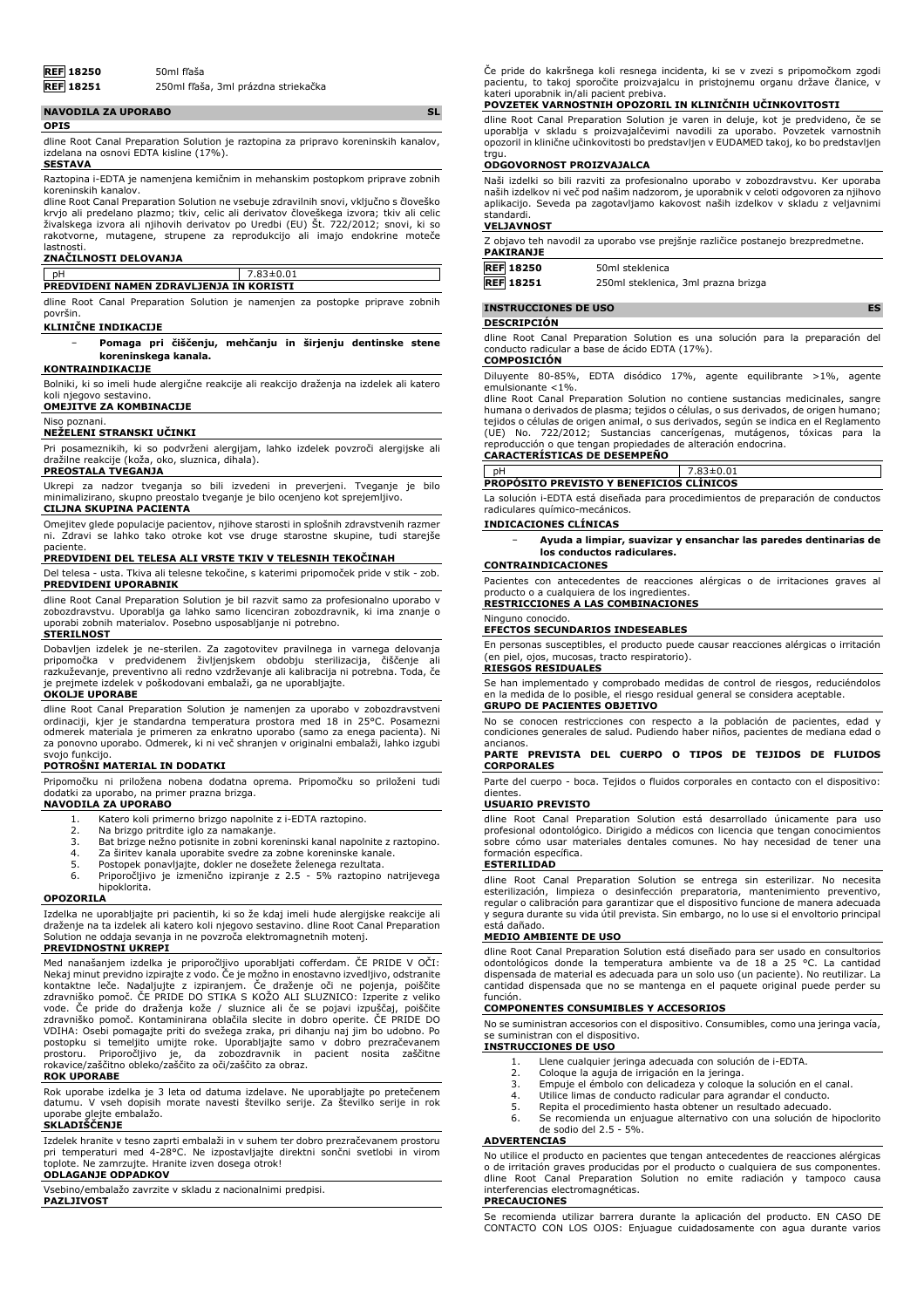

**REF 18251** 250ml fľaša, 3ml prázdna striekačka

| <b>NAVODILA ZA UPORABO</b>                                                                                                    |  |
|-------------------------------------------------------------------------------------------------------------------------------|--|
| <b>OPIS</b>                                                                                                                   |  |
| dline Root Canal Preparation Solution je raztopina za pripravo koreninskih kanalov,<br>izdelana na osnovi EDTA kisline (17%). |  |

#### **SESTAVA**

Raztopina i-EDTA je namenjena kemičnim in mehanskim postopkom priprave zobnih

koreninskih kanalov. dline Root Canal Preparation Solution ne vsebuje zdravilnih snovi, vključno s človeško krvjo ali predelano plazmo; tkiv, celic ali derivatov človeškega izvora; tkiv ali celic živalskega izvora ali njihovih derivatov po Uredbi (EU) Št. 722/2012; snovi, ki so rakotvorne, mutagene, strupene za reprodukcijo ali imajo endokrine moteče lastnosti.

#### **ZNAČILNOSTI DELOVANJA**

# pH 7.83±0.01

**PREDVIDENI NAMEN ZDRAVLJENJA IN KORISTI**

dline Root Canal Preparation Solution je namenjen za postopke priprave zobnih površin.

#### **KLINIČNE INDIKACIJE**

− **Pomaga pri čiščenju, mehčanju in širjenju dentinske stene koreninskega kanala.**

#### **KONTRAINDIKACIJE**

Bolniki, ki so imeli hude alergične reakcije ali reakcijo draženja na izdelek ali katero koli njegovo sestavino.

#### **OMEJITVE ZA KOMBINACIJE** Niso poznani.

# **NEŽELENI STRANSKI UČINKI**

Pri posameznikih, ki so podvrženi alergijam, lahko izdelek povzroči alergijske ali dražilne reakcije (koža, oko, sluznica, dihala).

## **PREOSTALA TVEGANJA**

Ukrepi za nadzor tveganja so bili izvedeni in preverjeni. Tveganje je bilo minimalizirano, skupno preostalo tveganje je bilo ocenjeno kot sprejemljivo.

### **CILJNA SKUPINA PACIENTA**

Omejitev glede populacije pacientov, njihove starosti in splošnih zdravstvenih razmer ni. Zdravi se lahko tako otroke kot vse druge starostne skupine, tudi starejše

# paciente. **PREDVIDENI DEL TELESA ALI VRSTE TKIV V TELESNIH TEKOČINAH**

Del telesa - usta. Tkiva ali telesne tekočine, s katerimi pripomoček pride v stik - zob. **PREDVIDENI UPORABNIK**

dline Root Canal Preparation Solution je bil razvit samo za profesionalno uporabo v<br>zobozdravstvu. Uporablja ga lahko samo licenciran zobozdravnik, ki ima znanje o<br>uporabi zobnih materialov. Posebno usposabljanje ni potreb

## **STERILNOST**

Dobavljen izdelek je ne-sterilen. Za zagotovitev pravilnega in varnega delovanja pripomočka v predvidenem življenjskem obdobju sterilizacija, čiščenje ali razkuževanje, preventivno ali redno vzdrževanje ali kalibracija ni potrebna. Toda, če je prejmete izdelek v poškodovani embalaži, ga ne uporabljajte. **OKOLJE UPORABE**

dline Root Canal Preparation Solution je namenjen za uporabo v zobozdravstveni ordinaciji, kjer je standardna temperatura prostora med 18 in 25°C. Posamezni odmerek materiala je primeren za enkratno uporabo (samo za enega pacienta). Ni za ponovno uporabo. Odmerek, ki ni več shranjen v originalni embalaži, lahko izgubi svojo funkcijo.

#### **POTROŠNI MATERIAL IN DODATKI**

Pripomočku ni priložena nobena dodatna oprema. Pripomočku so priloženi tudi dodatki za uporabo, na primer prazna brizga.

- **NAVODILA ZA UPORABO**
	- 1. Katero koli primerno brizgo napolnite z i-EDTA raztopino.<br>2. Na brizgo pritrdite iglo za namakanje
	-
	- 2. Na brizgo pritrdite iglo za namakanje. 3. Bat brizge nežno potisnite in zobni koreninski kanal napolnite z raztopino.
	- 4. Za širitev kanala uporabite svedre za zobne koreninske kanale.
	- 5. Postopek ponavljajte, dokler ne dosežete želenega rezultata. 6. Priporočljivo je izmenično izpiranje z 2.5 5% raztopino natrijevega
	- hipoklorita.

#### **OPOZORILA**

Izdelka ne uporabljajte pri pacientih, ki so že kdaj imeli hude alergijske reakcije ali draženje na ta izdelek ali katero koli njegovo sestavino. dline Root Canal Preparation Solution ne oddaja sevanja in ne povzroča elektromagnetnih motenj.

#### **PREVIDNOSTNI UKREPI**

Med nanašanjem izdelka je priporočljivo uporabljati cofferdam. ČE PRIDE V OČI: Nekaj minut previdno izpirajte z vodo. Če je možno in enostavno izvedljivo, odstranite<br>kontaktne leče. Nadaljujte z izpiranjem. Če draženje oči ne pojenja, poiščite<br>zdravniško pomoč. ČE PRIDE DO STIKA S KOŽO ALI SLUZNICO: zdravniško pomoč. Kontaminirana oblačila slecite in dobro operite. ČE PRIDE DO VDIHA: Osebi pomagajte priti do svežega zraka, pri dihanju naj jim bo udobno. Po<br>postopku si temeljito umijte roke. Uporabljajte samo v dobro prezračevanem<br>prostoru. Priporočljivo je, da zobozdravnik in pacient nosita zašč

# **ROK UPORABE**

Rok uporabe izdelka je 3 leta od datuma izdelave. Ne uporabljajte po pretečenem datumu. V vseh dopisih morate navesti številko serije. Za številko serije in rok uporabe glejte embalažo.

# **SKLADIŠČENJE**

Izdelek hranite v tesno zaprti embalaži in v suhem ter dobro prezračevanem prostoru pri temperaturi med 4-28°C. Ne izpostavljajte direktni sončni svetlobi in virom toplote. Ne zamrzujte. Hranite izven dosega otrok!

#### **ODLAGANJE ODPADKOV**

Vsebino/embalažo zavrzite v skladu z nacionalnimi predpisi.

**PAZLJIVOST**

Če pride do kakršnega koli resnega incidenta, ki se v zvezi s pripomočkom zgodi pacientu, to takoj sporočite proizvajalcu in pristojnemu organu države članice, v kateri uporabnik in/ali pacient prebiva.

#### **POVZETEK VARNOSTNIH OPOZORIL IN KLINIČNIH UČINKOVITOSTI**

dline Root Canal Preparation Solution je varen in deluje, kot je predvideno, če se uporablja v skladu s proizvajalčevimi navodili za uporabo. Povzetek varnostnih opozoril in klinične učinkovitosti bo predstavljen v EUDAMED takoj, ko bo predstavljen trau.

#### **ODGOVORNOST PROIZVAJALCA**

Naši izdelki so bili razviti za profesionalno uporabo v zobozdravstvu. Ker uporaba naših izdelkov ni več pod našim nadzorom, je uporabnik v celoti odgovoren za njihovo aplikacijo. Seveda pa zagotavljamo kakovost naših izdelkov v skladu z veljavnimi standardi.

# **VELJAVNOST**

| Z objavo teh navodil za uporabo vse prejšnje različice postanejo brezpredmetne. |  |  |  |
|---------------------------------------------------------------------------------|--|--|--|
| PAKIRANJE                                                                       |  |  |  |
|                                                                                 |  |  |  |

| REF 18250        | 50ml steklenica                     |
|------------------|-------------------------------------|
| <b>REF</b> 18251 | 250ml steklenica, 3ml prazna brizga |

# **INSTRUCCIONES DE USO ES**

# **DESCRIPCIÓN**

dline Root Canal Preparation Solution es una solución para la preparación del conducto radicular a base de ácido EDTA (17%).

# **COMPOSICIÓN**

Diluyente 80-85%, EDTA disódico 17%, agente equilibrante >1%, agente emulsionante <1%.

dline Root Canal Preparation Solution no contiene sustancias medicinales, sangre humana o derivados de plasma; tejidos o células, o sus derivados, de origen humano; tejidos o células de origen animal, o sus derivados, según se indica en el Reglamento (UE) No. 722/2012; Sustancias cancerígenas, mutágenos, tóxicas para la reproducción o que tengan propiedades de alteración endocrina.

#### **CARACTERÍSTICAS DE DESEMPEÑO**

pH 7.83±0.01 **PROPÓSITO PREVISTO Y BENEFICIOS CLÍNICOS**

La solución i-EDTA está diseñada para procedimientos de preparación de conductos radiculares químico-mecánicos.

### **INDICACIONES CLÍNICAS**

− **Ayuda a limpiar, suavizar y ensanchar las paredes dentinarias de los conductos radiculares.**

#### **CONTRAINDICACIONES**

Pacientes con antecedentes de reacciones alérgicas o de irritaciones graves al cualquiera de los ingre

**RESTRICCIONES A LAS COMBINACIONES** Ninguno conocido.

#### **EFECTOS SECUNDARIOS INDESEABLES**

En personas susceptibles, el producto puede causar reacciones alérgicas o irritación (en piel, ojos, mucosas, tracto respiratorio).

#### **RIESGOS RESIDUALES**

Se han implementado y comprobado medidas de control de riesgos, reduciéndolos en la medida de lo posible, el riesgo residual general se considera aceptable. **GRUPO DE PACIENTES OBJETIVO**

# No se conocen restricciones con respecto a la población de pacientes, edad y

condiciones generales de salud. Pudiendo haber niños, pacientes de mediana edad o

# ancianos. **PARTE PREVISTA DEL CUERPO O TIPOS DE TEJIDOS DE FLUIDOS CORPORALES**

Parte del cuerpo - boca. Tejidos o fluidos corporales en contacto con el dispositivo: dientes

### **USUARIO PREVISTO**

dline Root Canal Preparation Solution está desarrollado únicamente para uso profesional odontológico. Dirigido a médicos con licencia que tengan conocimientos sobre cómo usar materiales dentales comunes. No hay necesidad de tener una formación específica.

#### **ESTERILIDAD**

dline Root Canal Preparation Solution se entrega sin esterilizar. No necesita esterilización, limpieza o desinfección preparatoria, mantenimiento preventivo, regular o calibración para garantizar que el dispositivo funcione de manera adecuada y segura durante su vida útil prevista. Sin embargo, no lo use si el envoltorio principal está dañado.

#### **MEDIO AMBIENTE DE USO**

dline Root Canal Preparation Solution está diseñado para ser usado en consultorios odontológicos donde la temperatura ambiente va de 18 a 25 °C. La cantidad dispensada de material es adecuada para un solo uso (un paciente). No reutilizar. La cantidad dispensada que no se mantenga en el paquete original puede perder su función.

### **COMPONENTES CONSUMIBLES Y ACCESORIOS**

No se suministran accesorios con el dispositivo. Consumibles, como una jeringa vacía, se suministran con el dispositivo. **INSTRUCCIONES DE USO**

- 1. Llene cualquier jeringa adecuada con solución de i-EDTA.<br>2. Coloque la aguja de irrigación en la jeringa.
- 2. Coloque la aguja de irrigación en la jeringa. Empuje el émbolo con delicadeza y coloque la solución en el canal.
- 
- 4. Utilice limas de conducto radicular para agrandar el conducto. Repita el procedimiento hasta obtener un resultado adecuado.
- 6. Se recomienda un enjuague alternativo con una solución de hipoclorito de sodio del 2.5 - 5%.

#### **ADVERTENCIAS**

No utilice el producto en pacientes que tengan antecedentes de reacciones alérgicas o de irritación graves producidas por el producto o cualquiera de sus componentes. dline Root Canal Preparation Solution no emite radiación y tampoco causa interferencias electromagnéticas.

#### **PRECAUCIONES**

Se recomienda utilizar barrera durante la aplicación del producto. EN CASO DE CONTACTO CON LOS OJOS: Enjuague cuidadosamente con agua durante varios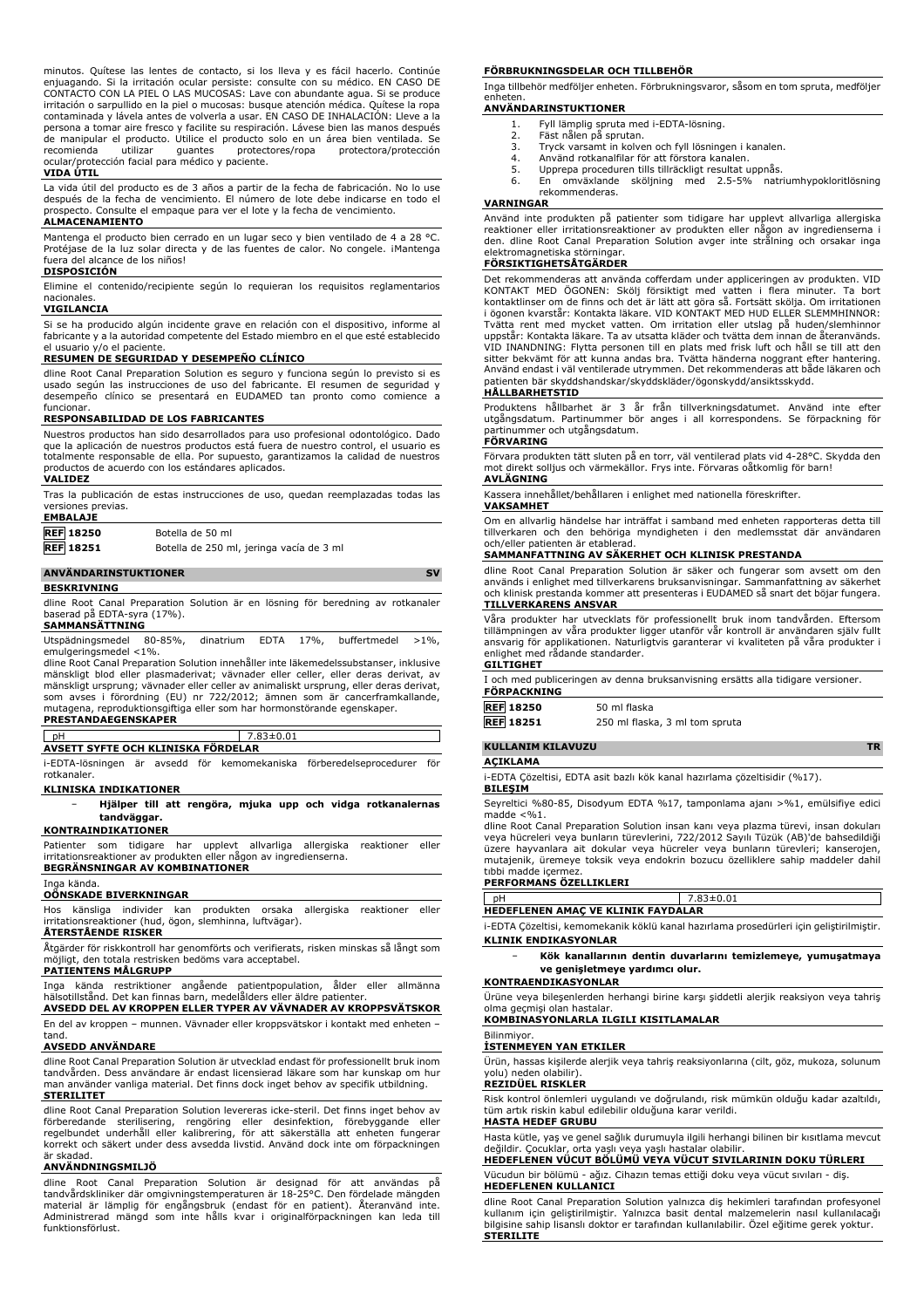minutos. Quitese las lentes de contacto, si los lleva y es fàcil hacerlo. Continue<br>enjuagando. Si la irritación ocular persiste: consulte con su médico. EN CASO DE<br>CONTACTO CON LA PIEL O LAS MUCOSAS: Lave con abundante agu irritación o sarpullido en la piel o mucosas: busque atención médica. Quítese la ropa contaminada y lávela antes de volverla a usar. EN CASO DE INHALACIÓN: Lleve a la persona a tomar aire fresco y facilite su respiración. Lávese bien las manos después de manipular el producto. Utilice el producto solo en un área bien ventilada. Se recomienda utilizar guantes protectores/ropa protectora/protección ocular/protección facial para médico y paciente.

#### **VIDA ÚTIL**

La vida útil del producto es de 3 años a partir de la fecha de fabricación. No lo use después de la fecha de vencimiento. El número de lote debe indicarse en todo el prospecto. Consulte el empaque para ver el lote y la fecha de vencimiento. **ALMACENAMIENTO**

Mantenga el producto bien cerrado en un lugar seco y bien ventilado de 4 a 28 °C. Protéjase de la luz solar directa y de las fuentes de calor. No congele. iMantenga fuera del alcance de los niños! **DISPOSICIÓN**

Elimine el contenido/recipiente según lo requieran los requisitos reglamentarios nacionales.

#### **VIGILANCIA**

Si se ha producido algún incidente grave en relación con el dispositivo, informe al fabricante y a la autoridad competente del Estado miembro en el que esté establecido el usuario v/o el paciente.

#### **RESUMEN DE SEGURIDAD Y DESEMPEÑO CLÍNICO**

dline Root Canal Preparation Solution es seguro y funciona según lo previsto si es usado según las instrucciones de uso del fabricante. El resumen de seguridad y desempeño clínico se presentará en EUDAMED tan pronto como comience a funcionar.

#### **RESPONSABILIDAD DE LOS FABRICANTES**

Nuestros productos han sido desarrollados para uso profesional odontológico. Dado que la aplicación de nuestros productos está fuera de nuestro control, el usuario es totalmente responsable de ella. Por supuesto, garantizamos la calidad de nuestros productos de acuerdo con los estándares aplicados. **VALIDEZ**

Tras la publicación de estas instrucciones de uso, quedan reemplazadas todas las versiones previas. **EMBALAJE**

| - 1<br>۰, | чрац. |  |
|-----------|-------|--|
|           |       |  |

**REF 18250** Botella de 50 ml

**REF 18251** Botella de 250 ml, jeringa vacía de 3 ml

#### **ANVÄNDARINSTUKTIONER** SV

#### **BESKRIVNING**

dline Root Canal Preparation Solution är en lösning för beredning av rotkanaler baserad på EDTA-syra (17%).

## **SAMMANSÄTTNING**

Utspädningsmedel 80-85%, dinatrium EDTA 17%, buffertmedel >1%, emulgeringsmedel <1%.

dline Root Canal Preparation Solution innehåller inte läkemedelssubstanser, inklusive mänskligt blod eller plasmaderivat; vävnader eller celler, eller deras derivat, av mänskligt ursprung; vävnader eller celler av animaliskt ursprung, eller deras derivat, som avses i förordning (EU) nr 722/2012; ämnen som är cancerframkallande, mutagena, reproduktionsgiftiga eller som har hormonstörande egenskaper. **PRESTANDAEGENSKAPER**

| l pH                               |  | 7.83±0.01 |                                                                     |     |
|------------------------------------|--|-----------|---------------------------------------------------------------------|-----|
| AVSETT SYFTE OCH KLINISKA FÖRDELAR |  |           |                                                                     |     |
|                                    |  |           | i-EDTA-lösningen är avsedd för kemomekaniska förberedelseprocedurer | för |

rotkanaler.

# **KLINISKA INDIKATIONER**

− **Hjälper till att rengöra, mjuka upp och vidga rotkanalernas tandväggar.**

#### **KONTRAINDIKATIONER**

Patienter som tidigare har upplevt allvarliga allergiska reaktioner eller irritationsreaktioner av produkten eller någon av ingredienserna. **BEGRÄNSNINGAR AV KOMBINATIONER**

# Inga kända. **OÖNSKADE BIVERKNINGAR**

Hos känsliga individer kan produkten orsaka allergiska reaktioner eller irritationsreaktioner (hud, ögon, slemhinna, luftvägar).

#### **ÅTERSTÅENDE RISKER**

Åtgärder för riskkontroll har genomförts och verifierats, risken minskas så långt som möjligt, den totala restrisken bedöms vara acceptabel.

**PATIENTENS MÅLGRUPP**

Inga kända restriktioner angående patientpopulation, ålder eller allmänna hälsotillstånd. Det kan finnas barn, medelålders eller äldre patienter.

**AVSEDD DEL AV KROPPEN ELLER TYPER AV VÄVNADER AV KROPPSVÄTSKOR** En del av kroppen – munnen. Vävnader eller kroppsvätskor i kontakt med enheten – tand.

#### **AVSEDD ANVÄNDARE**

dline Root Canal Preparation Solution är utvecklad endast för professionellt bruk inom tandvården. Dess användare är endast licensierad läkare som har kunskap om hur man använder vanliga material. Det finns dock inget behov av specifik utbildning. **STERILITET**

dline Root Canal Preparation Solution levereras icke-steril. Det finns inget behov av<br>förberedande - sterilisering, - rengöring - eller - desinfektion, - förebyggande - eller<br>regelbundet underhåll eller kalibrering, för at korrekt och säkert under dess avsedda livstid. Använd dock inte om förpackningen

#### **ANVÄNDNINGSMILJÖ**

är skadad.

dline Root Canal Preparation Solution är designad för att användas på tandvårdskliniker där omgivningstemperaturen är 18-25°C. Den fördelade mängden material är lämplig för engångsbruk (endast för en patient). Återanvänd inte. Administrerad mängd som inte hålls kvar i originalförpackningen kan leda till funktionsförlust.

#### **FÖRBRUKNINGSDELAR OCH TILLBEHÖR**

Inga tillbehör medföljer enheten. Förbrukningsvaror, såsom en tom spruta, medföljer enheten.

### **ANVÄNDARINSTUKTIONER**

- 1. Fyll lämplig spruta med i-EDTA-lösning. 2. Fäst nålen på sprutan.
- 
- 3. Tryck varsamt in kolven och fyll lösningen i kanalen.
- 4. Använd rotkanalfilar för att förstora kanalen.<br>5. Upprepa proceduren tills tillräckligt resultat u 5. Upprepa proceduren tills tillräckligt resultat uppnås.<br>5. En omväxlande skölining med 2.5-5% nat
- 6. En omväxlande sköljning med 2.5-5% natriumhypokloritlösning rekommenderas.

#### **VARNINGAR**

Använd inte produkten på patienter som tidigare har upplevt allvarliga allergiska<br>reaktioner eller irritationsreaktioner av produkten eller någon av ingredienserna i<br>den. dline Root Canal Preparation Solution avger inte st elektromagnetiska störninga

# **FÖRSIKTIGHETSÅTGÄRDER**

Det rekommenderas att använda cofferdam under appliceringen av produkten. VID KONTAKT MED ÖGONEN: Skölj försiktigt med vatten i flera minuter. Ta bort kontaktlinser om de finns och det är lätt att göra så. Fortsätt skölja. Om irritationen i ögonen kvarstår: Kontakta läkare. VID KONTAKT MED HUD ELLER SLEMMHINNOR: Tvätta rent med mycket vatten. Om irritation eller utslag på huden/slemhinnor uppstår: Kontakta läkare. Ta av utsatta kläder och tvätta dem innan de återanvänds. VID INANDNING: Flytta personen till en plats med frisk luft och håll se till att den sitter bekvämt för att kunna andas bra. Tvätta händerna noggrant efter hantering. Använd endast i väl ventilerade utrymmen. Det rekommenderas att både läkaren och patienten bär skyddshandskar/skyddskläder/ögonskydd/ansiktsskydd.

## **HÅLLBARHETSTID**

Produktens hållbarhet är 3 år från tillverkningsdatumet. Använd inte efter utgångsdatum. Partinummer bör anges i all korrespondens. Se förpackning för partinummer och utgångsdatum.

# **FÖRVARING**

Förvara produkten tätt sluten på en torr, väl ventilerad plats vid 4-28°C. Skydda den mot direkt solljus och värmekällor. Frys inte. Förvaras oåtkomlig för barn! **AVLÄGNING**

Kassera innehållet/behållaren i enlighet med nationella föreskrifter.

#### **VAKSAMHET**

Om en allvarlig händelse har inträffat i samband med enheten rapporteras detta till tillverkaren och den behöriga myndigheten i den medlemsstat där användaren och/eller patienten är etablerad.

#### **SAMMANFATTNING AV SÄKERHET OCH KLINISK PRESTANDA**

dline Root Canal Preparation Solution är säker och fungerar som avsett om den används i enlighet med tillverkarens bruksanvisningar. Sammanfattning av säkerhet och klinisk prestanda kommer att presenteras i EUDAMED så snart det böjar fungera. **TILLVERKARENS ANSVAR**

Våra produkter har utvecklats för professionellt bruk inom tandvården. Eftersom tillämpningen av våra produkter ligger utanför vår kontroll är användaren själv fullt ansvarig för applikationen. Naturligtvis garanterar vi kvaliteten på våra produkter i enlighet med rådande standarder.

## **GILTIGHET**

| FÖRPACKNING |
|-------------|

| <b>REF 18250</b> | 50 ml flaska |
|------------------|--------------|
| ____ _ _ _       |              |

# **KULLANIM KILAVUZU TR**

**AÇIKLAMA**

i-EDTA Çözeltisi, EDTA asit bazlı kök kanal hazırlama çözeltisidir (%17).

**BILEŞIM**

Seyreltici %80-85, Disodyum EDTA %17, tamponlama ajanı >%1, emülsifiye edici madde  $<\frac{9}{6}1$ .

dline Root Canal Preparation Solution insan kanı veya plazma türevi, insan dokuları veya hücreleri veya bunların türevlerini, 722/2012 Sayılı Tüzük (AB)'de bahsedildiği üzere hayvanlara ait dokular veya hücreler veya bunların türevleri; kanserojen, mutajenik, üremeye toksik veya endokrin bozucu özelliklere sahip maddeler dahil madde içermez

#### **PERFORMANS ÖZELLIKLERI**

|                                                                                                                                                                                                                                | 7.83±0.01 |
|--------------------------------------------------------------------------------------------------------------------------------------------------------------------------------------------------------------------------------|-----------|
| HEDEFLENEN AMAC VE KLINIK FAYDALAR                                                                                                                                                                                             |           |
| in the first that the contract of the contract of the contract of the contract of the contract of the contract of the contract of the contract of the contract of the contract of the contract of the contract of the contract |           |

i-EDTA Çözeltisi, kemomekanik köklü kanal hazırlama prosedürleri için geliştirilmiştir. **KLINIK ENDIKASYONLAR**

− **Kök kanallarının dentin duvarlarını temizlemeye, yumuşatmaya ve genişletmeye yardımcı olur.**

#### **KONTRAENDIKASYONLAR**

Ürüne veya bileşenlerden herhangi birine karşı şiddetli alerjik reaksiyon veya tahriş olma geçmişi olan hastalar.

#### **KOMBINASYONLARLA ILGILI KISITLAMALAR** Bilinmiyor.

#### **İSTENMEYEN YAN ETKILER**

Ürün, hassas kişilerde alerjik veya tahriş reaksiyonlarına (cilt, göz, mukoza, solunum yolu) neden olabilir).

#### **REZIDÜEL RISKLER**

Risk kontrol önlemleri uygulandı ve doğrulandı, risk mümkün olduğu kadar azaltıldı, tüm artık riskin kabul edilebilir olduğuna karar verildi.

#### **HASTA HEDEF GRUBU**

Hasta kütle, yaş ve genel sağlık durumuyla ilgili herhangi bilinen bir kısıtlama mevcut değildir. Çocuklar, orta yaşlı veya yaşlı hastalar olabilir.

# **HEDEFLENEN VÜCUT BÖLÜMÜ VEYA VÜCUT SIVILARININ DOKU TÜRLERI**

Vücudun bir bölümü - ağız. Cihazın temas ettiği doku veya vücut sıvıları - diş. **HEDEFLENEN KULLANICI**

dline Root Canal Preparation Solution yalnızca diş hekimleri tarafından profesyonel kullanım için geliştirilmiştir. Yalnızca basit dental malzemelerin nasıl kullanılacağı bilgisine sahip lisanslı doktor er tarafından kullanılabilir. Özel eğitime gerek yoktur. **STERILITE**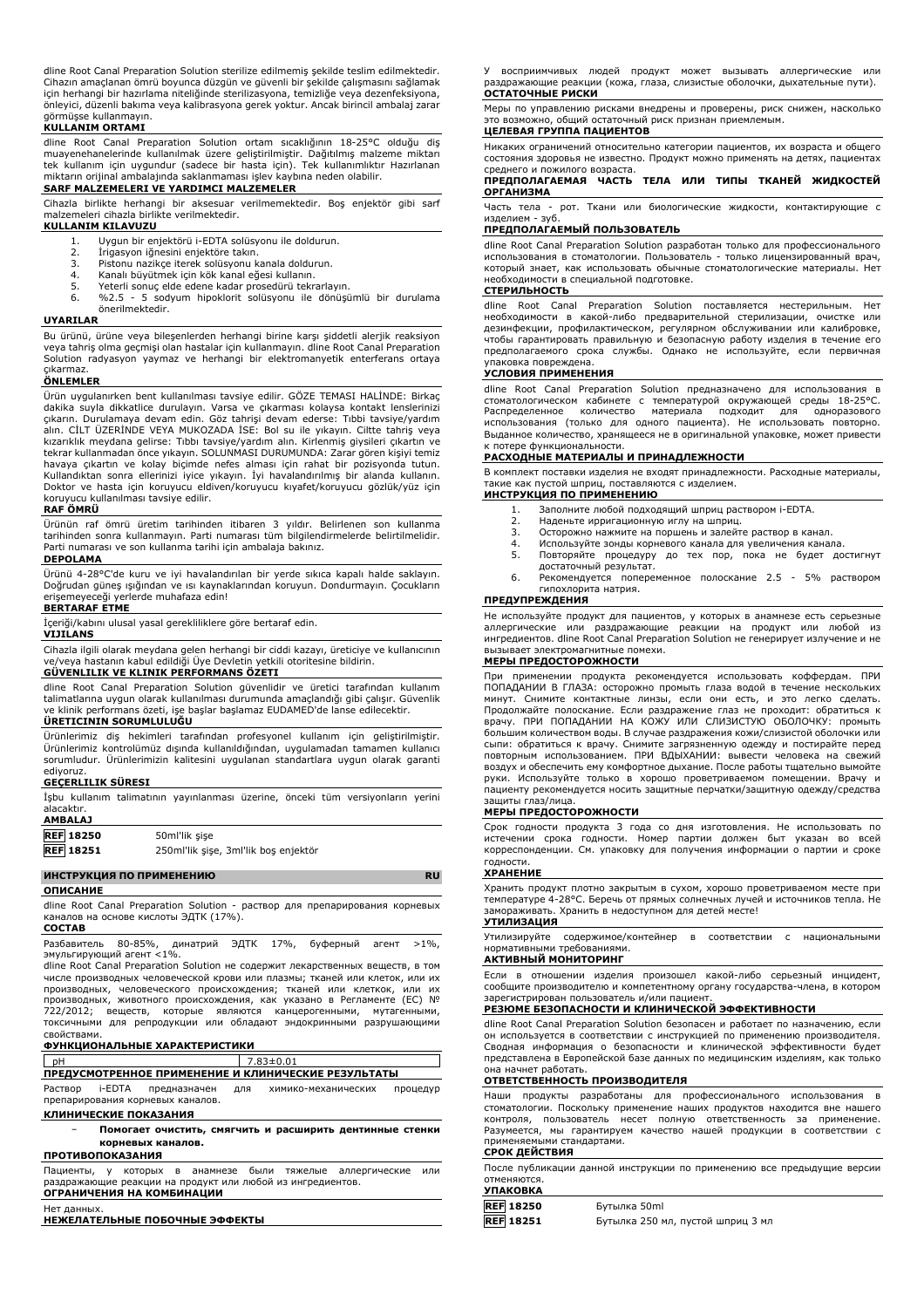dline Root Canal Preparation Solution sterilize edilmemiş şekilde teslim edilmektedir. Cihazın amaçlanan ömrü boyunca düzgün ve güvenli bir şekilde çalışmasını sağlamak için herhangi bir hazırlama niteliğinde sterilizasyona, temizliğe veya dezenfeksiyona, önleyici, düzenli bakıma veya kalibrasyona gerek yoktur. Ancak birincil ambalaj zarar görmüşse kullanmayın.

#### **KULLANIM ORTAMI**

dline Root Canal Preparation Solution ortam sıcaklığının 18-25°C olduğu diş<br>muayenehanelerinde kullanılmak üzere geliştirilmiştir. Dağıtılmış malzeme miktarı<br>tek kullanım için uygundur (sadece bir hasta için). Tek kullanım miktarın orijinal ambalajında saklanmaması işlev kaybına neden olabilir.

# **SARF MALZEMELERI VE YARDIMCI MALZEMELER**

Cihazla birlikte herhangi bir aksesuar verilmemektedir. Boş enjektör gibi sarf malzemeleri cihazla birlikte verilmektedir.

### **KULLANIM KILAVUZU**

- 1. Uygun bir enjektörü i-EDTA solüsyonu ile doldurun.<br>2. İrigasyon iğnesini enjektöre takın.
- 2. İrigasyon iğnesini enjektöre takın.<br>3. Pistonu nazikce iterek solüsyonu k
- 3. Pistonu nazikçe iterek solüsyonu kanala doldurun. 4. Kanalı büyütmek için kök kanal eğesi kullanın.
- 
- 5. Yeterli sonuç elde edene kadar prosedürü tekrarlayın. 6. %2.5 - 5 sodyum hipoklorit solüsyonu ile dönüşümlü bir durulama önerilmektedir.

#### **UYARILAR**

Bu ürünü, ürüne veya bileşenlerden herhangi birine karşı şiddetli alerjik reaksiyon veya tahriş olma geçmişi olan hastalar için kullanmayın. dline Root Canal Preparation Solution radyasyon yaymaz ve herhangi bir elektromanyetik enterferans ortaya

# çıkarmaz. **ÖNLEMLER**

Ürün uygulanırken bent kullanılması tavsiye edilir. GÖZE TEMASI HALİNDE: Birkaç dakika suyla dikkatlice durulayın. Varsa ve çıkarması kolaysa kontakt lenslerinizi çıkarın. Durulamaya devam edin. Göz tahrişi devam ederse: Tıbbi tavsiye/yardım alın. CİLT ÜZERİNDE VEYA MUKOZADA İSE: Bol su ile yıkayın. Ciltte tahriş veya kızarıklık meydana gelirse: Tıbbı tavsiye/yardım alın. Kirlenmiş giysileri çıkartın ve tekrar kullanmadan önce yıkayın. SOLUNMASI DURUMUNDA: Zarar gören kişiyi temiz havaya çıkartın ve kolay biçimde nefes alması için rahat bir pozisyonda tutun. Kullandıktan sonra ellerinizi iyice yıkayın. İyi havalandırılmış bir alanda kullanın. Doktor ve hasta için koruyucu eldiven/koruyucu kıyafet/koruyucu gözlük/yüz için koruyucu kullanılması tavsiye edilir.

#### **RAF ÖMRÜ**

Ürünün raf ömrü üretim tarihinden itibaren 3 yıldır. Belirlenen son kullanma tarihinden sonra kullanmayın. Parti numarası tüm bilgilendirmelerde belirtilmelidir. Parti numarası ve son kullanma tarihi için ambalaja bakınız.

#### **DEPOLAMA**

Ürünü 4-28°C'de kuru ve iyi havalandırılan bir yerde sıkıca kapalı halde saklayın. Doğrudan güneş ışığından ve ısı kaynaklarından koruyun. Dondurmayın. Çocukların erişemeyeceği yerlerde muhafaza edin!

# **BERTARAF ETME**

İçeriği/kabını ulusal yasal gerekliliklere göre bertaraf edin. **VIJILANS**

# Cihazla ilgili olarak meydana gelen herhangi bir ciddi kazayı, üreticiye ve kullanıcının ve/veya hastanın kabul edildiği Üye Devletin yetkili otoritesine bildirin. **GÜVENLILIK VE KLINIK PERFORMANS ÖZETI**

dline Root Canal Preparation Solution güvenlidir ve üretici tarafından kullanım talimatlarına uygun olarak kullanılması durumunda amaçlandığı gibi çalışır. Güvenlik ve klinik performans özeti, işe başlar başlamaz EUDAMED'de lanse edilecektir. **ÜRETICININ SORUMLULUĞU**

Urünlerimiz diş hekimleri tarafından profesyonel kullanım için geliştirilmiştir.<br>Ürünlerimiz kontrolümüz dışında kullanıldığından, uygulamadan tamamen kullanıcı<br>sorumludur. Ürünlerimizin kalitesini uygulanan standartlara u ediyoruz.

### **GEÇERLILIK SÜRESI**

İşbu kullanım talimatının yayınlanması üzerine, önceki tüm versiyonların yerini alacaktır. **AMBALAJ**

| <b>APIDALA</b>   |                                      |
|------------------|--------------------------------------|
| <b>REF 18250</b> | 50ml'lik sise                        |
| <b>REF 18251</b> | 250ml'lik şişe, 3ml'lik boş enjektör |

### **ИНСТРУКЦИЯ ПО ПРИМЕНЕНИЮ RU ОПИСАНИЕ**

dline Root Canal Preparation Solution - раствор для препарирования корневых каналов на основе кислоты ЭДТК (17%).

#### **СОСТАВ**

Разбавитель 80-85%, динатрий ЭДТК 17%, буферный агент >1%, эмульгирующий агент <1%.

dline Root Canal Preparation Solution не содержит лекарственных веществ, в том числе производных человеческой крови или плазмы; тканей или клеток, или их производных, человеческого происхождения; тканей или клеткок, или их производных, животного происхождения, как указано в Регламенте (ЕС) № 722/2012; веществ, которые являются канцерогенными, мутагенными, токсичными для репродукции или обладают эндокринными разрушающими свойствами.

# **ФУНКЦИОНАЛЬНЫЕ ХАРАКТЕРИСТИКИ**

| $\overline{H}$                                      | $7.83 \pm 0.01$ |
|-----------------------------------------------------|-----------------|
| ПРЕДУСМОТРЕННОЕ ПРИМЕНЕНИЕ И КЛИНИЧЕСКИЕ РЕЗУЛЬТАТЫ |                 |

Раствор i-EDTA предназначен для химико-механических процедур

# препарирования корневых каналов.

# **КЛИНИЧЕСКИЕ ПОКАЗАНИЯ**

− **Помогает очистить, смягчить и расширить дентинные стенки корневых каналов.**

# **ПРОТИВОПОКАЗАНИЯ**

Пациенты, у которых в анамнезе были тяжелые аллергические или раздражающие реакции на продукт или любой из ингредиентов. **ОГРАНИЧЕНИЯ НА КОМБИНАЦИИ**

# Нет данных.

**НЕЖЕЛАТЕЛЬНЫЕ ПОБОЧНЫЕ ЭФФЕКТЫ**

У восприимчивых людей продукт может вызывать аллергические или раздражающие реакции (кожа, глаза, слизистые оболочки, дыхательные пути). **ОСТАТОЧНЫЕ РИСКИ**

Меры по управлению рисками внедрены и проверены, риск снижен, насколько это возможно, общий остаточный риск признан приемлемым.

# **ЦЕЛЕВАЯ ГРУППА ПАЦИЕНТОВ**

Никаких ограничений относительно категории пациентов, их возраста и общего состояния здоровья не известно. Продукт можно применять на детях, пациентах

# среднего и пожилого возраста. **ПРЕДПОЛАГАЕМАЯ ЧАСТЬ ТЕЛА ИЛИ ТИПЫ ТКАНЕЙ ЖИДКОСТЕЙ ОРГАНИЗМА**

Часть тела - рот. Ткани или биологические жидкости, контактирующие с изделием - зуб.

# **ПРЕДПОЛАГАЕМЫЙ ПОЛЬЗОВАТЕЛЬ**

dline Root Canal Preparation Solution разработан только для профессионального использования в стоматологии. Пользователь - только лицензированный врач, который знает, как использовать обычные стоматологические материалы. Нет необходимости в специальной подготовке.

#### **СТЕРИЛЬНОСТЬ**

dline Root Canal Preparation Solution поставляется нестерильным. Нет необходимости в какой-либо предварительной стерилизации, очистке или дезинфекции, профилактическом, регулярном обслуживании или калибровке, чтобы гарантировать правильную и безопасную работу изделия в течение его предполагаемого срока службы. Однако не используйте, если первичная упаковка повреждена.

#### **УСЛОВИЯ ПРИМЕНЕНИЯ**

dline Root Canal Preparation Solution предназначено для использования в стоматологическом кабинете с температурой окружающей среды 18-25°C.<br>Распределенное количество материала подходит для одноразового<br>использования (только для одного пациента). Не использовать повторно. Выданное количество, хранящееся не в оригинальной упаковке, может привести к потере функциональности.

#### **РАСХОДНЫЕ МАТЕРИАЛЫ И ПРИНАДЛЕЖНОСТИ**

В комплект поставки изделия не входят принадлежности. Расходные материалы, такие как пустой шприц, поставляются с изделием.

### **ИНСТРУКЦИЯ ПО ПРИМЕНЕНИЮ**

- 1. Заполните любой подходящий шприц раствором i-EDTA.
- 2. Наденьте ирригационную иглу на шприц. 3. Осторожно нажмите на поршень и залейте раствор в канал.
	-
	- 4. Используйте зонды корневого канала для увеличения канала.<br>5. Повторяйте процедуру до тех пор, пока не будет до 5. Повторяйте процедуру до тех пор, пока не будет достигнут достаточный результат.
	- 6. Рекомендуется попеременное полоскание 2.5 5% раствором гипохлорита натрия.

### **ПРЕДУПРЕЖДЕНИЯ**

Не используйте продукт для пациентов, у которых в анамнезе есть серьезные<br>аллергические или раздражающие реакции на продукт или любой из<br>ингредиентов. dline Root Canal Preparation Solution не генерирует излучение вызывает электромагнитные помехи.

#### **МЕРЫ ПРЕДОСТОРОЖНОСТИ**

При применении продукта рекомендуется использовать коффердам. ПРИ ПОПАДАНИИ В ГЛАЗА: осторожно промыть глаза водой в течение нескольких минут. Снимите контактные линзы, если они есть, и это легко сделать. Продолжайте полоскание. Если раздражение глаз не проходит: обратиться к врачу. ПРИ ПОПАДАНИИ НА КОЖУ ИЛИ СЛИЗИСТУЮ ОБОЛОЧКУ: промыть большим количеством воды. В случае раздражения кожи/слизистой оболочки или сыпи: обратиться к врачу. Снимите загрязненную одежду и постирайте перед повторным использованием. ПРИ ВДЫХАНИИ: вывести человека на свежий воздух и обеспечить ему комфортное дыхание. После работы тщательно вымойте руки. Используйте только в хорошо проветриваемом помещении. Врачу и пациенту рекомендуется носить защитные перчатки/защитную одежду/средства защиты глаз/лица.

#### **МЕРЫ ПРЕДОСТОРОЖНОСТИ**

Срок годности продукта 3 года со дня изготовления. Не использовать по истечении срока годности. Номер партии должен быт указан во всей корреспонденции. См. упаковку для получения информации о партии и сроке годности.

# **ХРАНЕНИЕ**

Хранить продукт плотно закрытым в сухом, хорошо проветриваемом месте при температуре 4-28°C. Беречь от прямых солнечных лучей и источников тепла. Не замораживать. Хранить в недоступном для детей месте!

# **УТИЛИЗАЦИЯ**

Утилизируйте содержимое/контейнер в соответствии с национальными нормативными требованиями.

### **АКТИВНЫЙ МОНИТОРИНГ**

Если в отношении изделия произошел какой-либо серьезный инцидент, сообщите производителю и компетентному органу государства-члена, в котором зарегистрирован пользователь и/или пациен

# **РЕЗЮМЕ БЕЗОПАСНОСТИ И КЛИНИЧЕСКОЙ ЭФФЕКТИВНОСТИ**

dline Root Canal Preparation Solution безопасен и работает по назначению, если он используется в соответствии с инструкцией по применению производителя. Сводная информация о безопасности и клинической эффективности будет представлена в Европейской базе данных по медицинским изделиям, как только она начнет работать.

#### **ОТВЕТСТВЕННОСТЬ ПРОИЗВОДИТЕЛЯ**

Наши продукты разработаны для профессионального использования в стоматологии. Поскольку применение наших продуктов находится вне нашего контроля, пользователь несет полную ответственность за применение. Разумеется, мы гарантируем качество нашей продукции в соответствии с применяемыми стандартами.

#### **СРОК ДЕЙСТВИЯ**

После публикации данной инструкции по применению все предыдущие версии отменяются. **УПАКОВКА**

**REF 18250** Бутылка 50ml **REF 18251** Бутылка 250 мл, пустой шприц 3 мл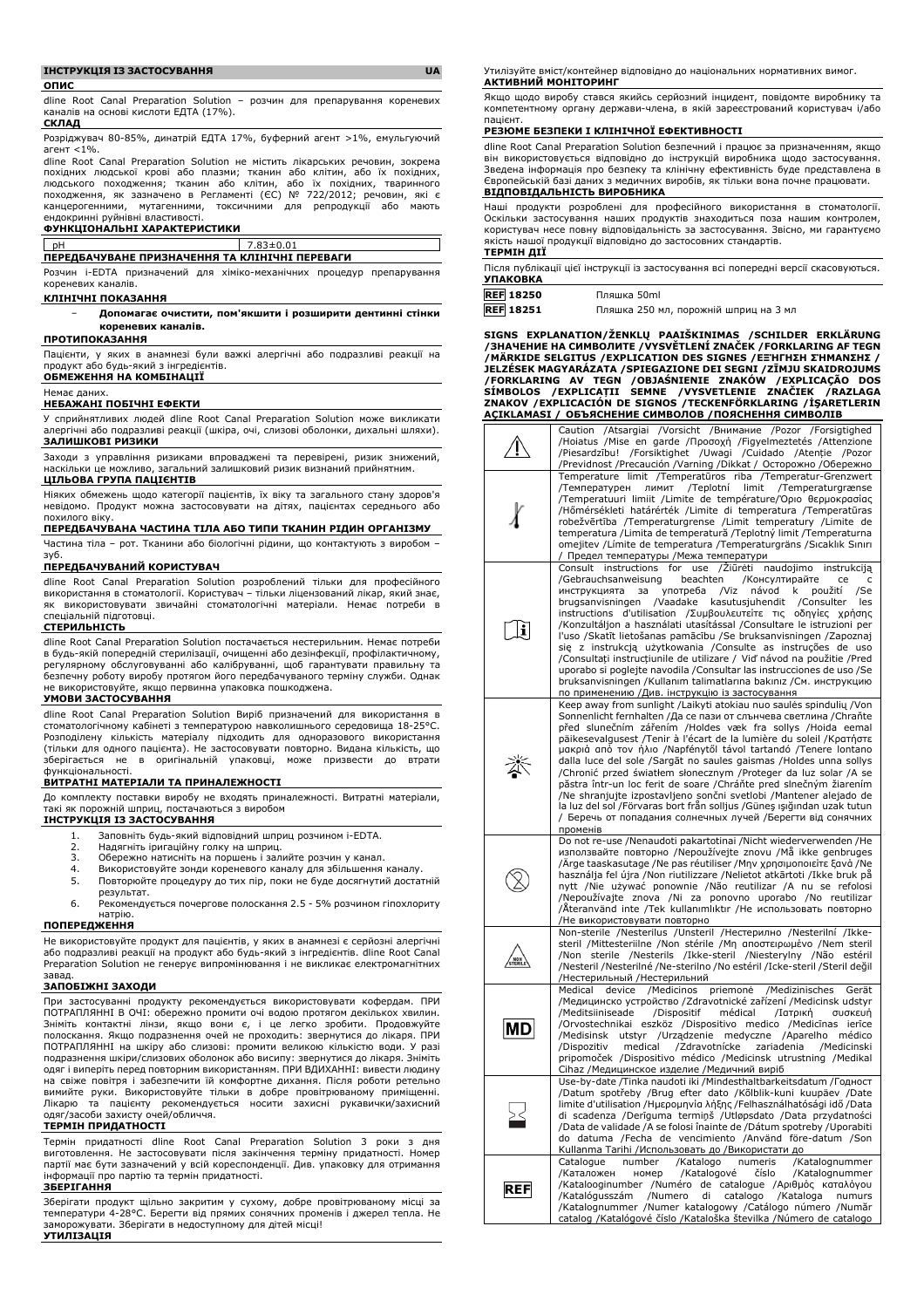#### **ІНСТРУКЦІЯ ІЗ ЗАСТОСУВАННЯ UA**

**ОПИС**

dline Root Canal Preparation Solution – розчин для препарування кореневих каналів на основі кислоти ЕДТА (17%). **СКЛАД**

Розріджувач 80-85%, динатрій ЕДТА 17%, буферний агент >1%, емульгуючий агент <1%.

dline Root Canal Preparation Solution не містить лікарських речовин, зокрема похідних людської крові або плазми; тканин або клітин, або їх похідних,<br>людського походження; тканин або клітин, або їх похідних, тваринного<br>походження, як зазначено в Регламенті (ЄС) № 722/2012; речовин, які є канцерогенними, мутагенними, токсичними для репродукції або мають ендокринні руйнівні властивості.

#### **ФУНКЦІОНАЛЬНІ ХАРАКТЕРИСТИКИ**

# pH 7.83±0.01 **ПЕРЕДБАЧУВАНЕ ПРИЗНАЧЕННЯ ТА КЛІНІЧНІ ПЕРЕВАГИ**

Розчин i-EDTA призначений для хіміко-механічних процедур препарування кореневих каналів.

# **КЛІНІЧНІ ПОКАЗАННЯ**

− **Допомагає очистити, пом'якшити і розширити дентинні стінки кореневих каналів.**

#### **ПРОТИПОКАЗАННЯ**

Пацієнти, у яких в анамнезі були важкі алергічні або подразливі реакції на будь-який з інгредієнтів.

# **ОБМЕЖЕННЯ НА КОМБІНАЦІЇ**

#### Немає даних. **НЕБАЖАНІ ПОБІЧНІ ЕФЕКТИ**

У сприйнятливих людей dline Root Canal Preparation Solution може викликати алергічні або подразливі реакції (шкіра, очі, слизові оболонки, дихальні шляхи). **ЗАЛИШКОВІ РИЗИКИ**

Заходи з управління ризиками впроваджені та перевірені, ризик знижений, наскільки це можливо, загальний залишковий ризик визнаний прийнятним. **ЦІЛЬОВА ГРУПА ПАЦІЄНТІВ**

Ніяких обмежень щодо категорії пацієнтів, їх віку та загального стану здоров'я невідомо. Продукт можна застосовувати на дітях, пацієнтах середнього або похилого віку.

# **ПЕРЕДБАЧУВАНА ЧАСТИНА ТІЛА АБО ТИПИ ТКАНИН РІДИН ОРГАНІЗМУ**

Частина тіла – рот. Тканини або біологічні рідини, що контактують з виробом – зуб.

#### **ПЕРЕДБАЧУВАНИЙ КОРИСТУВАЧ**

dline Root Canal Preparation Solution розроблений тільки для професійного використання в стоматології. Користувач – тільки ліцензований лікар, який знає, як використовувати звичайні стоматологічні матеріали. Немає потреби в спеціальній підготовці.

#### **СТЕРИЛЬНІСТЬ**

dline Root Canal Preparation Solution постачається нестерильним. Немає потреби в будь-якій попередній стерилізації, очищенні або дезінфекції, профілактичному, регулярному обслуговуванні або калібруванні, щоб гарантувати правильну та безпечну роботу виробу протягом його передбачуваного терміну служби. Однак не використовуйте, якщо первинна упаковка пошкоджена. **УМОВИ ЗАСТОСУВАННЯ**

dline Root Canal Preparation Solution Виріб призначений для використання в стоматологічному кабінеті з температурою навколишнього середовища 18-25°C. Розподілену кількість матеріалу підходить для одноразового використання (тільки для одного пацієнта). Не застосовувати повторно. Видана кількість, що зберігається не в оригінальній упаковці, може призвести до втрати функціональності.

#### **ВИТРАТНІ МАТЕРІАЛИ ТА ПРИНАЛЕЖНОСТІ**

До комплекту поставки виробу не входять приналежності. Витратні матеріали, такі як порожній шприц, постачаються з виробом

## **ІНСТРУКЦІЯ ІЗ ЗАСТОСУВАННЯ**

- 1. Заповніть будь-який відповідний шприц розчином i-EDTA.
- 2. Надягніть іригаційну голку на шприц.
- 3. Обережно натисніть на поршень і залийте розчин у канал.
- 4. Використовуйте зонди кореневого каналу для збільшення каналу.<br>5. Повторюйте процедуру до тих пір, поки не буде досягнутий доста<sup>.</sup> 5. Повторюйте процедуру до тих пір, поки не буде досягнутий достатній результат.
- 6. Рекомендується почергове полоскання 2.5 5% розчином гіпохлориту натрію.

### **ПОПЕРЕДЖЕННЯ**

Не використовуйте продукт для пацієнтів, у яких в анамнезі є серйозні алергічні або подразливі реакції на продукт або будь-який з інгредієнтів. dline Root Canal Preparation Solution не генерує випромінювання і не викликає електромагнітних

# завад. **ЗАПОБІЖНІ ЗАХОДИ**

При застосуванні продукту рекомендується використовувати кофердам. ПРИ ПОТРАПЛЯННІ В ОЧІ: обережно промити очі водою протягом декількох хвилин. Зніміть контактні лінзи, якщо вони є, і це легко зробити. Продовжуйте полоскання. Якщо подразнення очей не проходить: звернутися до лікаря. ПРИ ПОТРАПЛЯННІ на шкіру або слизові: промити великою кількістю води. У разі подразнення шкіри/слизових оболонок або висипу: звернутися до лікаря. Зніміть одяг і виперіть перед повторним використанням. ПРИ ВДИХАННІ: вивести людину на свіже повітря і забезпечити їй комфортне дихання. Після роботи ретельно вимийте руки. Використовуйте тільки в добре провітрюваному приміщенні. Лікарю та пацієнту рекомендується носити захисні рукавички/захисний одяг/засоби захисту очей/обличчя.

### **ТЕРМІН ПРИДАТНОСТІ**

Термін придатності dline Root Canal Preparation Solution 3 роки з дня виготовлення. Не застосовувати після закінчення терміну придатності. Номер партії має бути зазначений у всій кореспонденції. Див. упаковку для отримання інформації про партію та термін придатності.

## **ЗБЕРІГАННЯ**

Зберігати продукт щільно закритим у сухому, добре провітрюваному місці за температури 4-28°C. Берегти від прямих сонячних променів і джерел тепла. Не заморожувати. Зберігати в недоступному для дітей місці! **УТИЛІЗАЦІЯ**

Утилізуйте вміст/контейнер відповідно до національних нормативних вимог. **АКТИВНИЙ МОНІТОРИНГ**

Якщо щодо виробу стався якийсь серйозний інцидент, повідомте виробнику та компетентному органу держави-члена, в якій зареєстрований користувач і/або пацієнт.

#### **РЕЗЮМЕ БЕЗПЕКИ І КЛІНІЧНОЇ ЕФЕКТИВНОСТІ**

dline Root Canal Preparation Solution безпечний і працює за призначенням, якщо він використовується відповідно до інструкцій виробника щодо застосування. Зведена інформація про безпеку та клінічну ефективність буде представлена в Європейській базі даних з медичних виробів, як тільки вона почне працювати. **ВІДПОВІДАЛЬНІСТЬ ВИРОБНИКА**

Наші продукти розроблені для професійного використання в стоматології. Оскільки застосування наших продуктів знаходиться поза нашим контролем, користувач несе повну відповідальність за застосування. Звісно, ми гарантуємо якість нашої продукції відповідно до застосовних стандартів.

# **ТЕРМІН ДІЇ**

Після публікації цієї інструкції із застосування всі попередні версії скасовуються. **УПАКОВКА**

| <b>REF</b> 18250 | Пляшка 50ml                           |
|------------------|---------------------------------------|
| <b>REF 18251</b> | Пляшка 250 мл. порожній шприц на 3 мл |

**SIGNS EXPLANATION/ŽENKLŲ PAAIŠKINIMAS /SCHILDER ERKLÄRUNG /ЗНАЧЕНИЕ НА СИМВОЛИТЕ /VYSVĚTLENÍ ZNAČEK /FORKLARING AF TEGN /MÄRKIDE SELGITUS /EXPLICATION DES SIGNES /ΕΞΉΓΗΣΗ ΣΉΜΑΝΣΗΣ /** JELZESEK MAGYARAZATA /SPIEGAZIONE DEI SEGNI /ZIMJU SKAIDROJUMS<br>/FORKLARING AV TEGN /OBJAŚNIENIE ZNAKÓW /EXPLICAÇÃO DOS<br>SÍMBOLOS /EXPLICAȚII SEMNE /VYSVETLENIE ZNAČIEK /RAZLAGA<br>ZNAKOV /EXPLICACIÓN DE S **AÇIKLAMASI / ОБЪЯСНЕНИЕ СИМВОЛОВ /ПОЯСНЕННЯ СИМВОЛІВ**

|                                                       | Caution /Atsargiai /Vorsicht /Внимание /Pozor /Forsigtighed<br>/Hoiatus /Mise en garde /Προσοχή /Figyelmeztetés /Attenzione                      |
|-------------------------------------------------------|--------------------------------------------------------------------------------------------------------------------------------------------------|
|                                                       | /Piesardzību! /Forsiktighet /Uwagi /Cuidado /Atenție /Pozor                                                                                      |
|                                                       | Previdnost /Precaución /Varning /Dikkat / Осторожно /Обережно<br>Temperature limit /Temperatūros riba /Temperatur-Grenzwert                      |
| X                                                     | /Температурен<br>ЛИМИТ<br>/Teplotní<br>limit<br>/Temperaturgrænse                                                                                |
|                                                       | /Temperatuuri limiit /Limite de température/Όριο θερμοκρασίας<br>/Hőmérsékleti határérték /Limite di temperatura /Temperatūras                   |
|                                                       | robežvērtība /Temperaturgrense /Limit temperatury /Limite de                                                                                     |
|                                                       | temperatura / Limita de temperatură / Teplotný limit / Temperaturna<br>omejitev / Límite de temperatura / Temperaturgräns / Sıcaklık Sınırı      |
|                                                       | / Предел температуры /Межа температури                                                                                                           |
|                                                       | Consult instructions for use / Ziūrėti<br>naudojimo<br>instrukciją<br>/Gebrauchsanweisung<br>beachten<br>/Консултирайте<br>ce<br>c               |
|                                                       | употреба<br>/Viz<br>návod<br>použití<br>/Se<br>инструкцията<br>за<br>k<br>/Vaadake<br>brugsanvisningen<br>kasutusjuhendit<br>/Consulter<br>les   |
|                                                       | instructions d'utilisation / Συμβουλευτείτε τις οδηγίες χρήσης                                                                                   |
| $ \mathbf{i} $                                        | /Konzultáljon a használati utasítással /Consultare le istruzioni per<br>l'uso /Skatīt lietošanas pamācību /Se bruksanvisningen /Zapoznaj         |
|                                                       | się z instrukcją użytkowania /Consulte as instruções de uso                                                                                      |
|                                                       | /Consultați instrucțiunile de utilizare / Vid' návod na použitie /Pred<br>uporabo si poglejte navodila / Consultar las instrucciones de uso / Se |
|                                                       | bruksanvisningen /Kullanım talimatlarına bakınız /См. инструкцию                                                                                 |
|                                                       | по применению /Див. інструкцію із застосування<br>Keep away from sunlight /Laikyti atokiau nuo saulės spindulių /Von                             |
| 苶                                                     | Sonnenlicht fernhalten /Да се пази от слънчева светлина /Chraňte                                                                                 |
|                                                       | před slunečním zářením /Holdes væk fra sollys /Hoida eemal<br>päikesevalgusest /Tenir à l'écart de la lumière du soleil /Κρατήστε                |
|                                                       | μακριά από τον ήλιο /Napfénytől távol tartandó /Tenere lontano<br>dalla luce del sole /Sargāt no saules gaismas /Holdes unna sollys              |
|                                                       | /Chronić przed światłem słonecznym /Proteger da luz solar /A se                                                                                  |
|                                                       | păstra într-un loc ferit de soare / Chráňte pred slnečným žiarením<br>/Ne shranjujte izpostavljeno sončni svetlobi /Mantener alejado de          |
|                                                       | la luz del sol /Förvaras bort från solljus /Güneş ışığından uzak tutun                                                                           |
|                                                       | / Беречь от попадания солнечных лучей /Берегти від сонячних<br>променів                                                                          |
|                                                       | Do not re-use /Nenaudoti pakartotinai /Nicht wiederverwenden /He<br>използвайте повторно /Nepoužívejte znovu /Må ikke genbruges                  |
|                                                       | /Ärge taaskasutage /Ne pas réutiliser /Μην χρησιμοποιείτε ξανά /Ne                                                                               |
|                                                       | használja fel újra /Non riutilizzare /Nelietot atkārtoti /Ikke bruk på<br>nytt /Nie używać ponownie /Não reutilizar /A nu se refolosi            |
|                                                       | /Nepoužívajte znova /Ni za ponovno uporabo /No reutilizar                                                                                        |
|                                                       | /Äteranvänd inte /Tek kullanımlıktır /Не использовать повторно<br>/Не використовувати повторно                                                   |
|                                                       | Non-sterile /Nesterilus /Unsteril /Нестерилно /Nesterilní /Ikke-                                                                                 |
| $\begin{matrix} 1 & 0 \\ 0 & 0 \\ 0 & 0 \end{matrix}$ | steril /Mittesteriilne /Non stérile /Μη αποστειρωμένο /Nem steril<br>sterile /Nesterils /Ikke-steril /Niesterylny /Não estéril<br>/Non           |
|                                                       | /Nesteril /Nesterilné /Ne-sterilno /No estéril /Icke-steril /Steril değil                                                                        |
| MDI                                                   | /Нестерильный /Нестерильний<br>/Medizinisches<br>/Medicinos<br>Medical<br>device<br>priemonė<br>Gerät                                            |
|                                                       | /Медицинско устройство /Zdravotnické zařízení /Medicinsk udstyr<br>médical<br>/Meditsiiniseade<br>/Dispositif<br>/Ιατρική<br>συσκευή             |
|                                                       | /Orvostechnikai<br>eszköz /Dispositivo medico /Medicīnas<br>ierīce                                                                               |
|                                                       | /Medisinsk utstyr /Urządzenie medyczne /Aparelho<br>médico<br>/Dispozitiv<br>medical<br>/Zdravotnícke<br>zariadenia<br>/Medicinski               |
|                                                       | pripomoček /Dispositivo médico /Medicinsk utrustning /Medikal                                                                                    |
|                                                       | Cihaz / Медицинское изделие / Медичний виріб<br>Use-by-date /Tinka naudoti iki /Mindesthaltbarkeitsdatum /Годност                                |
|                                                       | /Datum spotřeby /Brug efter dato /Kõlblik-kuni kuupäev /Date<br>limite d'utilisation /Ημερομηνία λήξης /Felhasználhatósági idő /Data             |
|                                                       | di scadenza /Derīguma termiņš /Utløpsdato /Data przydatności                                                                                     |
|                                                       | /Data de validade /A se folosi înainte de /Dátum spotreby /Uporabiti<br>do datuma /Fecha de vencimiento /Använd före-datum /Son                  |
|                                                       | Kullanma Tarihi /Использовать до /Використати до                                                                                                 |
| <b>REF</b>                                            | Catalogue<br>number<br>/Katalogo<br>numeris<br>/Katalognummer<br>/Каталожен<br>номер<br>/Katalogové<br>číslo<br>/Katalognummer                   |
|                                                       | /Katalooginumber /Numéro de catalogue /Αριθμός καταλόγου                                                                                         |
|                                                       | /Kataloga<br>/Katalógusszám<br>/Numero<br>di<br>catalogo<br>numurs<br>/Katalognummer /Numer katalogowy /Catálogo número /Număr                   |
|                                                       | catalog /Katalógové číslo /Kataloška številka /Número de catalogo                                                                                |